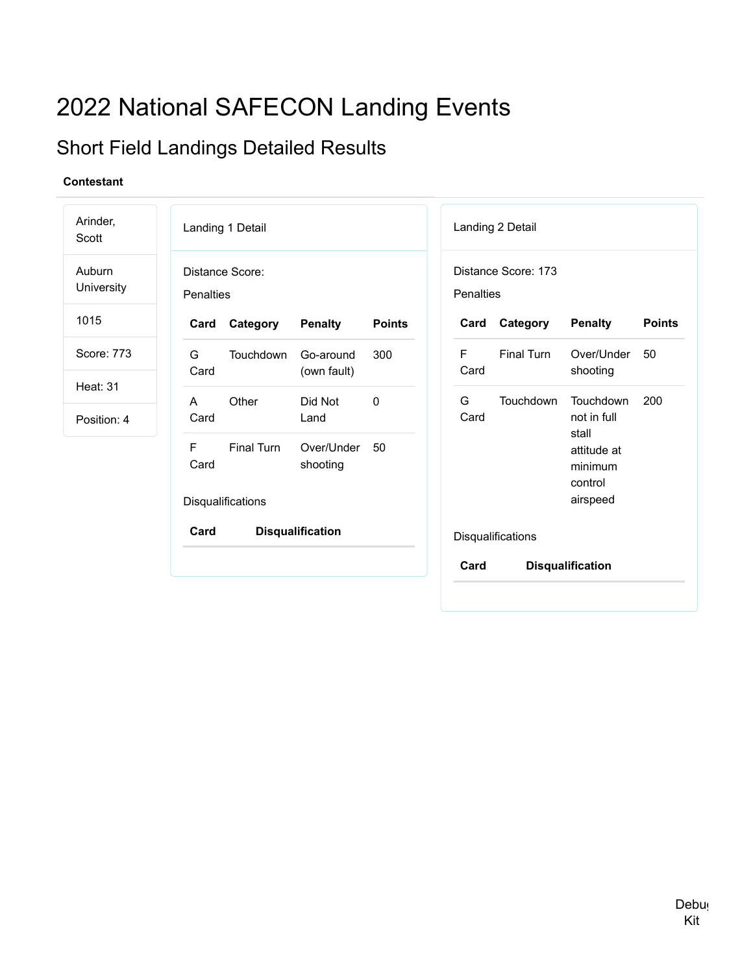# 2022 National SAFECON Landing Events

## Short Field Landings Detailed Results

| Arinder,<br>Scott              |                  | Landing 1 Detail                |                          |               |           | Landing 2 Detail    |                                                        |               |
|--------------------------------|------------------|---------------------------------|--------------------------|---------------|-----------|---------------------|--------------------------------------------------------|---------------|
| Auburn<br>University           | <b>Penalties</b> | Distance Score:                 |                          |               | Penalties | Distance Score: 173 |                                                        |               |
| 1015                           | Card             | Category                        | <b>Penalty</b>           | <b>Points</b> | Card      | Category            | <b>Penalty</b>                                         | <b>Points</b> |
| Score: 773                     | G<br>Card        | Touchdown                       | Go-around<br>(own fault) | 300           | F<br>Card | Final Turn          | Over/Under<br>shooting                                 | 50            |
| <b>Heat: 31</b><br>Position: 4 | A<br>Card        | Other                           | Did Not<br>Land          | $\mathbf{0}$  | G<br>Card | Touchdown           | Touchdown<br>not in full                               | 200           |
|                                | F<br>Card        | Final Turn<br>Disqualifications | Over/Under<br>shooting   | 50            |           |                     | stall<br>attitude at<br>minimum<br>control<br>airspeed |               |
|                                | Card             |                                 | <b>Disqualification</b>  |               |           | Disqualifications   |                                                        |               |
|                                |                  |                                 |                          |               | Card      |                     | <b>Disqualification</b>                                |               |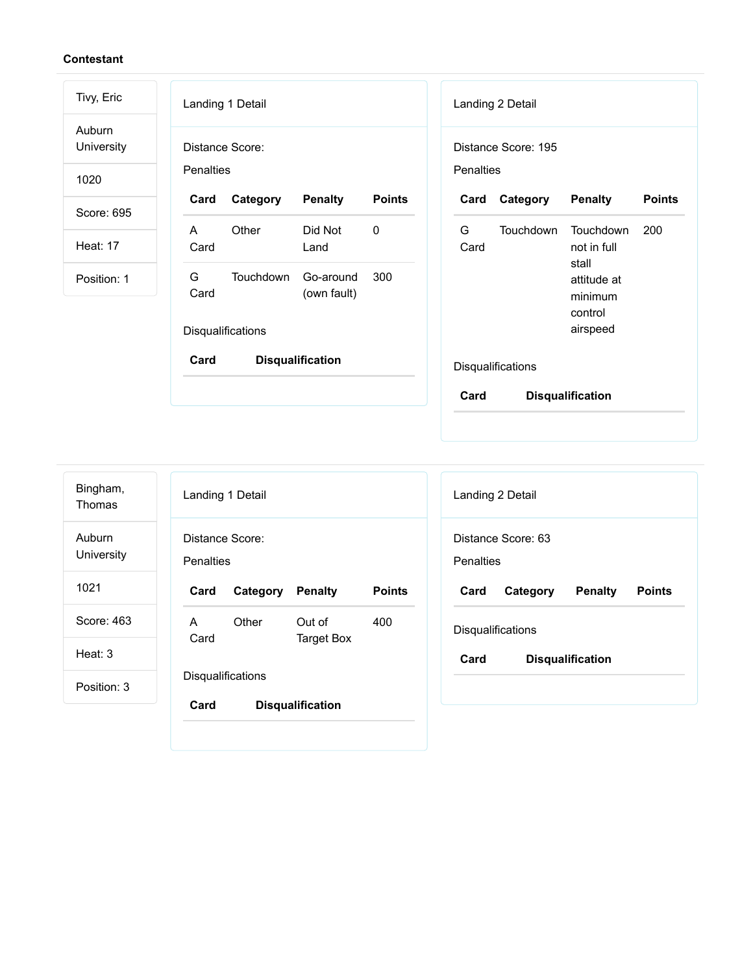| Tivy, Eric           | Landing 1 Detail                                          | Landing 2 Detail                                                 |
|----------------------|-----------------------------------------------------------|------------------------------------------------------------------|
| Auburn<br>University | Distance Score:                                           | Distance Score: 195                                              |
| 1020                 | <b>Penalties</b>                                          | <b>Penalties</b>                                                 |
| Score: 695           | <b>Points</b><br>Card<br>Category<br><b>Penalty</b>       | <b>Points</b><br>Category<br><b>Penalty</b><br>Card              |
| <b>Heat: 17</b>      | $\mathbf{0}$<br>Other<br>Did Not<br>A<br>Card<br>Land     | G<br><b>Touchdown</b><br>Touchdown<br>200<br>Card<br>not in full |
| Position: 1          | G<br>Touchdown<br>Go-around<br>300<br>Card<br>(own fault) | stall<br>attitude at<br>minimum                                  |
|                      | Disqualifications                                         | control<br>airspeed                                              |
|                      | Card<br><b>Disqualification</b>                           | Disqualifications                                                |
|                      |                                                           | Card<br><b>Disqualification</b>                                  |

| Bingham,<br>Thomas   |                              | Landing 1 Detail         |                         |               |
|----------------------|------------------------------|--------------------------|-------------------------|---------------|
| Auburn<br>University | Distance Score:<br>Penalties |                          |                         |               |
| 1021                 | Card                         | Category                 | <b>Penalty</b>          | <b>Points</b> |
| Score: 463           | A                            | Other                    | Out of                  | 400           |
| Heat: 3              | Card                         |                          | <b>Target Box</b>       |               |
| Position: 3          |                              | <b>Disqualifications</b> |                         |               |
|                      | Card                         |                          | <b>Disqualification</b> |               |

| Landing 2 Detail  |                    |                         |               |
|-------------------|--------------------|-------------------------|---------------|
| Penalties         | Distance Score: 63 |                         |               |
|                   |                    |                         |               |
|                   |                    |                         |               |
| Card              | Category           | Penalty                 | <b>Points</b> |
| Disqualifications |                    |                         |               |
| Card              |                    | <b>Disqualification</b> |               |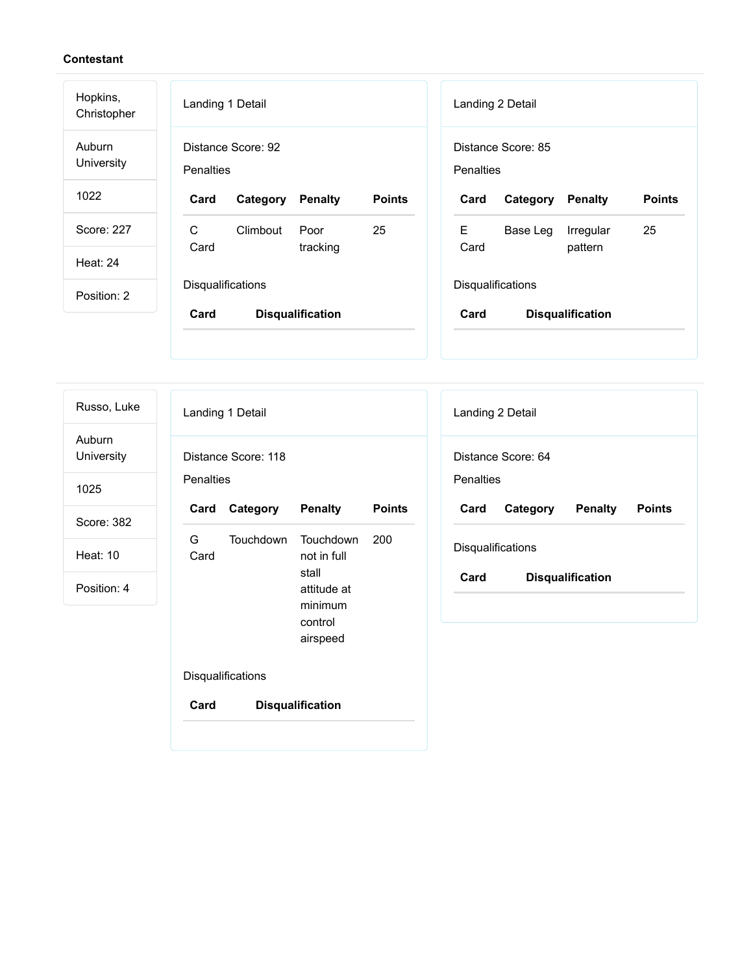| Hopkins,<br>Christopher | Landing 1 Detail<br>Landing 2 Detail                                                                       |
|-------------------------|------------------------------------------------------------------------------------------------------------|
| Auburn<br>University    | Distance Score: 92<br>Distance Score: 85<br><b>Penalties</b><br>Penalties                                  |
| 1022                    | <b>Points</b><br><b>Points</b><br>Card<br><b>Penalty</b><br>Card<br><b>Penalty</b><br>Category<br>Category |
| Score: 227              | C<br>E<br>25<br>25<br>Climbout<br>Poor<br>Base Leg<br>Irregular<br>Card<br>Card<br>tracking                |
| <b>Heat: 24</b>         | pattern                                                                                                    |
| Position: 2             | <b>Disqualifications</b><br><b>Disqualifications</b>                                                       |
|                         | Card<br>Card<br><b>Disqualification</b><br><b>Disqualification</b>                                         |
|                         |                                                                                                            |

Russo, Luke

Auburn University

1025

Score: 382

Heat: 10

Position: 4

|                                  | Landing 1 Detail  |                                                                                    |               |  |  |  |
|----------------------------------|-------------------|------------------------------------------------------------------------------------|---------------|--|--|--|
| Distance Score: 118<br>Penalties |                   |                                                                                    |               |  |  |  |
| Card                             | Category          | <b>Penalty</b>                                                                     | <b>Points</b> |  |  |  |
| G<br>Card                        | Touchdown         | Touchdown<br>not in full<br>stall<br>attitude at<br>minimum<br>control<br>airspeed | 200           |  |  |  |
|                                  | Disqualifications |                                                                                    |               |  |  |  |

**Card Disqualification**

Landing 2 Detail Distance Score: 64 **Penalties Card Category Penalty Points Disqualifications Card Disqualification**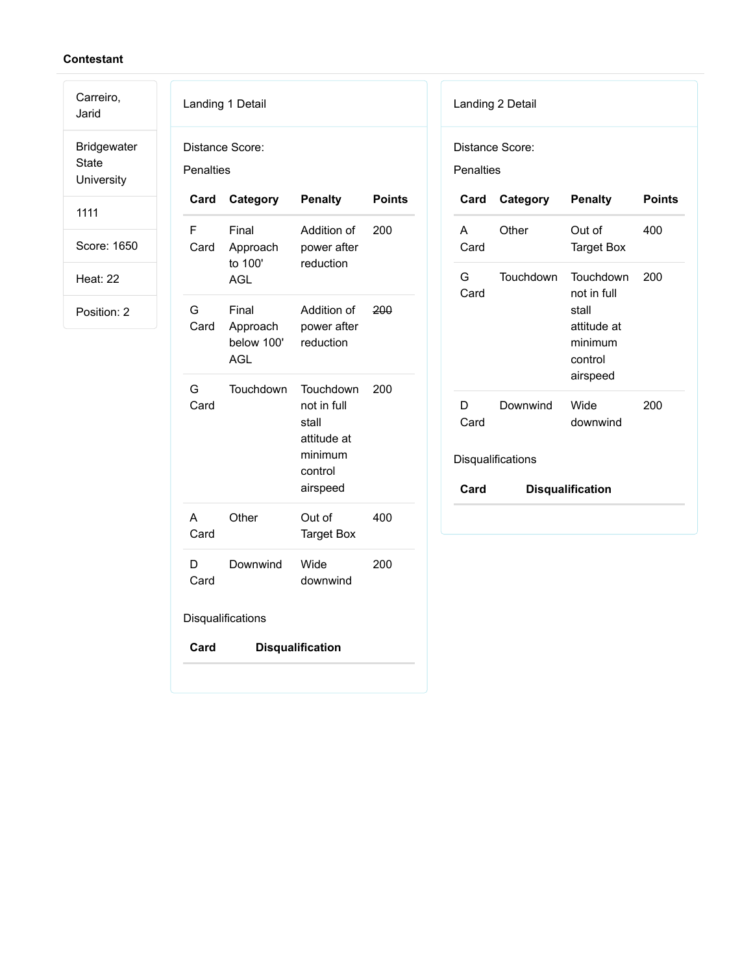Carreiro,

Jarid Bridgewater State **University** 

1111

Score: 1650

Heat: 22

Position: 2

| <b>Penalties</b> | Distance Score:                            |                                                                                    |               |
|------------------|--------------------------------------------|------------------------------------------------------------------------------------|---------------|
| Card             | Category                                   | <b>Penalty</b>                                                                     | <b>Points</b> |
| F<br>Card        | Final<br>Approach<br>to 100'<br><b>AGL</b> | Addition of<br>power after<br>reduction                                            | 200           |
| G<br>Card        | Final<br>Approach<br>below 100'<br>AGL     | Addition of<br>power after<br>reduction                                            | 200           |
| G<br>Card        | <b>Touchdown</b>                           | Touchdown<br>not in full<br>stall<br>attitude at<br>minimum<br>control<br>airspeed | 200           |
| А<br>Card        | Other                                      | Out of<br><b>Target Box</b>                                                        | 400           |
| D<br>Card        | Downwind                                   | Wide<br>downwind                                                                   | 200           |
|                  | Disqualifications                          |                                                                                    |               |
| Card             |                                            | <b>Disqualification</b>                                                            |               |

## Landing 2 Detail Distance Score: **Penalties Card Category Penalty Points** A Card Other Out of Target Box 400 G Card Touchdown Touchdown not in full stall attitude at minimum control airspeed 200 D Card Downwind Wide downwind 200 **Disqualifications Card Disqualification**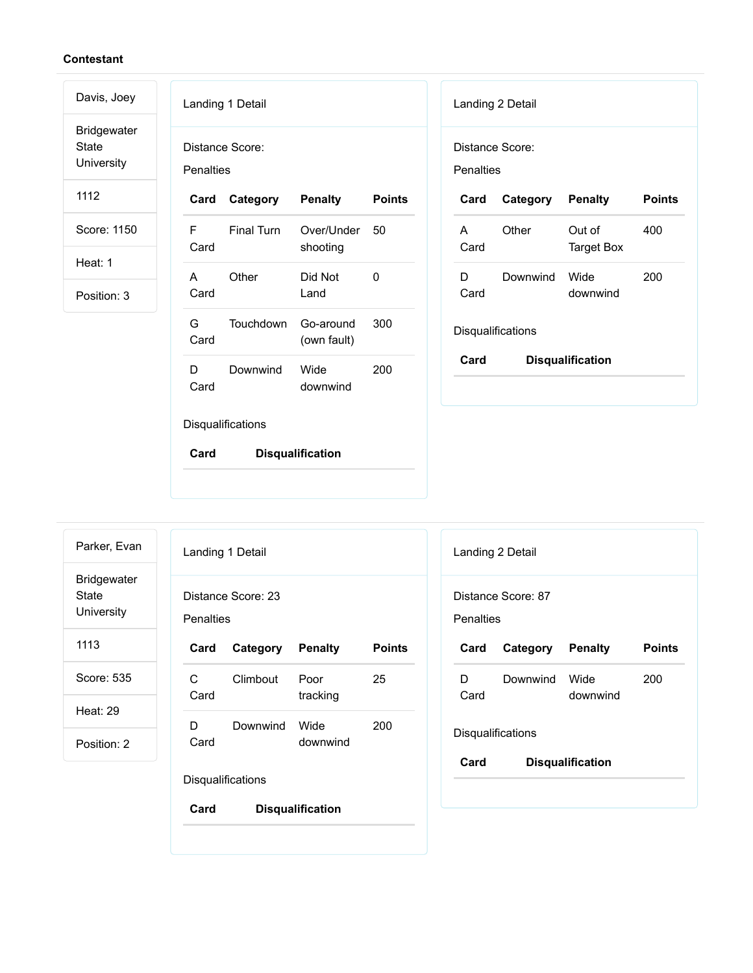Bridgewater State University

Davis, Joey

1112

Score: 1150

Heat: 1

Position: 3

|                                     | Landing 1 Detail  |                          |               |  |  |
|-------------------------------------|-------------------|--------------------------|---------------|--|--|
| Distance Score:<br><b>Penalties</b> |                   |                          |               |  |  |
| Card                                | Category          | <b>Penalty</b>           | <b>Points</b> |  |  |
| F<br>Card                           | <b>Einal Turn</b> | Over/Under<br>shooting   | - 50          |  |  |
| A<br>Card                           | Other             | Did Not<br>Land          | O             |  |  |
| G<br>Card                           | Touchdown         | Go-around<br>(own fault) | 300           |  |  |
| D<br>Card                           | Downwind          | Wide<br>downwind         | 200           |  |  |
|                                     | Disqualifications |                          |               |  |  |
| Card                                |                   | <b>Disqualification</b>  |               |  |  |

|                   | Landing 2 Detail |                         |               |  |  |
|-------------------|------------------|-------------------------|---------------|--|--|
| Penalties         | Distance Score:  |                         |               |  |  |
| Card              | Category Penalty |                         | <b>Points</b> |  |  |
| A<br>Card         | Other            | Out of<br>Target Box    | 400           |  |  |
| D<br>Card         | Downwind         | Wide<br>downwind        | 200           |  |  |
| Disqualifications |                  |                         |               |  |  |
| Card              |                  | <b>Disqualification</b> |               |  |  |

Parker, Evan Bridgewater State University

1113

Score: 535

Heat: 29

Position: 2

| Penalties         | Distance Score: 23 |                  |        |
|-------------------|--------------------|------------------|--------|
| Card              | Category Penalty   |                  | Points |
| C.<br>Card        | Climbout           | Poor<br>tracking | 25     |
| D<br>Card         | Downwind           | Wide<br>downwind | 200    |
| Disqualifications |                    |                  |        |

| Landing 2 Detail                |                          |                         |        |  |  |  |
|---------------------------------|--------------------------|-------------------------|--------|--|--|--|
| Distance Score: 87<br>Penalties |                          |                         |        |  |  |  |
| Card                            | Category Penalty         |                         | Points |  |  |  |
| D.<br>Card                      | Downwind                 | Wide<br>downwind        | 200    |  |  |  |
|                                 | <b>Disqualifications</b> |                         |        |  |  |  |
| Card                            |                          | <b>Disqualification</b> |        |  |  |  |
|                                 |                          |                         |        |  |  |  |

Landing 1 Detail

**Card Disqualification**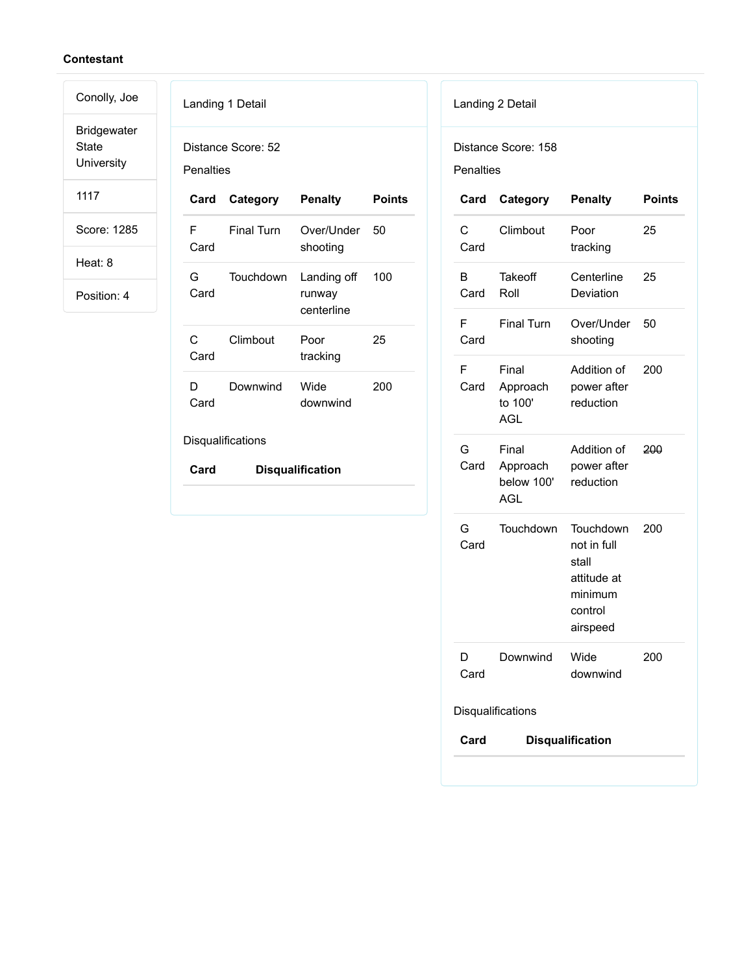Bridgewater State University

Conolly, Joe

1117

Score: 1285

Heat: 8

Position: 4

|                   | Landing 1 Detail      |                                     |               |  |  |
|-------------------|-----------------------|-------------------------------------|---------------|--|--|
| Penalties         | Distance Score: 52    |                                     |               |  |  |
|                   | Card Category Penalty |                                     | <b>Points</b> |  |  |
| F<br>Card         | <b>Einal Turn</b>     | Over/Under 50<br>shooting           |               |  |  |
| G<br>Card         | Touchdown             | Landing off<br>runway<br>centerline | 100           |  |  |
| С<br>Card         | Climbout              | Poor<br>tracking                    | 25            |  |  |
| D.<br>Card        | Downwind              | Wide<br>downwind                    | 200           |  |  |
| Disqualifications |                       |                                     |               |  |  |
| Card              |                       | <b>Disqualification</b>             |               |  |  |
|                   |                       |                                     |               |  |  |

## Landing 2 Detail

Distance Score: 158

Penalties

| Card      | Category                                      | <b>Penalty</b>                                                                     | Points |
|-----------|-----------------------------------------------|------------------------------------------------------------------------------------|--------|
| С<br>Card | Climbout                                      | Poor<br>tracking                                                                   | 25     |
| в<br>Card | Takeoff<br>Roll                               | Centerline<br>Deviation                                                            | 25     |
| F<br>Card | <b>Final Turn</b>                             | Over/Under<br>shooting                                                             | 50     |
| F<br>Card | Final<br>Approach<br>to 100'<br><b>AGL</b>    | Addition of<br>power after<br>reduction                                            | 200    |
| G<br>Card | Final<br>Approach<br>below 100'<br><b>AGL</b> | Addition of<br>power after<br>reduction                                            | 200    |
| G<br>Card | Touchdown                                     | Touchdown<br>not in full<br>stall<br>attitude at<br>minimum<br>control<br>airspeed | 200    |
| D<br>Card | Downwind                                      | Wide<br>downwind                                                                   | 200    |
|           | Disqualifications                             |                                                                                    |        |
| Card      |                                               | <b>Disqualification</b>                                                            |        |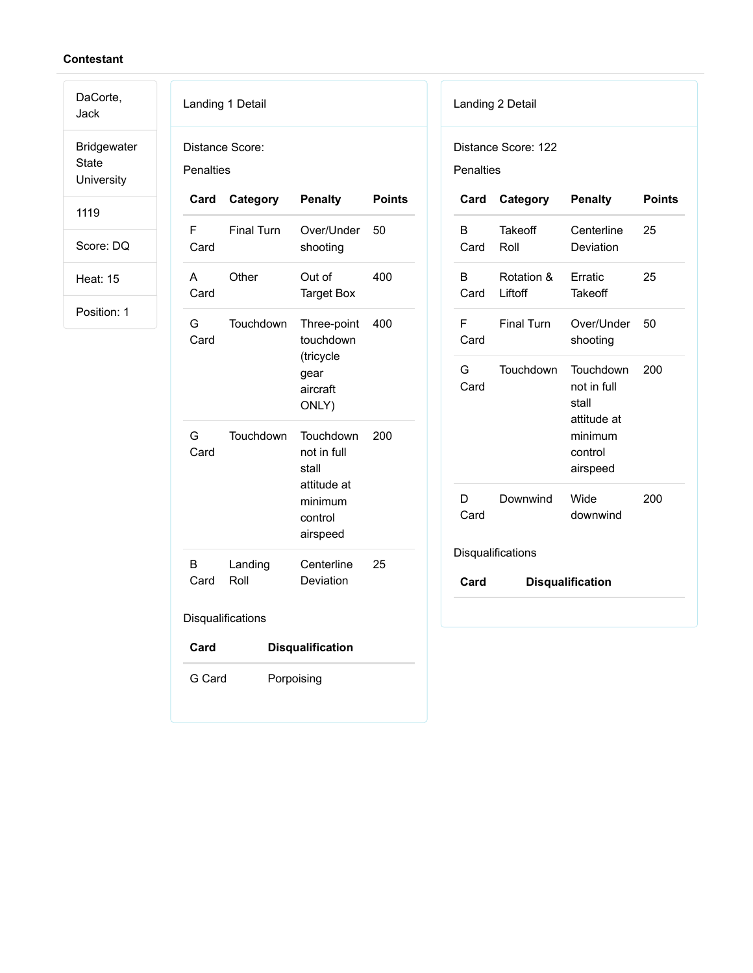DaCorte, Jack

Bridgewater State University

1119

Score: DQ

Heat: 15

|           | Landing 1 Detail  |                                                                                    |               |
|-----------|-------------------|------------------------------------------------------------------------------------|---------------|
| Penalties | Distance Score:   |                                                                                    |               |
| Card      | Category          | <b>Penalty</b>                                                                     | <b>Points</b> |
| F<br>Card | <b>Final Turn</b> | Over/Under<br>shooting                                                             | 50            |
| А<br>Card | Other             | Out of<br><b>Target Box</b>                                                        | 400           |
| G<br>Card | Touchdown         | Three-point<br>touchdown<br>(tricycle<br>gear<br>aircraft<br>ONLY)                 | 400           |
| G<br>Card | Touchdown         | Touchdown<br>not in full<br>stall<br>attitude at<br>minimum<br>control<br>airspeed | 200           |
| B<br>Card | Landing<br>Roll   | Centerline<br>Deviation                                                            | 25            |
|           | Disqualifications |                                                                                    |               |
| Card      |                   | <b>Disqualification</b>                                                            |               |
| G Card    |                   | Porpoising                                                                         |               |

| Landing 2 Detail |                                         |                                                                                    |               |  |  |
|------------------|-----------------------------------------|------------------------------------------------------------------------------------|---------------|--|--|
|                  | Distance Score: 122<br><b>Penalties</b> |                                                                                    |               |  |  |
| Card             | Category                                | <b>Penalty</b>                                                                     | <b>Points</b> |  |  |
| B<br>Card        | Takeoff<br>Roll                         | Centerline<br>Deviation                                                            | 25            |  |  |
| В.<br>Card       | Rotation &<br>Liftoff                   | Erratic<br>Takeoff                                                                 | 25            |  |  |
| F<br>Card        | <b>Final Turn</b>                       | Over/Under<br>shooting                                                             | 50            |  |  |
| G –<br>Card      | Touchdown                               | Touchdown<br>not in full<br>stall<br>attitude at<br>minimum<br>control<br>airspeed | 200           |  |  |
| D<br>Card        | Downwind                                | Wide<br>downwind                                                                   | 200           |  |  |
|                  | Disqualifications                       |                                                                                    |               |  |  |
| Card             |                                         | <b>Disqualification</b>                                                            |               |  |  |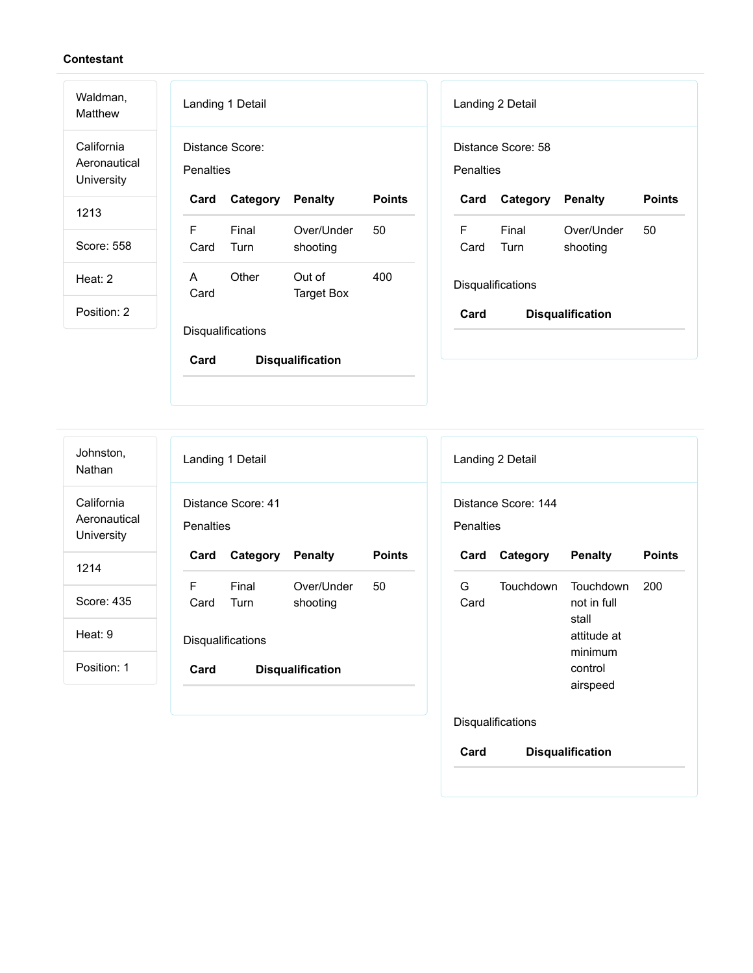Waldman,

Matthew California Aeronautical **University** 

1213

Score: 558

Heat: 2

Position: 2

|                        | Landing 1 Detail         |                        |               |  |
|------------------------|--------------------------|------------------------|---------------|--|
| <b>Penalties</b>       | Distance Score:          |                        |               |  |
| Card                   | <b>Category Penalty</b>  |                        | <b>Points</b> |  |
| F<br>Card Turn         | Final                    | Over/Under<br>shooting | 50            |  |
| $\overline{A}$<br>Card | Other                    | Out of<br>Target Box   | 400           |  |
|                        | <b>Disqualifications</b> |                        |               |  |
| Card                   | Disqualification         |                        |               |  |

|           | Landing 2 Detail         |                         |               |  |  |
|-----------|--------------------------|-------------------------|---------------|--|--|
| Penalties | Distance Score: 58       |                         |               |  |  |
| Card      | Category Penalty         |                         | <b>Points</b> |  |  |
| F<br>Card | Final<br>Turn            | Over/Under<br>shooting  | 50            |  |  |
|           | <b>Disqualifications</b> |                         |               |  |  |
| Card      |                          | <b>Disqualification</b> |               |  |  |
|           |                          |                         |               |  |  |

Landing 1 Detail Distance Score: 41 **Penalties Card Category Penalty Points** F Card Final Turn Over/Under shooting 50 **Disqualifications Card Disqualification** Landing 2 Detail Distance Score: 144 **Penalties Card Category Penalty Points** G Card Touchdown Touchdown not in full stall attitude at minimum control airspeed 200 Johnston, Nathan California Aeronautical **University** 1214 Score: 435 Heat: 9 Position: 1

**Disqualifications** 

**Card Disqualification**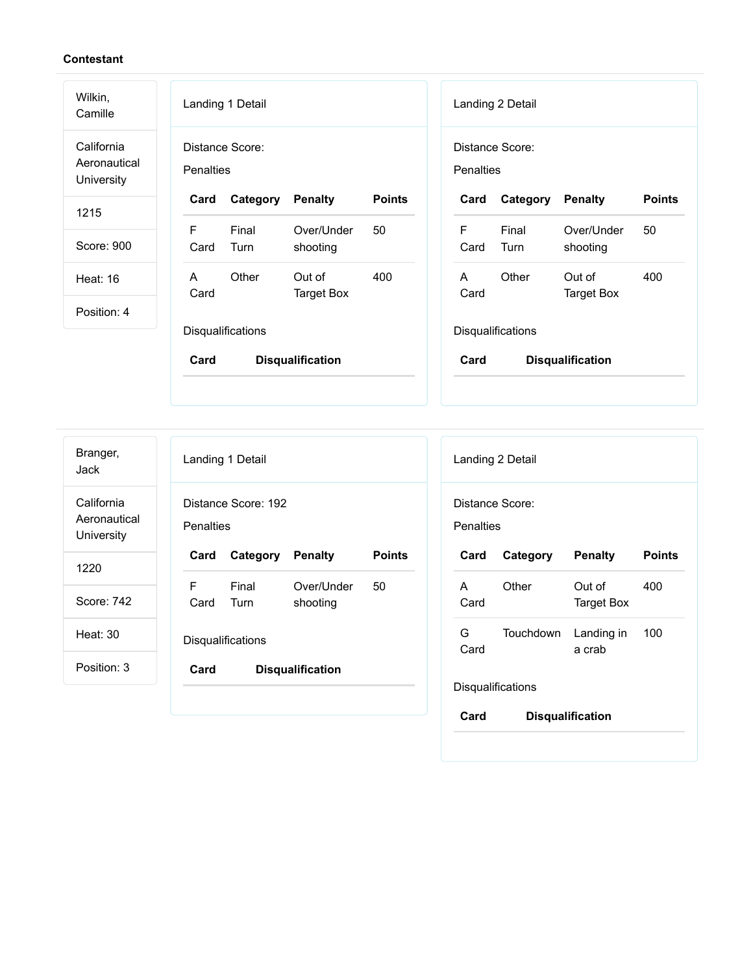| Wilkin,<br>Camille                       | Landing 1 Detail             |                             |               |                      | Landing 2 Detail  |                             |               |
|------------------------------------------|------------------------------|-----------------------------|---------------|----------------------|-------------------|-----------------------------|---------------|
| California<br>Aeronautical<br>University | Distance Score:<br>Penalties |                             |               | Penalties            | Distance Score:   |                             |               |
| 1215                                     | Card<br>Category             | <b>Penalty</b>              | <b>Points</b> | Card                 | Category          | <b>Penalty</b>              | <b>Points</b> |
|                                          | F<br>Final                   | Over/Under                  | 50            | F                    | Final             | Over/Under                  | 50            |
| Score: 900                               | Turn<br>Card                 | shooting                    |               | Card                 | Turn              | shooting                    |               |
| <b>Heat: 16</b>                          | Other<br>A<br>Card           | Out of<br><b>Target Box</b> | 400           | $\mathsf{A}$<br>Card | Other             | Out of<br><b>Target Box</b> | 400           |
| Position: 4                              |                              |                             |               |                      |                   |                             |               |
|                                          | Disqualifications            |                             |               |                      | Disqualifications |                             |               |
|                                          | Card                         | <b>Disqualification</b>     |               | Card                 |                   | <b>Disqualification</b>     |               |

| Branger,<br>Jack                         | Landing 1 Detail                        |                          |                        |               |
|------------------------------------------|-----------------------------------------|--------------------------|------------------------|---------------|
| California<br>Aeronautical<br>University | Distance Score: 192<br><b>Penalties</b> |                          |                        |               |
| 1220                                     | Card                                    | Category                 | <b>Penalty</b>         | <b>Points</b> |
| Score: 742                               | F                                       | Final<br>Card Turn       | Over/Under<br>shooting | 50            |
| <b>Heat: 30</b>                          |                                         | <b>Disqualifications</b> |                        |               |
| Position: 3                              | Card<br><b>Disqualification</b>         |                          |                        |               |
|                                          |                                         |                          |                        |               |

|                   | Landing 2 Detail |                             |               |
|-------------------|------------------|-----------------------------|---------------|
| Distance Score:   |                  |                             |               |
| Penalties         |                  |                             |               |
| Card              | Category         | <b>Penalty</b>              | <b>Points</b> |
| A<br>Card         | Other            | Out of<br><b>Target Box</b> | 400           |
| G.<br>Card        | Touchdown        | Landing in<br>a crab        | 100           |
| Disqualifications |                  |                             |               |
| Card              |                  | <b>Disqualification</b>     |               |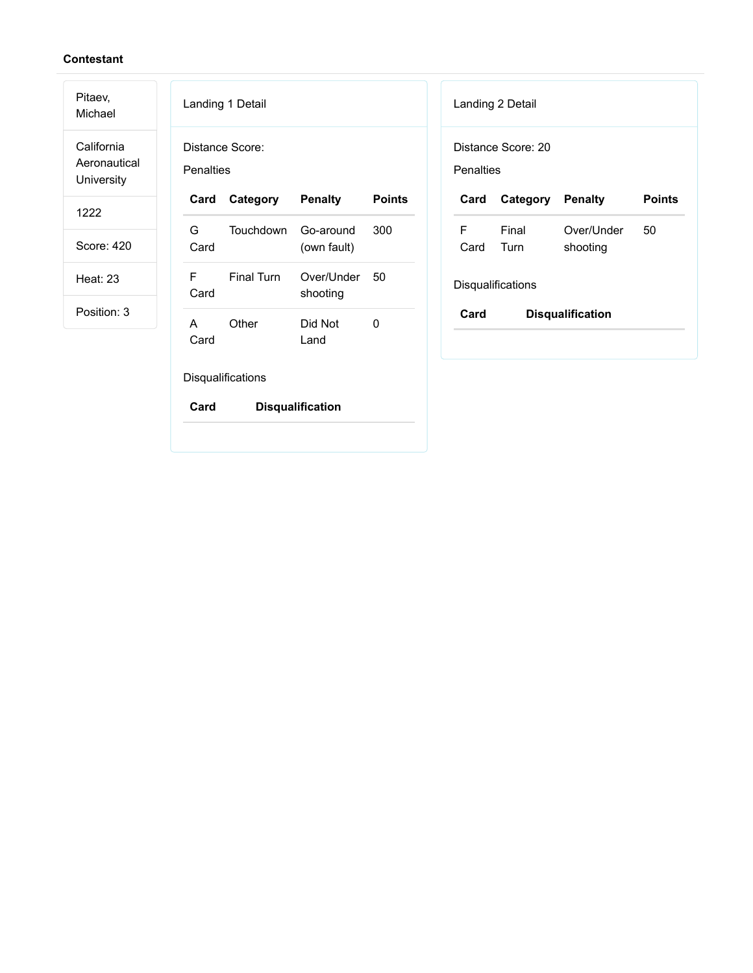Pitaev, Michael

California Aeronautical **University** 

1222

Score: 420

Heat: 23

|             | Landing 1 Detail         |                          |               |
|-------------|--------------------------|--------------------------|---------------|
| Penalties   | Distance Score:          |                          |               |
| Card        | Category                 | <b>Penalty</b>           | <b>Points</b> |
| G –<br>Card | Touchdown                | Go-around<br>(own fault) | 300           |
| Card        | F Final Turn             | Over/Under<br>shooting   | 50            |
| A<br>Card   | Other                    | Did Not<br>Land          | 0             |
|             | <b>Disqualifications</b> |                          |               |
| Card        |                          | <b>Disqualification</b>  |               |

|           | Landing 2 Detail         |                         |               |
|-----------|--------------------------|-------------------------|---------------|
|           | Distance Score: 20       |                         |               |
| Penalties |                          |                         |               |
| Card      | Category Penalty         |                         | <b>Points</b> |
| F.        | Final                    | Over/Under              | 50            |
| Card      | Turn                     | shooting                |               |
|           | <b>Disqualifications</b> |                         |               |
| Card      |                          | <b>Disqualification</b> |               |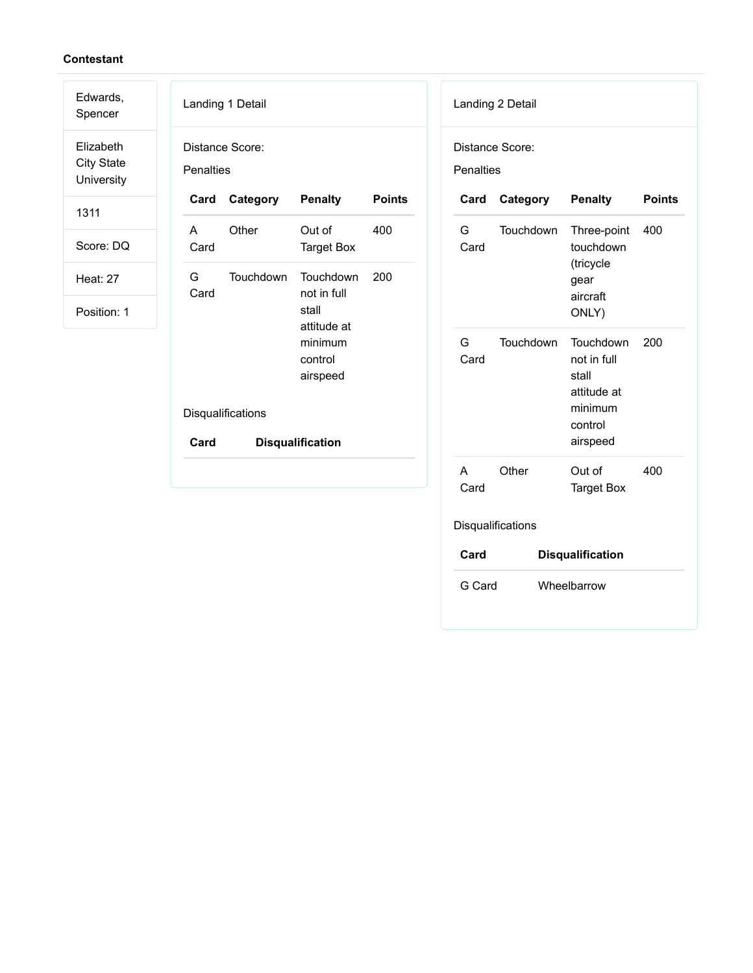| Edwards,<br>Spencer                          | Landing 1 Detail                                          | Landing 2 Detail                                                                                        |  |  |
|----------------------------------------------|-----------------------------------------------------------|---------------------------------------------------------------------------------------------------------|--|--|
| Elizabeth<br><b>City State</b><br>University | Distance Score:<br><b>Penalties</b>                       | Distance Score:<br><b>Penalties</b>                                                                     |  |  |
| 1311                                         | Card<br>Category<br><b>Penalty</b><br><b>Points</b>       | <b>Points</b><br>Category<br><b>Penalty</b><br>Card                                                     |  |  |
| Score: DQ                                    | Other<br>Out of<br>400<br>A<br>Card<br><b>Target Box</b>  | G<br>Touchdown<br>Three-point<br>400<br>touchdown<br>Card                                               |  |  |
| <b>Heat: 27</b>                              | Touchdown<br>Touchdown<br>200<br>G<br>Card<br>not in full | (tricycle<br>gear<br>aircraft                                                                           |  |  |
| Position: 1                                  | stall<br>attitude at                                      | ONLY)                                                                                                   |  |  |
|                                              | minimum<br>control<br>airspeed<br>Disqualifications       | G<br>Touchdown<br>Touchdown<br>200<br>Card<br>not in full<br>stall<br>attitude at<br>minimum<br>control |  |  |
|                                              | Card<br><b>Disqualification</b>                           | airspeed                                                                                                |  |  |
|                                              |                                                           | Other<br>Out of<br>400<br>A<br>Card<br><b>Target Box</b>                                                |  |  |

## Disqualifications

| Card   | <b>Disqualification</b> |
|--------|-------------------------|
| G Card | Wheelbarrow             |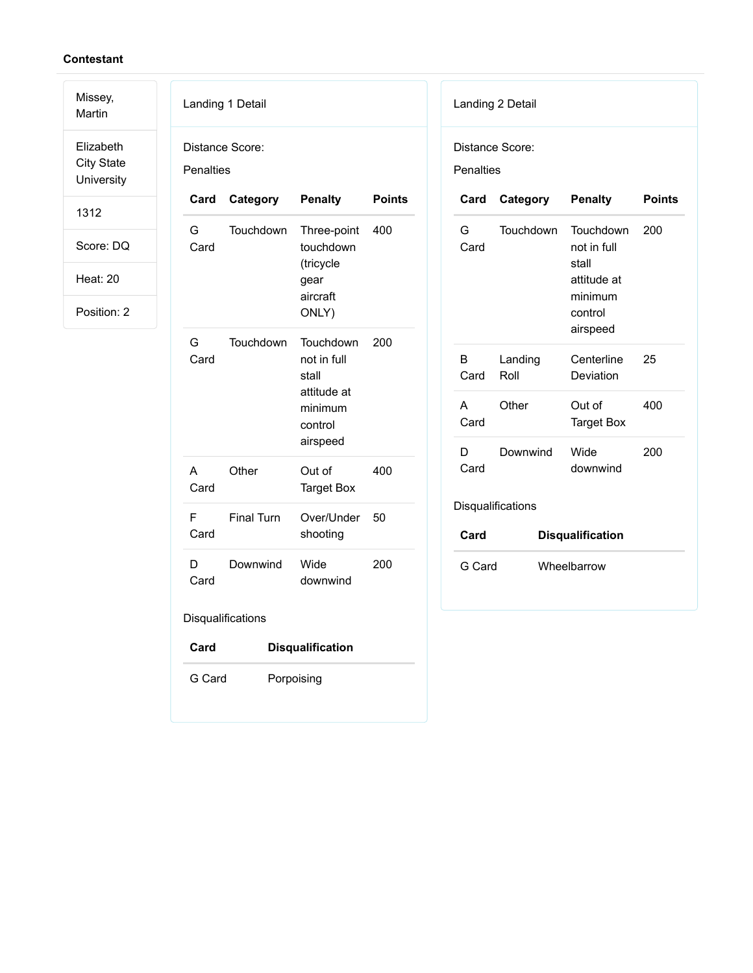Missey,

Martin Elizabeth City State University

1312

Score: DQ

Heat: 20

Position: 2

| Landing 1 Detail     |                              |                                                                                    |               |  |
|----------------------|------------------------------|------------------------------------------------------------------------------------|---------------|--|
|                      | Distance Score:<br>Penalties |                                                                                    |               |  |
| Card                 | Category                     | <b>Penalty</b>                                                                     | <b>Points</b> |  |
| G<br>Card            | Touchdown                    | Three-point 400<br>touchdown<br>(tricycle<br>gear<br>aircraft<br>ONLY)             |               |  |
| G<br>Card            | Touchdown                    | Touchdown<br>not in full<br>stall<br>attitude at<br>minimum<br>control<br>airspeed | 200           |  |
| A<br>Card            | Other                        | Out of<br><b>Target Box</b>                                                        | 400           |  |
| F<br>Card            | <b>Final Turn</b>            | Over/Under<br>shooting                                                             | 50            |  |
| D<br>Card            | Downwind                     | Wide<br>downwind                                                                   | 200           |  |
| Disqualifications    |                              |                                                                                    |               |  |
| Card                 | <b>Disqualification</b>      |                                                                                    |               |  |
| G Card<br>Porpoising |                              |                                                                                    |               |  |

| Landing 2 Detail |  |
|------------------|--|
|                  |  |

Distance Score:

Penalties

| Card              | Category        | <b>Penalty</b>                                                                     | <b>Points</b> |
|-------------------|-----------------|------------------------------------------------------------------------------------|---------------|
| G<br>Card         | Touchdown       | Touchdown<br>not in full<br>stall<br>attitude at<br>minimum<br>control<br>airspeed | 200           |
| в<br>Card         | Landing<br>Roll | Centerline<br>Deviation                                                            | 25            |
| A<br>Card         | Other           | Out of<br>Target Box                                                               | 400           |
| D<br>Card         | Downwind        | Wide<br>downwind                                                                   | 200           |
| Disqualifications |                 |                                                                                    |               |

| Card   | <b>Disqualification</b> |
|--------|-------------------------|
| G Card | Wheelbarrow             |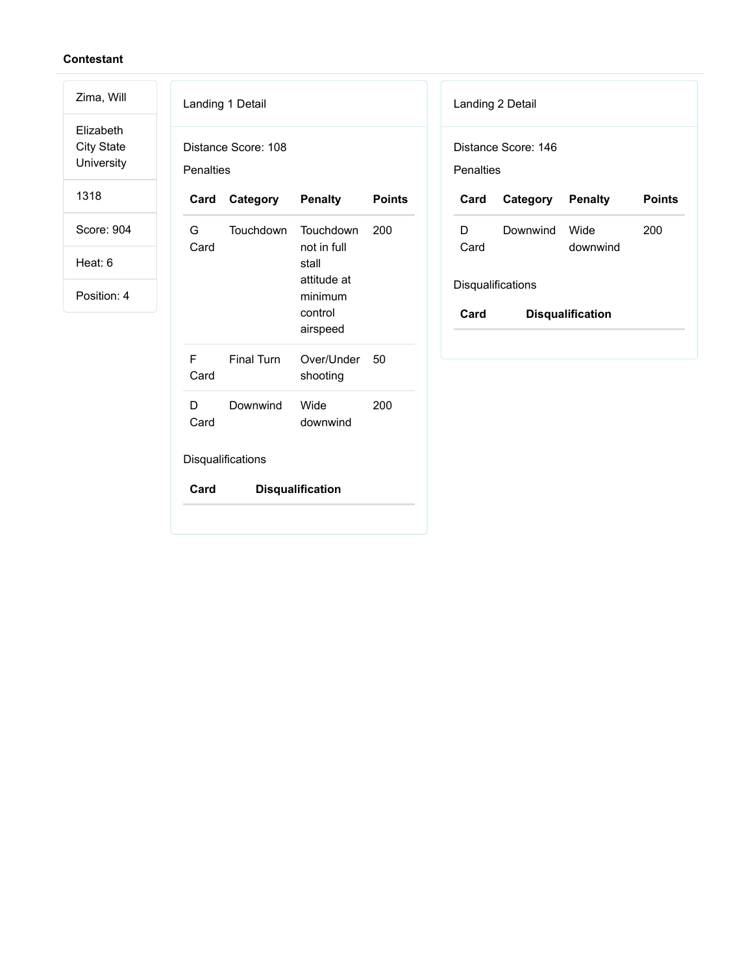Elizabeth City State University

Zima, Will

1318

Score: 904

Heat: 6

| Distance Score: 108<br><b>Penalties</b> |                      |                                                                                    |               |
|-----------------------------------------|----------------------|------------------------------------------------------------------------------------|---------------|
|                                         | <b>Card Category</b> | <b>Penalty</b>                                                                     | <b>Points</b> |
| G –<br>Card                             | Touchdown            | Touchdown<br>not in full<br>stall<br>attitude at<br>minimum<br>control<br>airspeed | 200           |
| F<br>Card                               | <b>Einal Turn</b>    | Over/Under<br>shooting                                                             | 50            |
| D<br>Card                               | Downwind             | Wide<br>downwind                                                                   | 200           |
| Disqualifications                       |                      |                                                                                    |               |
| Card                                    |                      | <b>Disqualification</b>                                                            |               |

| Landing 2 Detail                 |                         |                  |               |
|----------------------------------|-------------------------|------------------|---------------|
| Distance Score: 146<br>Penalties |                         |                  |               |
| Card                             | <b>Category Penalty</b> |                  | <b>Points</b> |
| D.<br>Card                       | Downwind                | Wide<br>downwind | 200           |
| <b>Disqualifications</b>         |                         |                  |               |
| Card<br><b>Disqualification</b>  |                         |                  |               |
|                                  |                         |                  |               |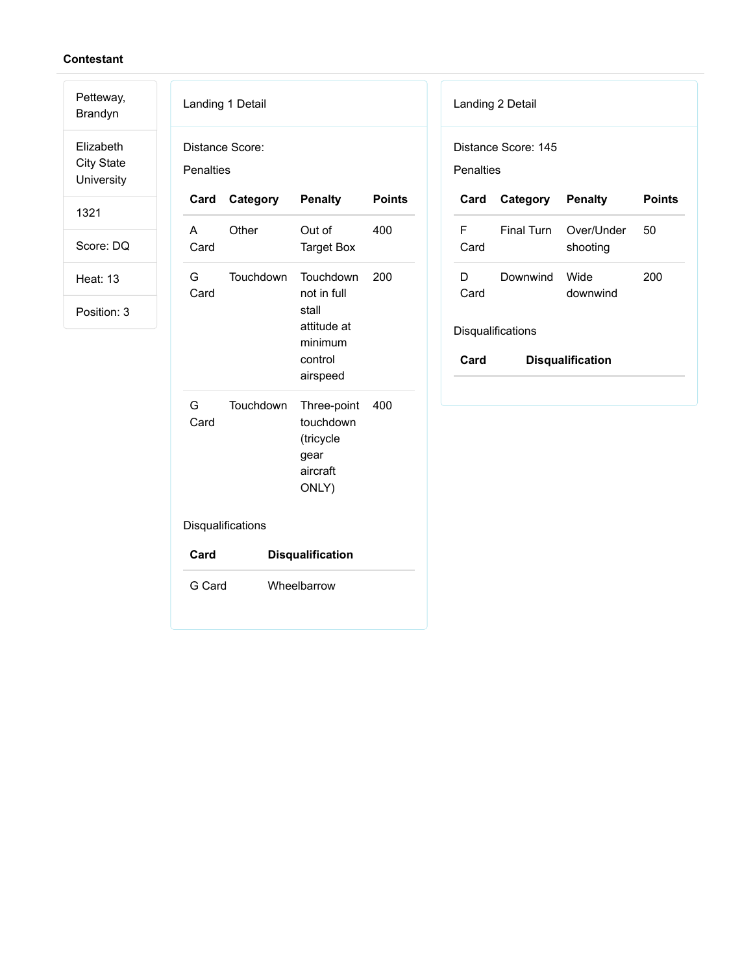Petteway, Brandyn

Elizabeth City State University

1321

Score: DQ

Heat: 13

Position: 3

| Landing 1 Detail             |           |                                                                                    |               |
|------------------------------|-----------|------------------------------------------------------------------------------------|---------------|
| Distance Score:<br>Penalties |           |                                                                                    |               |
| Card                         | Category  | <b>Penalty</b>                                                                     | <b>Points</b> |
| A<br>Card                    | Other     | Out of<br><b>Target Box</b>                                                        | 400           |
| G<br>Card                    | Touchdown | Touchdown<br>not in full<br>stall<br>attitude at<br>minimum<br>control<br>airspeed | 200           |
| G.<br>Card                   | Touchdown | Three-point<br>touchdown<br>(tricycle<br>gear<br>aircraft<br>ONLY)                 | 400           |
| Disqualifications            |           |                                                                                    |               |
| Card                         |           | <b>Disqualification</b>                                                            |               |
| G Card                       |           | Wheelbarrow                                                                        |               |

| Landing 2 Detail |  |
|------------------|--|
|------------------|--|

Distance Score: 145

Penalties

| Card                            | Category Penalty |                                   | Points |
|---------------------------------|------------------|-----------------------------------|--------|
| F<br>Card                       |                  | Final Turn Over/Under<br>shooting | 50     |
| D<br>Card                       | Downwind         | <b>Wide</b><br>downwind           | 200    |
| <b>Disqualifications</b>        |                  |                                   |        |
| Card<br><b>Disqualification</b> |                  |                                   |        |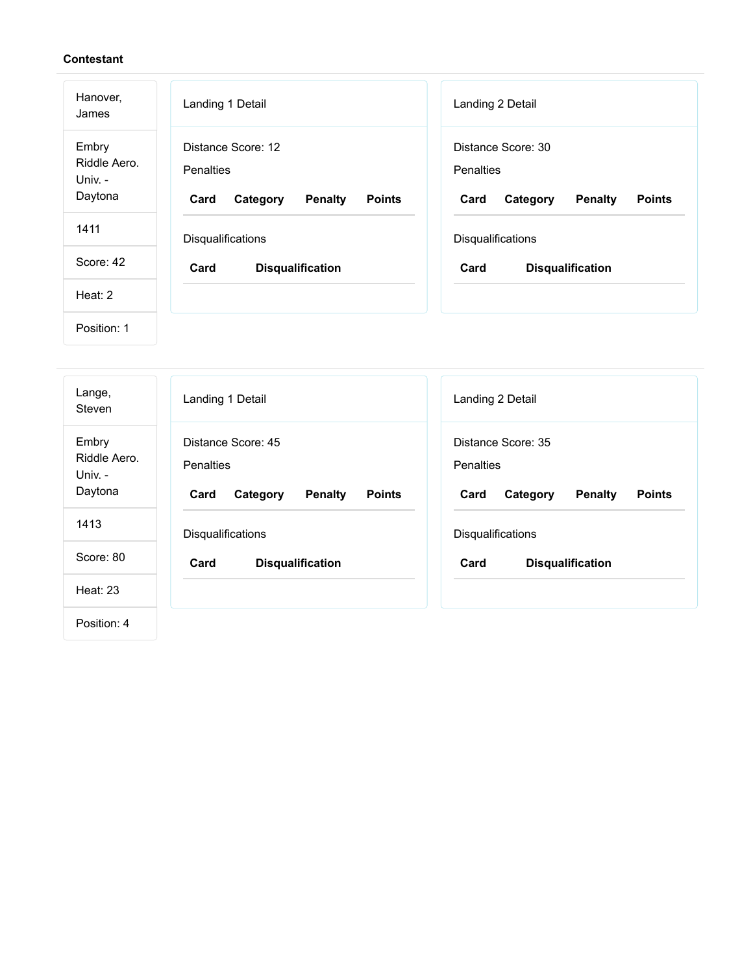| Hanover,<br>James                           | Landing 1 Detail                                                                              | Landing 2 Detail                                                                       |
|---------------------------------------------|-----------------------------------------------------------------------------------------------|----------------------------------------------------------------------------------------|
| Embry<br>Riddle Aero.<br>Univ. -<br>Daytona | Distance Score: 12<br><b>Penalties</b><br>Card<br>Category<br><b>Penalty</b><br><b>Points</b> | Distance Score: 30<br>Penalties<br>Card<br><b>Penalty</b><br><b>Points</b><br>Category |
| 1411                                        | Disqualifications                                                                             | Disqualifications                                                                      |
| Score: 42                                   | Card<br><b>Disqualification</b>                                                               | Card<br><b>Disqualification</b>                                                        |
| Heat: 2                                     |                                                                                               |                                                                                        |
| Position: 1                                 |                                                                                               |                                                                                        |

| Lange,<br>Steven                            | Landing 1 Detail                                                                              | Landing 2 Detail                                                                              |
|---------------------------------------------|-----------------------------------------------------------------------------------------------|-----------------------------------------------------------------------------------------------|
| Embry<br>Riddle Aero.<br>Univ. -<br>Daytona | Distance Score: 45<br><b>Penalties</b><br><b>Penalty</b><br><b>Points</b><br>Card<br>Category | Distance Score: 35<br><b>Penalties</b><br><b>Penalty</b><br><b>Points</b><br>Card<br>Category |
| 1413                                        | Disqualifications                                                                             | Disqualifications                                                                             |
| Score: 80                                   | Card<br><b>Disqualification</b>                                                               | Card<br><b>Disqualification</b>                                                               |
| <b>Heat: 23</b>                             |                                                                                               |                                                                                               |
| Position: 4                                 |                                                                                               |                                                                                               |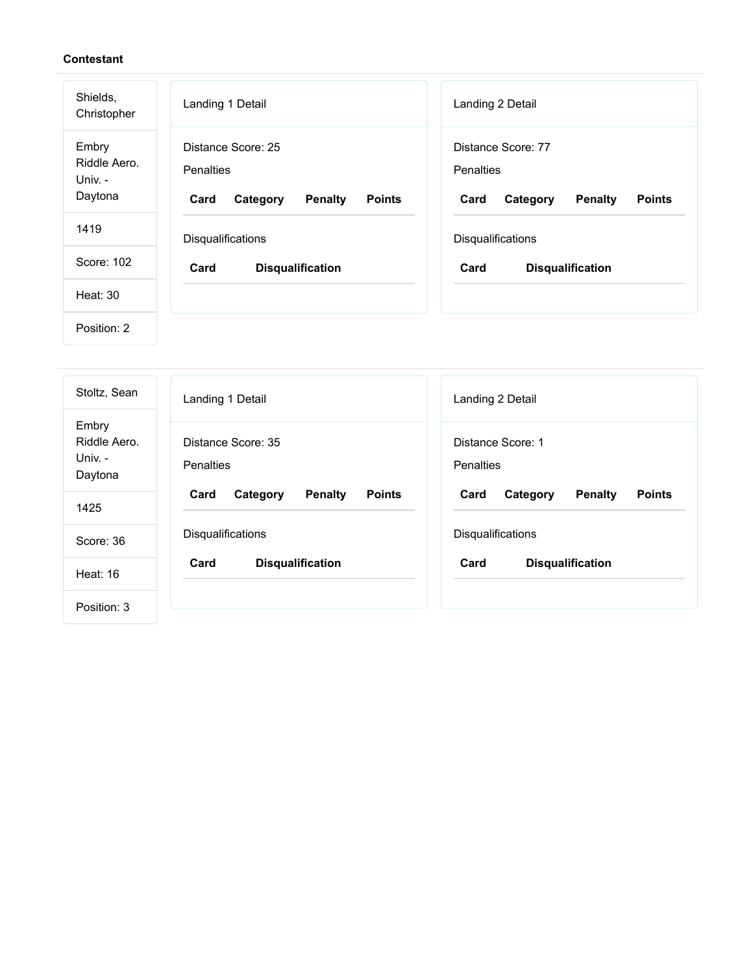| Shields,<br>Christopher                     | Landing 1 Detail                                                                       | Landing 2 Detail                                                                              |
|---------------------------------------------|----------------------------------------------------------------------------------------|-----------------------------------------------------------------------------------------------|
| Embry<br>Riddle Aero.<br>Univ. -<br>Daytona | Distance Score: 25<br>Penalties<br><b>Penalty</b><br><b>Points</b><br>Card<br>Category | Distance Score: 77<br><b>Penalties</b><br><b>Penalty</b><br><b>Points</b><br>Card<br>Category |
| 1419                                        | Disqualifications                                                                      | Disqualifications                                                                             |
| Score: 102                                  | Card<br><b>Disqualification</b>                                                        | Card<br><b>Disqualification</b>                                                               |
| Heat: 30                                    |                                                                                        |                                                                                               |
| Position: 2                                 |                                                                                        |                                                                                               |

| Stoltz, Sean                                | Landing 1 Detail                                    | Landing 2 Detail                                    |
|---------------------------------------------|-----------------------------------------------------|-----------------------------------------------------|
| Embry<br>Riddle Aero.<br>Univ. -<br>Daytona | Distance Score: 35<br><b>Penalties</b>              | Distance Score: 1<br><b>Penalties</b>               |
| 1425                                        | <b>Penalty</b><br><b>Points</b><br>Card<br>Category | Card<br><b>Penalty</b><br><b>Points</b><br>Category |
| Score: 36                                   | <b>Disqualifications</b>                            | Disqualifications                                   |
| <b>Heat: 16</b>                             | <b>Disqualification</b><br>Card                     | Card<br><b>Disqualification</b>                     |
| Position: 3                                 |                                                     |                                                     |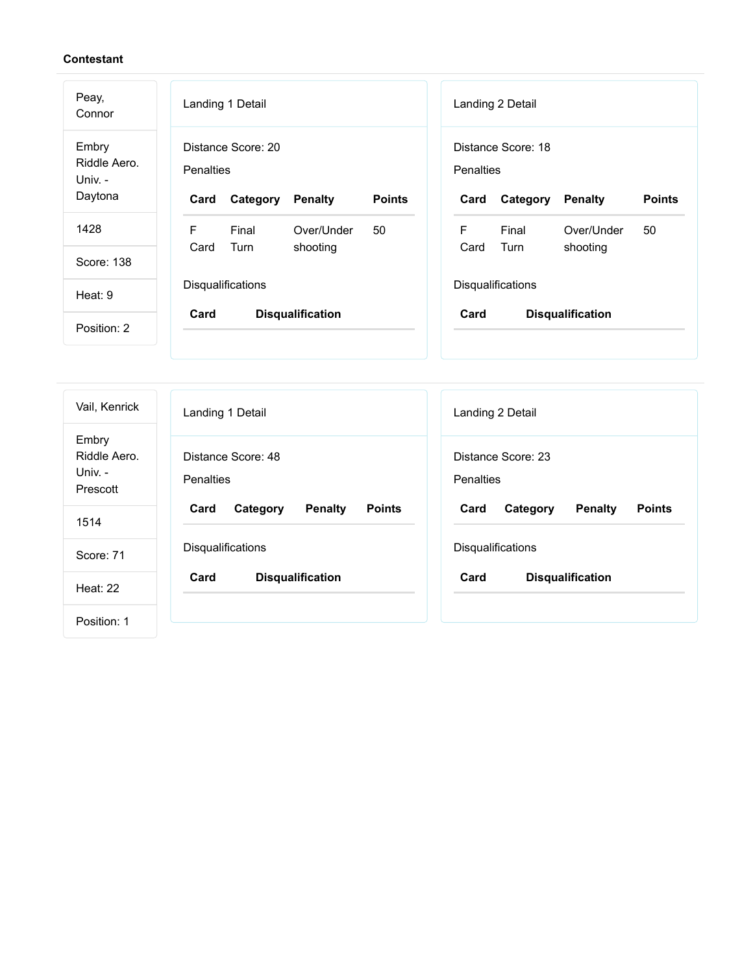| Peay,<br>Connor                             | Landing 1 Detail                                                                       | Landing 2 Detail                                                                              |
|---------------------------------------------|----------------------------------------------------------------------------------------|-----------------------------------------------------------------------------------------------|
| Embry<br>Riddle Aero.<br>Univ. -<br>Daytona | Distance Score: 20<br>Penalties<br><b>Points</b><br>Category<br><b>Penalty</b><br>Card | Distance Score: 18<br><b>Penalties</b><br><b>Points</b><br>Category<br><b>Penalty</b><br>Card |
| 1428                                        | F<br>Final<br>Over/Under<br>50                                                         | F<br>Final<br>Over/Under<br>50                                                                |
| Score: 138                                  | Card<br>Turn<br>shooting                                                               | Card<br>Turn<br>shooting                                                                      |
| Heat: 9                                     | Disqualifications                                                                      | Disqualifications                                                                             |
| Position: 2                                 | Card<br><b>Disqualification</b>                                                        | Card<br><b>Disqualification</b>                                                               |
|                                             |                                                                                        |                                                                                               |

| Vail, Kenrick                               | Landing 1 Detail                                    | Landing 2 Detail                                    |
|---------------------------------------------|-----------------------------------------------------|-----------------------------------------------------|
| Embry<br>Riddle Aero<br>Univ. -<br>Prescott | Distance Score: 48<br>Penalties                     | Distance Score: 23<br><b>Penalties</b>              |
| 1514                                        | Card<br><b>Penalty</b><br><b>Points</b><br>Category | Card<br><b>Penalty</b><br><b>Points</b><br>Category |
| Score: 71                                   | Disqualifications                                   | Disqualifications                                   |
| Heat: 22                                    | Card<br><b>Disqualification</b>                     | Card<br><b>Disqualification</b>                     |
| Position: 1                                 |                                                     |                                                     |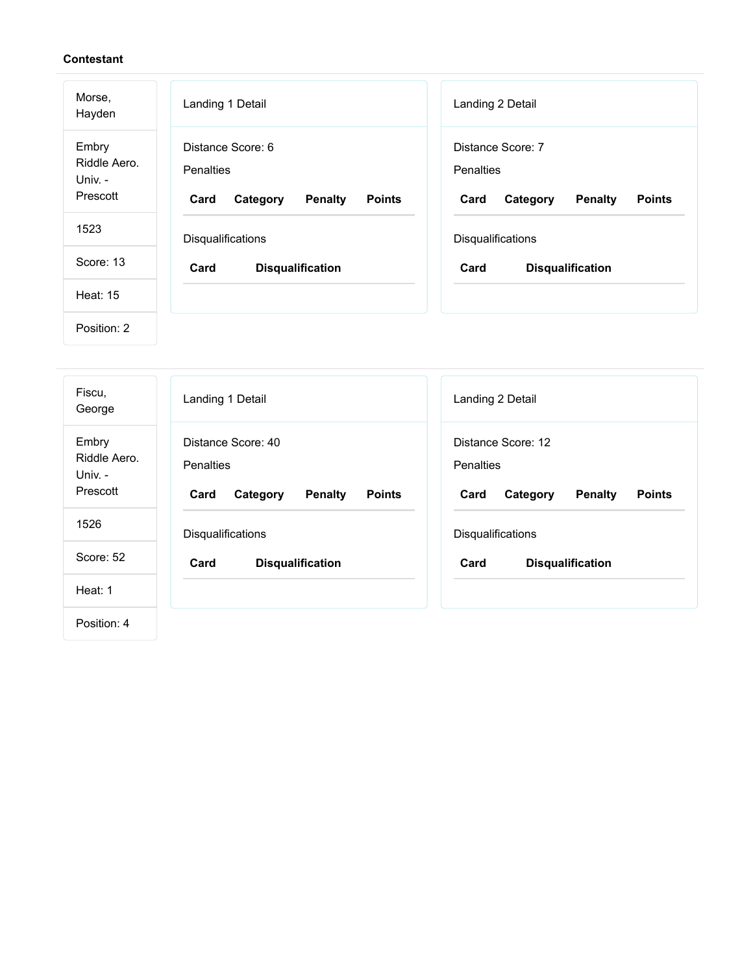| Morse,<br>Hayden                             | Landing 1 Detail                                                                             | Landing 2 Detail                                                                             |
|----------------------------------------------|----------------------------------------------------------------------------------------------|----------------------------------------------------------------------------------------------|
| Embry<br>Riddle Aero.<br>Univ. -<br>Prescott | Distance Score: 6<br><b>Penalties</b><br><b>Penalty</b><br><b>Points</b><br>Card<br>Category | Distance Score: 7<br><b>Penalties</b><br><b>Penalty</b><br><b>Points</b><br>Card<br>Category |
| 1523                                         | Disqualifications                                                                            | Disqualifications                                                                            |
| Score: 13                                    | Card<br><b>Disqualification</b>                                                              | Card<br><b>Disqualification</b>                                                              |
| <b>Heat: 15</b>                              |                                                                                              |                                                                                              |
| Position: 2                                  |                                                                                              |                                                                                              |

| Fiscu,<br>George                             | Landing 1 Detail                                                                              | Landing 2 Detail                                                                              |
|----------------------------------------------|-----------------------------------------------------------------------------------------------|-----------------------------------------------------------------------------------------------|
| Embry<br>Riddle Aero.<br>Univ. -<br>Prescott | Distance Score: 40<br><b>Penalties</b><br><b>Penalty</b><br><b>Points</b><br>Card<br>Category | Distance Score: 12<br><b>Penalties</b><br><b>Penalty</b><br><b>Points</b><br>Card<br>Category |
| 1526                                         | Disqualifications                                                                             | <b>Disqualifications</b>                                                                      |
| Score: 52                                    | <b>Disqualification</b><br>Card                                                               | Card<br><b>Disqualification</b>                                                               |
| Heat: 1                                      |                                                                                               |                                                                                               |
| Position: 4                                  |                                                                                               |                                                                                               |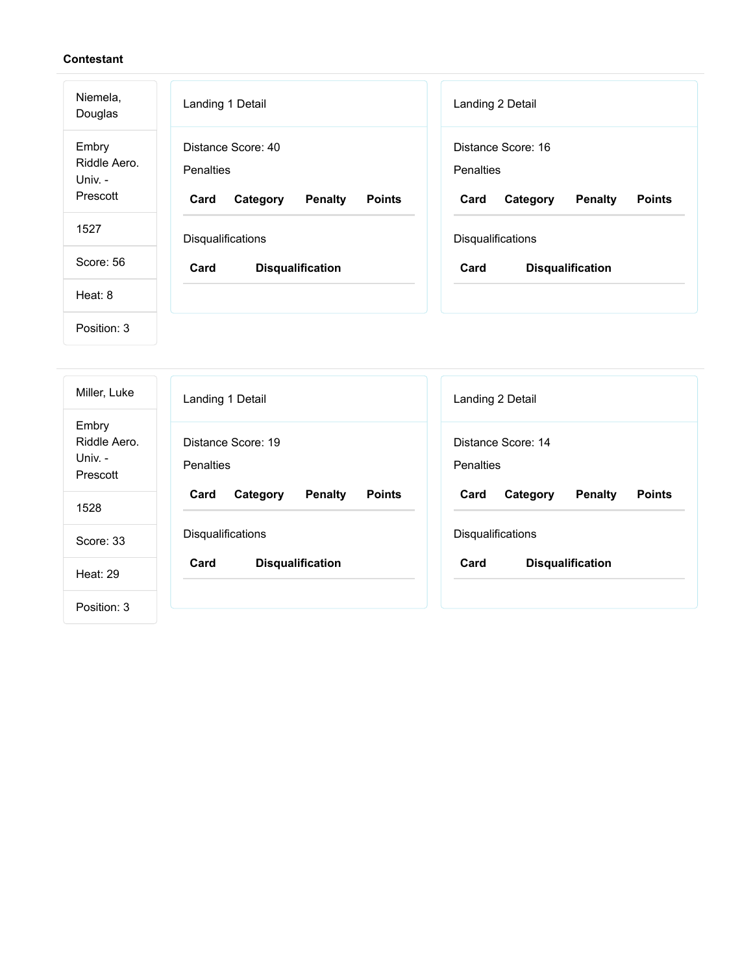| Niemela,<br>Douglas                          | Landing 1 Detail                                                                              | Landing 2 Detail                                                                              |
|----------------------------------------------|-----------------------------------------------------------------------------------------------|-----------------------------------------------------------------------------------------------|
| Embry<br>Riddle Aero.<br>Univ. -<br>Prescott | Distance Score: 40<br><b>Penalties</b><br><b>Penalty</b><br>Category<br><b>Points</b><br>Card | Distance Score: 16<br><b>Penalties</b><br>Card<br>Category<br><b>Penalty</b><br><b>Points</b> |
| 1527                                         | Disqualifications                                                                             | Disqualifications                                                                             |
| Score: 56                                    | Card<br><b>Disqualification</b>                                                               | Card<br><b>Disqualification</b>                                                               |
| Heat: 8                                      |                                                                                               |                                                                                               |
| Position: 3                                  |                                                                                               |                                                                                               |

| Miller, Luke                                 | Landing 1 Detail                                    | Landing 2 Detail                                    |
|----------------------------------------------|-----------------------------------------------------|-----------------------------------------------------|
| Embry<br>Riddle Aero.<br>Univ. -<br>Prescott | Distance Score: 19<br><b>Penalties</b>              | Distance Score: 14<br><b>Penalties</b>              |
| 1528                                         | <b>Penalty</b><br><b>Points</b><br>Card<br>Category | <b>Penalty</b><br><b>Points</b><br>Card<br>Category |
| Score: 33                                    | <b>Disqualifications</b>                            | <b>Disqualifications</b>                            |
| Heat: 29                                     | <b>Disqualification</b><br>Card                     | Card<br><b>Disqualification</b>                     |
| Position: 3                                  |                                                     |                                                     |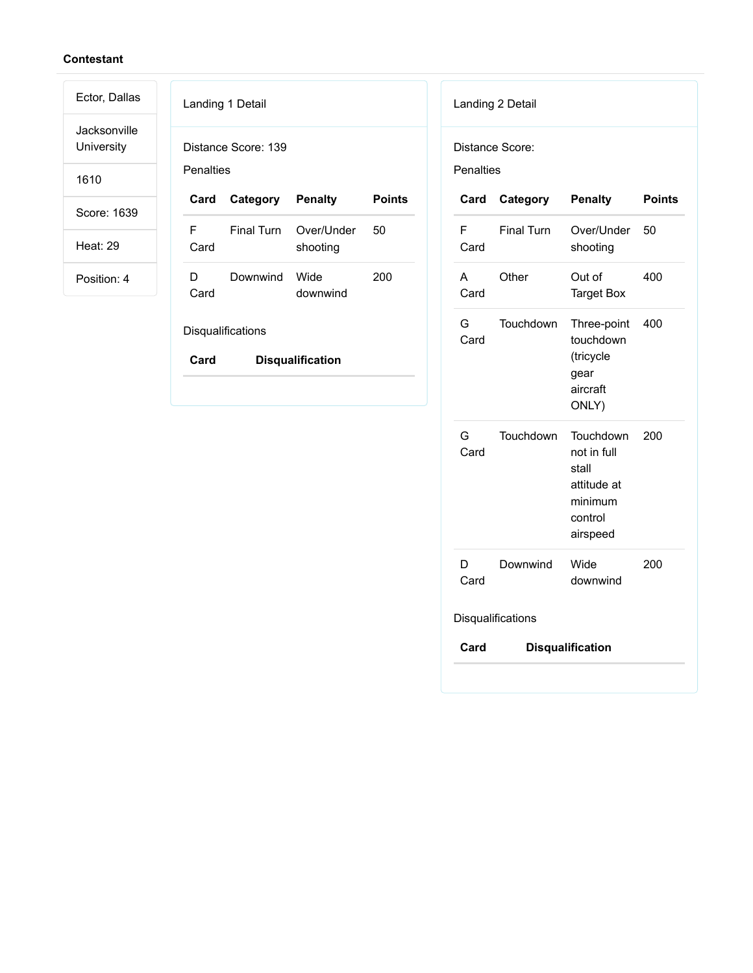Jacksonville **University** 

Ector, Dallas

1610

Score: 1639

Heat: 29

Position: 4

|            | Landing 1 Detail      |                                   |        |
|------------|-----------------------|-----------------------------------|--------|
| Penalties  | Distance Score: 139   |                                   |        |
|            | Card Category Penalty |                                   | Points |
| F.<br>Card |                       | Final Turn Over/Under<br>shooting | 50     |
| D.<br>Card | Downwind Wide         | downwind                          | 200    |
|            | Disqualifications     |                                   |        |

**Card Disqualification**

| Penalties | Distance Score:   |                                                                                    |               |
|-----------|-------------------|------------------------------------------------------------------------------------|---------------|
| Card      | Category          | <b>Penalty</b>                                                                     | <b>Points</b> |
| F<br>Card | <b>Final Turn</b> | Over/Under<br>shooting                                                             | 50            |
| A<br>Card | Other             | Out of<br><b>Target Box</b>                                                        | 400           |
| G<br>Card | Touchdown         | Three-point<br>touchdown<br>(tricycle<br>gear<br>aircraft<br>ONLY)                 | 400           |
| G<br>Card | Touchdown         | Touchdown<br>not in full<br>stall<br>attitude at<br>minimum<br>control<br>airspeed | 200           |
| D<br>Card | Downwind          | Wide<br>downwind                                                                   | 200           |
|           | Disqualifications |                                                                                    |               |
| Card      |                   | <b>Disqualification</b>                                                            |               |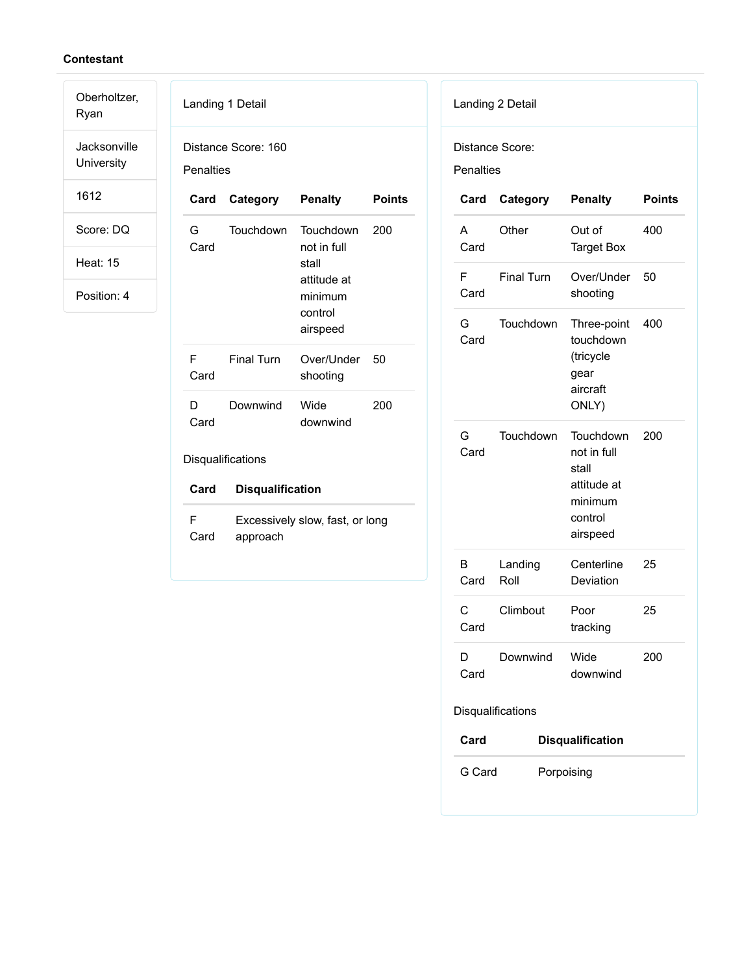Oberholtzer, Ryan

Jacksonville University

1612

Score: DQ

Heat: 15

|                  | Landing 1 Detail        |                                                                                           |               |
|------------------|-------------------------|-------------------------------------------------------------------------------------------|---------------|
| <b>Penalties</b> | Distance Score: 160     |                                                                                           |               |
| Card             | Category                | <b>Penalty</b>                                                                            | <b>Points</b> |
| G<br>Card        | Touchdown               | <b>Touchdown</b><br>not in full<br>stall<br>attitude at<br>minimum<br>control<br>airspeed | 200           |
| F<br>Card        | <b>Final Turn</b>       | Over/Under<br>shooting                                                                    | 50            |
| D.<br>Card       | Downwind                | Wide<br>downwind                                                                          | 200           |
|                  | Disqualifications       |                                                                                           |               |
| Card             | <b>Disqualification</b> |                                                                                           |               |
| F<br>Card        | approach                | Excessively slow, fast, or long                                                           |               |

|                  | Landing 2 Detail  |                                                                                    |        |
|------------------|-------------------|------------------------------------------------------------------------------------|--------|
| <b>Penalties</b> | Distance Score:   |                                                                                    |        |
| Card             | Category          | <b>Penalty</b>                                                                     | Points |
| A<br>Card        | Other             | Out of<br><b>Target Box</b>                                                        | 400    |
| F<br>Card        | <b>Final Turn</b> | Over/Under<br>shooting                                                             | 50     |
| G<br>Card        | Touchdown         | Three-point<br>touchdown<br>(tricycle<br>gear<br>aircraft<br>ONLY)                 | 400    |
| G<br>Card        | Touchdown         | Touchdown<br>not in full<br>stall<br>attitude at<br>minimum<br>control<br>airspeed | 200    |
| В<br>Card        | Landing<br>Roll   | Centerline<br>Deviation                                                            | 25     |
| С<br>Card        | Climbout          | Poor<br>tracking                                                                   | 25     |
| D<br>Card        | Downwind          | Wide<br>downwind                                                                   | 200    |
|                  | Disqualifications |                                                                                    |        |
| Card             |                   | <b>Disqualification</b>                                                            |        |
| G Card           |                   | Porpoising                                                                         |        |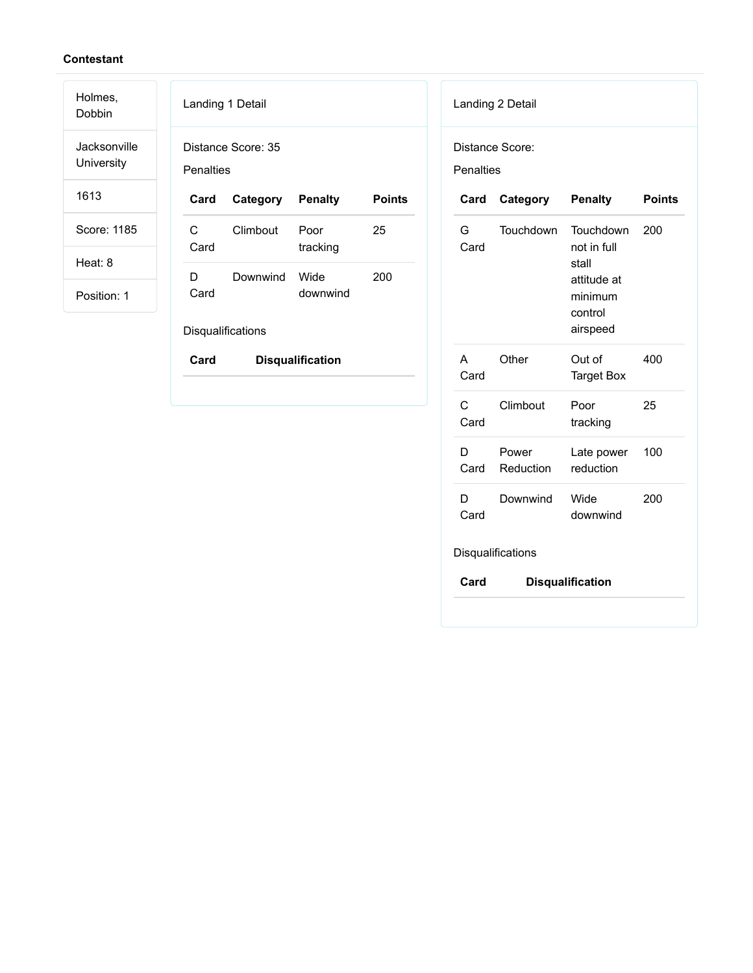Holmes, Dobbin

Jacksonville University

1613

Score: 1185

Heat: 8

Position: 1

| Landing 1 Detail |                    |                  |        |
|------------------|--------------------|------------------|--------|
| Penalties        | Distance Score: 35 |                  |        |
| Card             | Category Penalty   |                  | Points |
|                  |                    |                  |        |
| C<br>Card        | Climbout           | Poor<br>tracking | 25     |

Disqualifications

**Card Disqualification**

| Landing 2 Detail |                    |                                                                                    |               |  |
|------------------|--------------------|------------------------------------------------------------------------------------|---------------|--|
| <b>Penalties</b> | Distance Score:    |                                                                                    |               |  |
| Card             | Category           | <b>Penalty</b>                                                                     | <b>Points</b> |  |
| G<br>Card        | Touchdown          | Touchdown<br>not in full<br>stall<br>attitude at<br>minimum<br>control<br>airspeed | 200           |  |
| A<br>Card        | Other              | Out of<br><b>Target Box</b>                                                        | 400           |  |
| C.<br>Card       | Climbout           | Poor<br>tracking                                                                   | 25            |  |
| D<br>Card        | Power<br>Reduction | Late power<br>reduction                                                            | 100           |  |
| D.<br>Card       | Downwind           | Wide<br>downwind                                                                   | 200           |  |
|                  | Disqualifications  |                                                                                    |               |  |
| Card             |                    | <b>Disqualification</b>                                                            |               |  |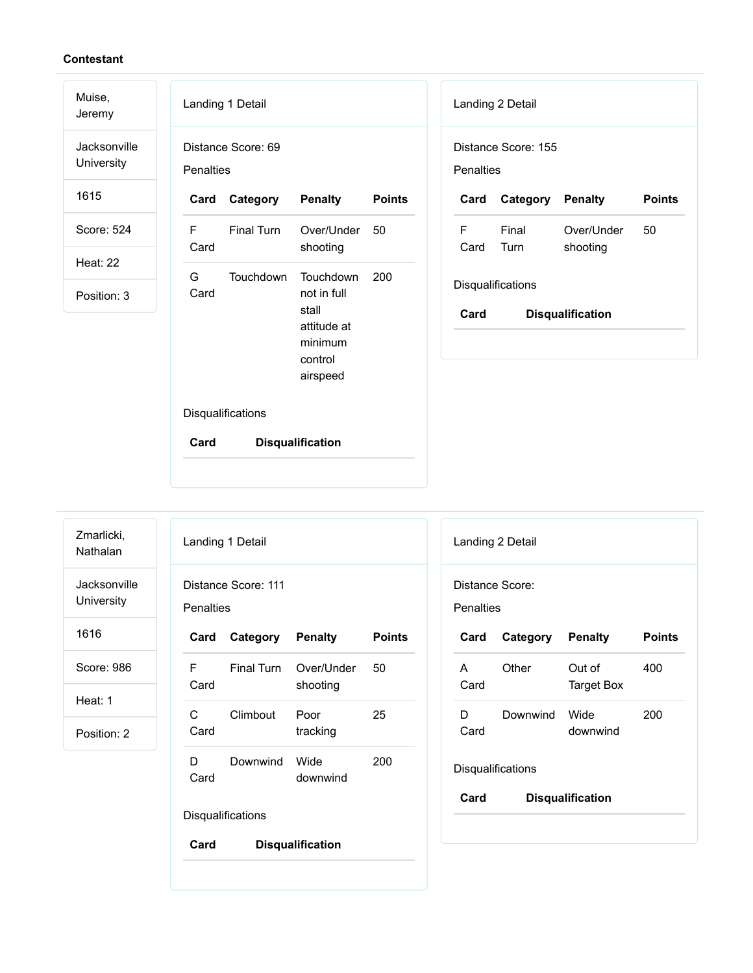| Muise,<br>Jeremy           |                                                           | Landing 1 Detail   |                                                        |               |           | Landing 2 Detail    |                         |               |
|----------------------------|-----------------------------------------------------------|--------------------|--------------------------------------------------------|---------------|-----------|---------------------|-------------------------|---------------|
| Jacksonville<br>University | Penalties                                                 | Distance Score: 69 |                                                        |               | Penalties | Distance Score: 155 |                         |               |
| 1615                       | Card                                                      | Category           | <b>Penalty</b>                                         | <b>Points</b> | Card      | Category            | <b>Penalty</b>          | <b>Points</b> |
| Score: 524                 | F<br>Card                                                 | Final Turn         | Over/Under<br>shooting                                 | 50            | F<br>Card | Final<br>Turn       | Over/Under<br>shooting  | 50            |
| <b>Heat: 22</b>            |                                                           |                    |                                                        |               |           |                     |                         |               |
| Position: 3                | G<br>Touchdown<br>Touchdown<br>200<br>not in full<br>Card |                    | Disqualifications                                      |               |           |                     |                         |               |
|                            |                                                           |                    | stall<br>attitude at<br>minimum<br>control<br>airspeed |               | Card      |                     | <b>Disqualification</b> |               |
|                            |                                                           | Disqualifications  |                                                        |               |           |                     |                         |               |
|                            | Card                                                      |                    | <b>Disqualification</b>                                |               |           |                     |                         |               |

| Zmarlicki,<br>Nathalan     |                  | Landing 1 Detail    |                         |               | La       |
|----------------------------|------------------|---------------------|-------------------------|---------------|----------|
| Jacksonville<br>University | <b>Penalties</b> | Distance Score: 111 |                         |               | Di<br>Pe |
| 1616                       | Card             | Category            | <b>Penalty</b>          | <b>Points</b> | C        |
| Score: 986                 | F<br>Card        | Final Turn          | Over/Under<br>shooting  | 50            | A<br>C   |
| Heat: 1<br>Position: 2     | C<br>Card        | Climbout            | Poor<br>tracking        | 25            | Е<br>C   |
|                            | D<br>Card        | Downwind            | Wide<br>downwind        | 200           | Di.      |
|                            |                  | Disqualifications   |                         |               | C        |
|                            | Card             |                     | <b>Disqualification</b> |               |          |

|           | Distance Score:   |                         |               |
|-----------|-------------------|-------------------------|---------------|
| Penalties |                   |                         |               |
| Card      | Category Penalty  |                         | <b>Points</b> |
| A<br>Card | Other             | Out of<br>Target Box    | 400           |
| D<br>Card | Downwind          | Wide<br>downwind        | 200           |
|           | Disqualifications |                         |               |
| Card      |                   | <b>Disqualification</b> |               |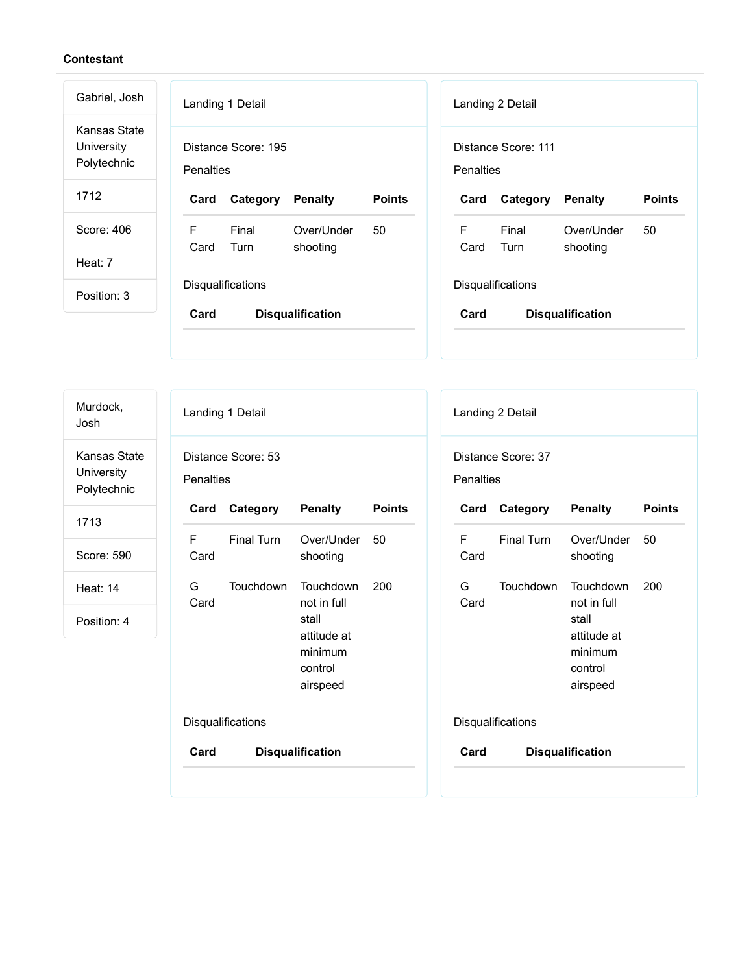Landing 1 Detail Distance Score: 195 **Penalties Card Category Penalty Points** F Card Final Turn Over/Under shooting 50 **Disqualifications Card Disqualification** Landing 2 Detail Distance Score: 111 **Penalties Card Category Penalty Points** F Card Final Turn Over/Under shooting 50 **Disqualifications Card Disqualification** Gabriel, Josh Kansas State **University** Polytechnic 1712 Score: 406 Heat: 7 Position: 3

Murdock, Josh

Kansas State **University** Polytechnic

1713

Score: 590

Heat: 14

| Landing 1 Detail                       |                   |                                                                                    |               |  |
|----------------------------------------|-------------------|------------------------------------------------------------------------------------|---------------|--|
| Distance Score: 53<br><b>Penalties</b> |                   |                                                                                    |               |  |
| Card                                   | Category          | <b>Penalty</b>                                                                     | <b>Points</b> |  |
| F<br>Card                              | <b>Final Turn</b> | Over/Under 50<br>shooting                                                          |               |  |
| G.<br>Card                             | Touchdown         | Touchdown<br>not in full<br>stall<br>attitude at<br>minimum<br>control<br>airspeed | 200           |  |
| Disqualifications                      |                   |                                                                                    |               |  |
| Card                                   |                   | <b>Disqualification</b>                                                            |               |  |

| Penalties         | Distance Score: 37 |                                                                                    |               |
|-------------------|--------------------|------------------------------------------------------------------------------------|---------------|
|                   | Card Category      | <b>Penalty</b>                                                                     | <b>Points</b> |
| F<br>Card         | <b>Final Turn</b>  | Over/Under<br>shooting                                                             | 50            |
| G<br>Card         | Touchdown          | Touchdown<br>not in full<br>stall<br>attitude at<br>minimum<br>control<br>airspeed | 200           |
| Disqualifications |                    |                                                                                    |               |
| Card              |                    | <b>Disqualification</b>                                                            |               |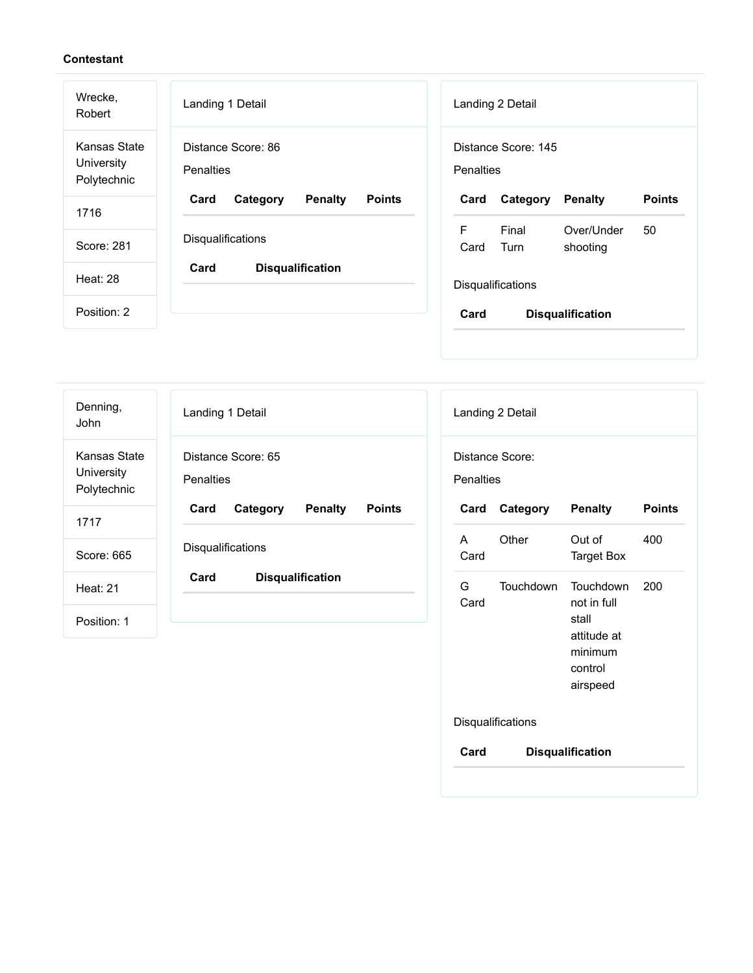| Wrecke,<br>Robert                         | Landing 1 Detail                                    | Landing 2 Detail                                           |
|-------------------------------------------|-----------------------------------------------------|------------------------------------------------------------|
| Kansas State<br>University<br>Polytechnic | Distance Score: 86<br><b>Penalties</b>              | Distance Score: 145<br>Penalties                           |
| 1716                                      | Card<br><b>Penalty</b><br><b>Points</b><br>Category | <b>Points</b><br>Penalty<br>Card<br>Category               |
| Score: 281                                | Disqualifications                                   | F<br>Final<br>Over/Under<br>50<br>Card<br>Turn<br>shooting |
| <b>Heat: 28</b>                           | Card<br><b>Disqualification</b>                     | <b>Disqualifications</b>                                   |
| Position: 2                               |                                                     | Card<br><b>Disqualification</b>                            |
|                                           |                                                     |                                                            |

| Denning,<br>John                          | Landing 1 Detail                                    |
|-------------------------------------------|-----------------------------------------------------|
| Kansas State<br>University<br>Polytechnic | Distance Score: 65<br><b>Penalties</b>              |
| 1717                                      | Card<br>Category<br><b>Penalty</b><br><b>Points</b> |
| Score: 665                                | <b>Disqualifications</b>                            |
| <b>Heat: 21</b>                           | Card<br><b>Disqualification</b>                     |
| Position: 1                               |                                                     |

| Distance Score:   |                   |                                                                                    |               |
|-------------------|-------------------|------------------------------------------------------------------------------------|---------------|
| Penalties<br>Card | Category          | <b>Penalty</b>                                                                     | <b>Points</b> |
| A<br>Card         | Other             | Out of<br><b>Target Box</b>                                                        | 400           |
| G.<br>Card        | Touchdown         | Touchdown<br>not in full<br>stall<br>attitude at<br>minimum<br>control<br>airspeed | 200           |
|                   | Disqualifications |                                                                                    |               |
| Card              |                   | <b>Disqualification</b>                                                            |               |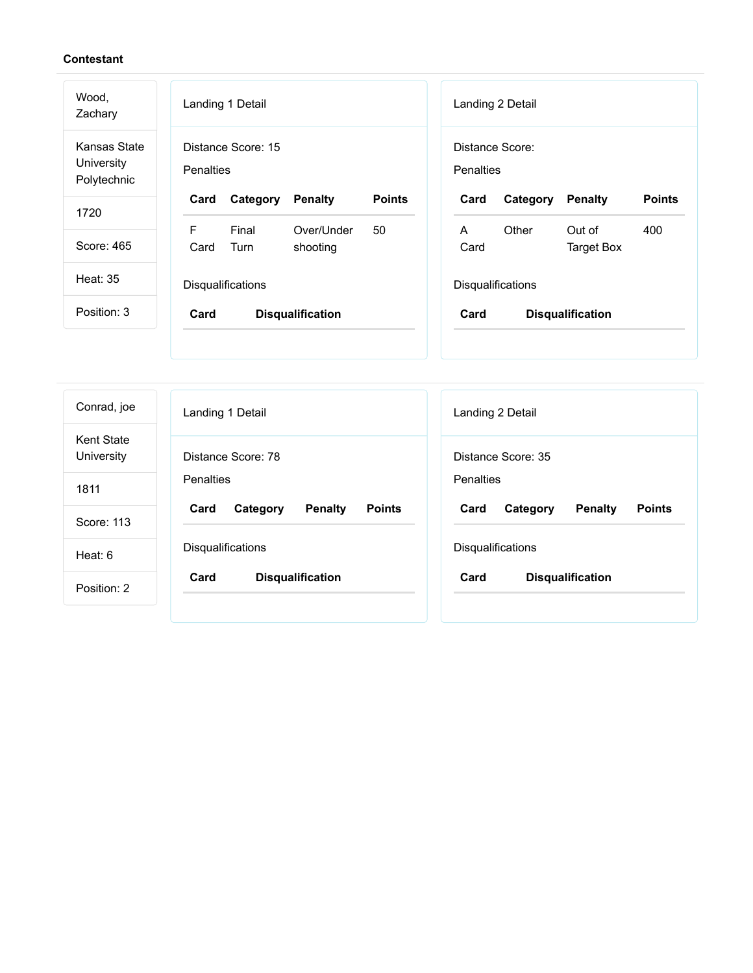| Wood,<br>Zachary                          | Landing 1 Detail                                           | Landing 2 Detail                                                    |
|-------------------------------------------|------------------------------------------------------------|---------------------------------------------------------------------|
| Kansas State<br>University<br>Polytechnic | Distance Score: 15<br><b>Penalties</b>                     | Distance Score:<br><b>Penalties</b>                                 |
| 1720                                      | <b>Points</b><br>Category<br><b>Penalty</b><br>Card        | <b>Points</b><br>Category<br><b>Penalty</b><br>Card                 |
| Score: 465                                | F<br>Final<br>Over/Under<br>50<br>Card<br>Turn<br>shooting | Other<br>Out of<br>400<br>$\mathsf{A}$<br>Card<br><b>Target Box</b> |
| <b>Heat: 35</b>                           | Disqualifications                                          | Disqualifications                                                   |
| Position: 3                               | Card<br><b>Disqualification</b>                            | Card<br><b>Disqualification</b>                                     |
|                                           |                                                            |                                                                     |
| Conrad, joe                               | Landing 1 Detail                                           | Landing 2 Detail                                                    |

| Conrad, joe                     | Landing 1 Detail                                    | Landing 2 Detail                                    |
|---------------------------------|-----------------------------------------------------|-----------------------------------------------------|
| <b>Kent State</b><br>University | Distance Score: 78                                  | Distance Score: 35                                  |
| 1811                            | Penalties                                           | Penalties                                           |
| Score: 113                      | <b>Points</b><br>Card<br>Category<br><b>Penalty</b> | <b>Points</b><br>Card<br>Category<br><b>Penalty</b> |
| Heat: 6                         | Disqualifications                                   | <b>Disqualifications</b>                            |
| Position: 2                     | Card<br><b>Disqualification</b>                     | Card<br><b>Disqualification</b>                     |
|                                 |                                                     |                                                     |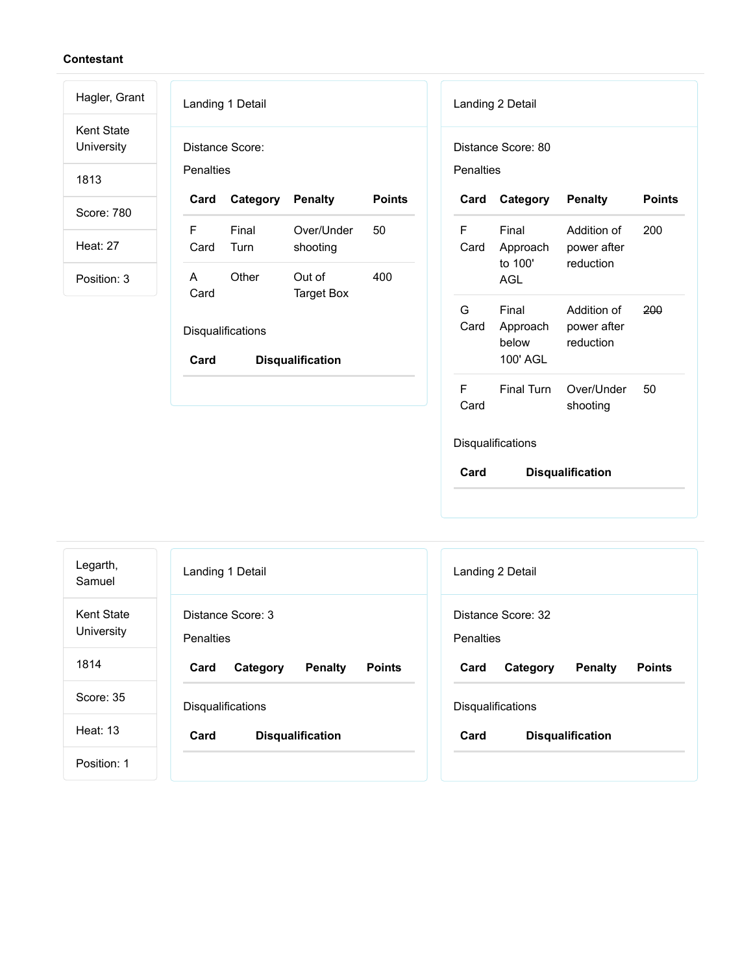| Hagler, Grant                   | Landing 1 Detail<br>Landing 2 Detail                                                                                                                          |
|---------------------------------|---------------------------------------------------------------------------------------------------------------------------------------------------------------|
| <b>Kent State</b><br>University | Distance Score:<br>Distance Score: 80                                                                                                                         |
| 1813                            | <b>Penalties</b><br><b>Penalties</b>                                                                                                                          |
| Score: 780                      | Category<br><b>Points</b><br>Category<br><b>Points</b><br>Card<br><b>Penalty</b><br>Card<br><b>Penalty</b>                                                    |
| <b>Heat: 27</b>                 | Final<br>Over/Under<br>50<br>F<br>F<br>Final<br>Addition of<br>200<br>Card<br>Turn<br>Card<br>shooting<br>Approach<br>power after                             |
| Position: 3                     | to 100'<br>reduction<br>Other<br>400<br>$\mathsf{A}$<br>Out of<br><b>AGL</b><br>Card<br><b>Target Box</b>                                                     |
|                                 | G<br>Final<br>200<br>Addition of<br>Card<br>Approach<br>power after<br>Disqualifications<br>below<br>reduction<br>100' AGL<br>Card<br><b>Disqualification</b> |
|                                 | F.<br><b>Final Turn</b><br>Over/Under<br>50<br>Card<br>shooting                                                                                               |
|                                 | Disqualifications                                                                                                                                             |
|                                 | Card<br><b>Disqualification</b>                                                                                                                               |

| Legarth,<br>Samuel       | Landing 1 Detail                             | Landing 2 Detail                                    |
|--------------------------|----------------------------------------------|-----------------------------------------------------|
| Kent State<br>University | Distance Score: 3<br><b>Penalties</b>        | Distance Score: 32<br>Penalties                     |
| 1814                     | Penalty<br><b>Points</b><br>Card<br>Category | <b>Penalty</b><br><b>Points</b><br>Card<br>Category |
| Score: 35                | <b>Disqualifications</b>                     | Disqualifications                                   |
| Heat: 13                 | <b>Disqualification</b><br>Card              | Card<br><b>Disqualification</b>                     |
| Position: 1              |                                              |                                                     |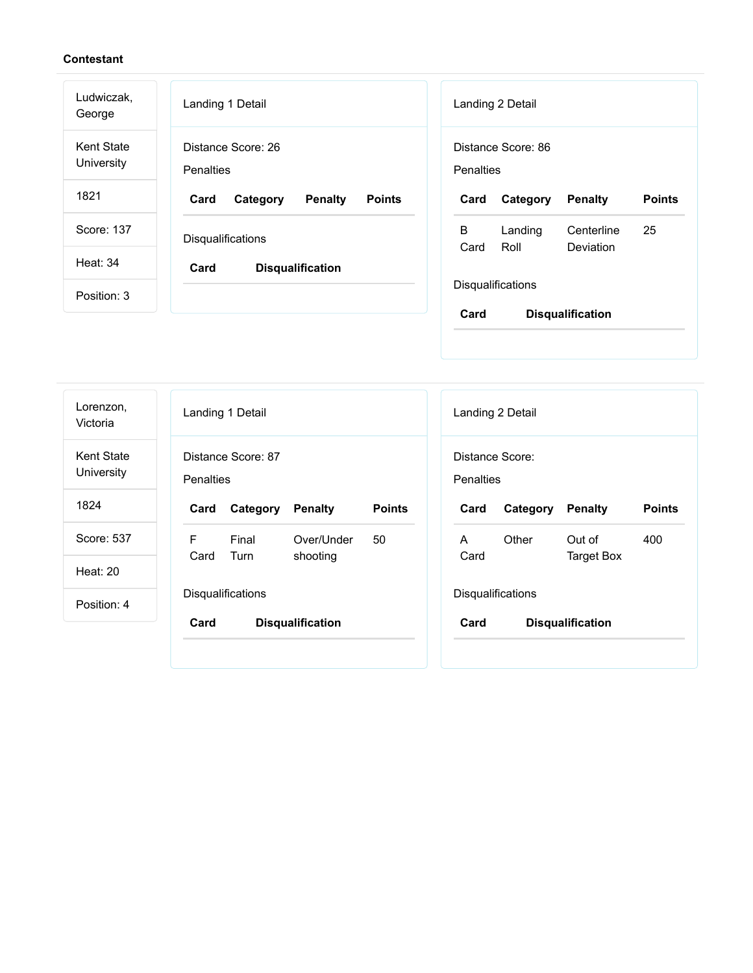| Distance Score: 86                                   |  |
|------------------------------------------------------|--|
| <b>Points</b><br><b>Penalty</b><br>Category          |  |
| 25<br>Landing<br>Centerline<br>Roll<br>Deviation     |  |
|                                                      |  |
| Disqualifications<br>Card<br><b>Disqualification</b> |  |
|                                                      |  |

| Distance Score:<br>Penalties                             |
|----------------------------------------------------------|
|                                                          |
| <b>Points</b><br>Card<br><b>Penalty</b><br>Category      |
| 400<br>Other<br>Out of<br>A<br>Card<br><b>Target Box</b> |
|                                                          |
| Disqualifications                                        |
|                                                          |
|                                                          |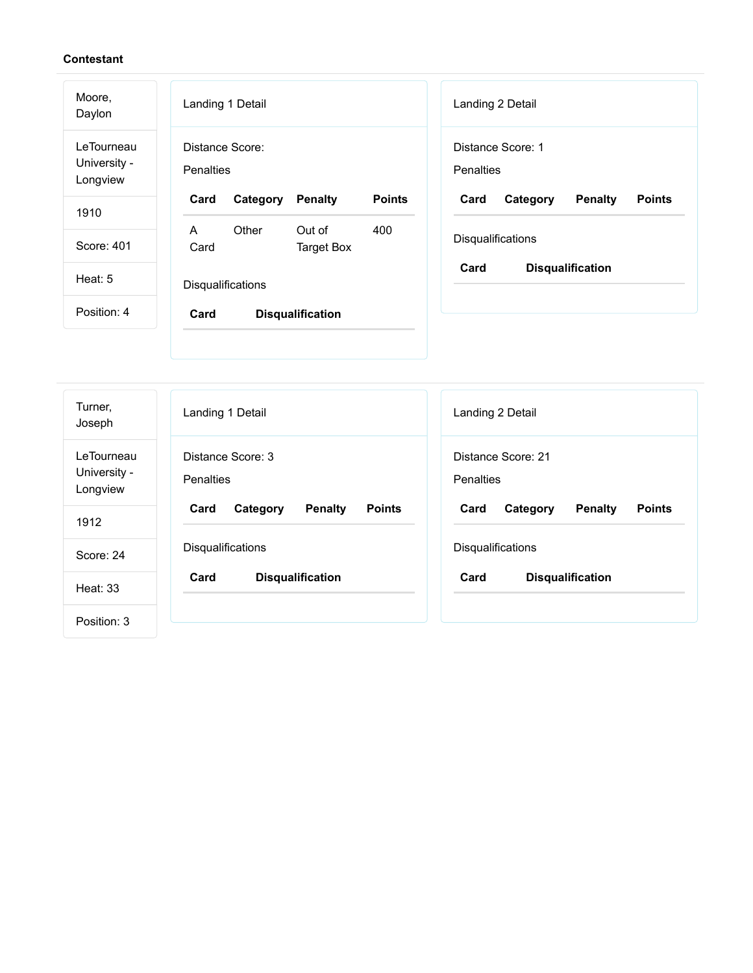| Moore,<br>Daylon                       | Landing 1 Detail                                                    | Landing 2 Detail                                    |  |
|----------------------------------------|---------------------------------------------------------------------|-----------------------------------------------------|--|
| LeTourneau<br>University -<br>Longview | Distance Score:<br>Penalties                                        | Distance Score: 1<br>Penalties                      |  |
| 1910                                   | <b>Points</b><br>Category<br><b>Penalty</b><br>Card                 | <b>Points</b><br>Category<br><b>Penalty</b><br>Card |  |
| Score: 401                             | Other<br>400<br>Out of<br>$\mathsf{A}$<br>Card<br><b>Target Box</b> | Disqualifications                                   |  |
| Heat: 5                                | Disqualifications                                                   | Card<br><b>Disqualification</b>                     |  |
| Position: 4                            | Card<br><b>Disqualification</b>                                     |                                                     |  |
| Turner,<br>Joseph                      | Landing 1 Detail                                                    | Landing 2 Detail                                    |  |
| LeTourneau<br>University -             | Distance Score: 3<br>Penalties                                      | Distance Score: 21<br>Penalties                     |  |
| Longview                               |                                                                     |                                                     |  |

Disqualifications

**Card Disqualification**

Score: 24

Disqualifications

**Card Disqualification**

Heat: 33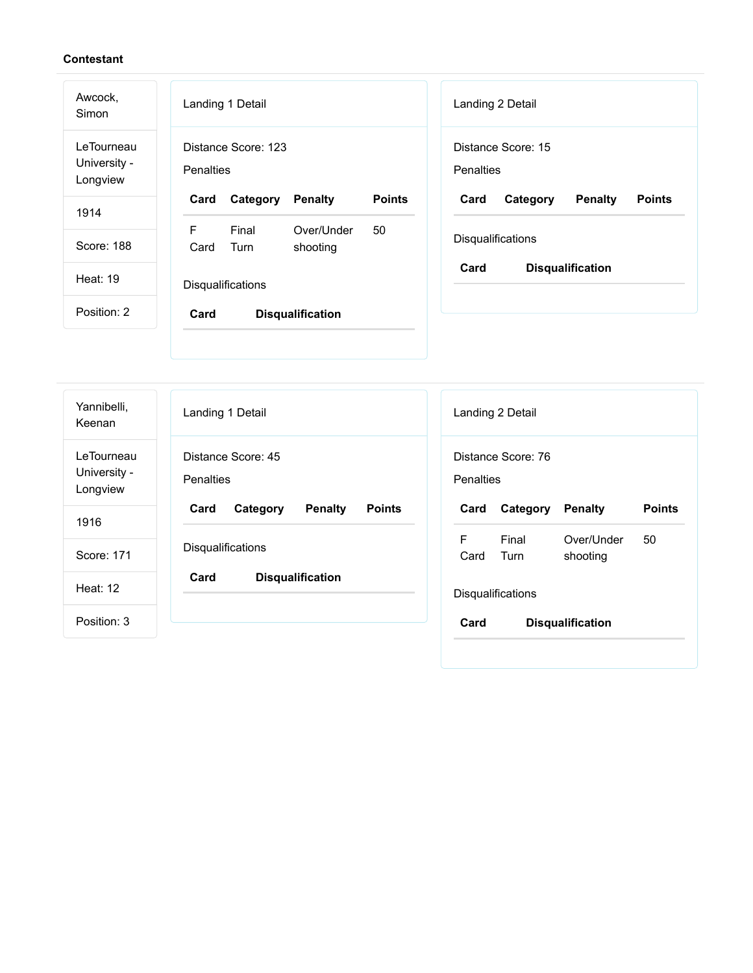$\overline{a}$ 

| Awcock,<br>Simon                       | Landing 1 Detail<br>Landing 2 Detail                                                                       |
|----------------------------------------|------------------------------------------------------------------------------------------------------------|
| LeTourneau<br>University -<br>Longview | Distance Score: 15<br>Distance Score: 123<br><b>Penalties</b><br><b>Penalties</b>                          |
| 1914                                   | <b>Points</b><br>Card<br>Category<br><b>Penalty</b><br>Card<br>Category<br><b>Penalty</b><br><b>Points</b> |
|                                        | F<br>Final<br>50<br>Over/Under                                                                             |
| Score: 188                             | Disqualifications<br>Card<br>Turn<br>shooting                                                              |
| <b>Heat: 19</b>                        | Card<br><b>Disqualification</b><br>Disqualifications                                                       |
| Position: 2                            | Card<br><b>Disqualification</b>                                                                            |
|                                        |                                                                                                            |
|                                        |                                                                                                            |
|                                        |                                                                                                            |

| Yannibelli,<br>Keenan                  | Landing 1 Detail                                    | Landing 2 Detail                                           |
|----------------------------------------|-----------------------------------------------------|------------------------------------------------------------|
| LeTourneau<br>University -<br>Longview | Distance Score: 45<br><b>Penalties</b>              | Distance Score: 76<br>Penalties                            |
| 1916                                   | <b>Penalty</b><br><b>Points</b><br>Card<br>Category | <b>Points</b><br>Penalty<br>Card<br>Category               |
| Score: 171                             | <b>Disqualifications</b>                            | F<br>Final<br>Over/Under<br>50<br>Card<br>Turn<br>shooting |
| Heat: 12                               | Card<br><b>Disqualification</b>                     | Disqualifications                                          |
| Position: 3                            |                                                     | Card<br><b>Disqualification</b>                            |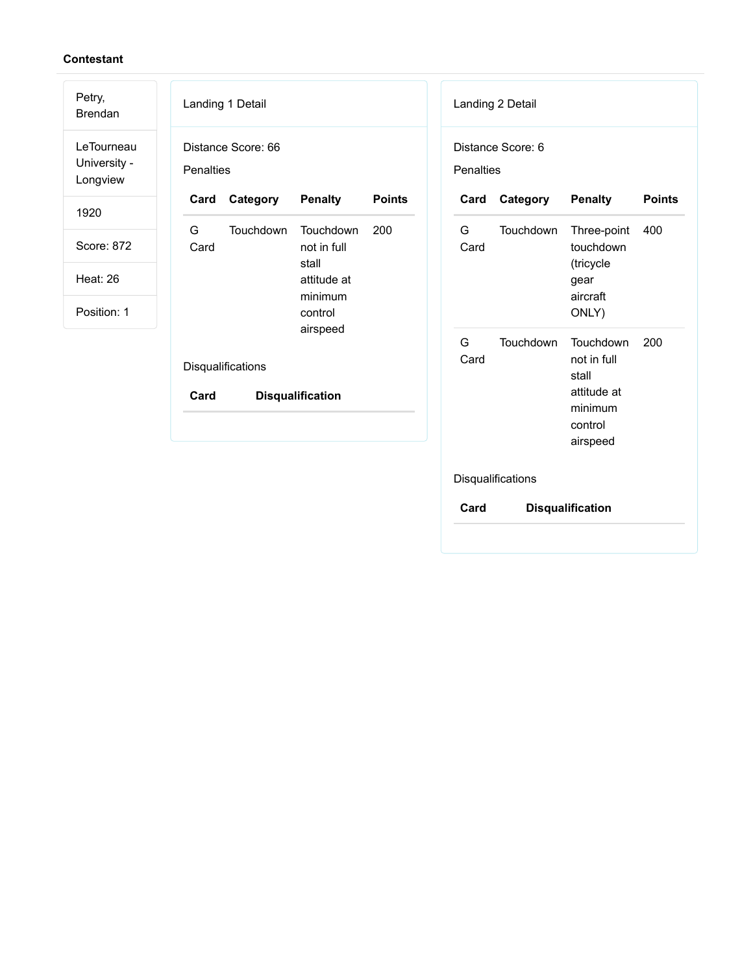| Petry,<br><b>Brendan</b>               | Landing 1 Detail<br>Landing 2 Detail                                          |                                                                                                        |
|----------------------------------------|-------------------------------------------------------------------------------|--------------------------------------------------------------------------------------------------------|
| LeTourneau<br>University -<br>Longview | Distance Score: 66<br>Distance Score: 6<br>Penalties<br>Penalties             |                                                                                                        |
| 1920                                   | <b>Points</b><br><b>Penalty</b><br>Category<br>Card<br>Card                   | Category<br><b>Penalty</b><br><b>Points</b>                                                            |
| Score: 872                             | G<br>Touchdown<br>Touchdown<br>200<br>G<br>Card<br>not in full<br>Card        | Touchdown<br>Three-point<br>400<br>touchdown                                                           |
| <b>Heat: 26</b>                        | stall<br>attitude at                                                          | (tricycle<br>gear                                                                                      |
| Position: 1                            | minimum<br>control                                                            | aircraft<br>ONLY)                                                                                      |
|                                        | airspeed<br>G<br>Card<br>Disqualifications<br>Card<br><b>Disqualification</b> | Touchdown<br>Touchdown<br>200<br>not in full<br>stall<br>attitude at<br>minimum<br>control<br>airspeed |
|                                        | Disqualifications                                                             |                                                                                                        |

**Card Disqualification**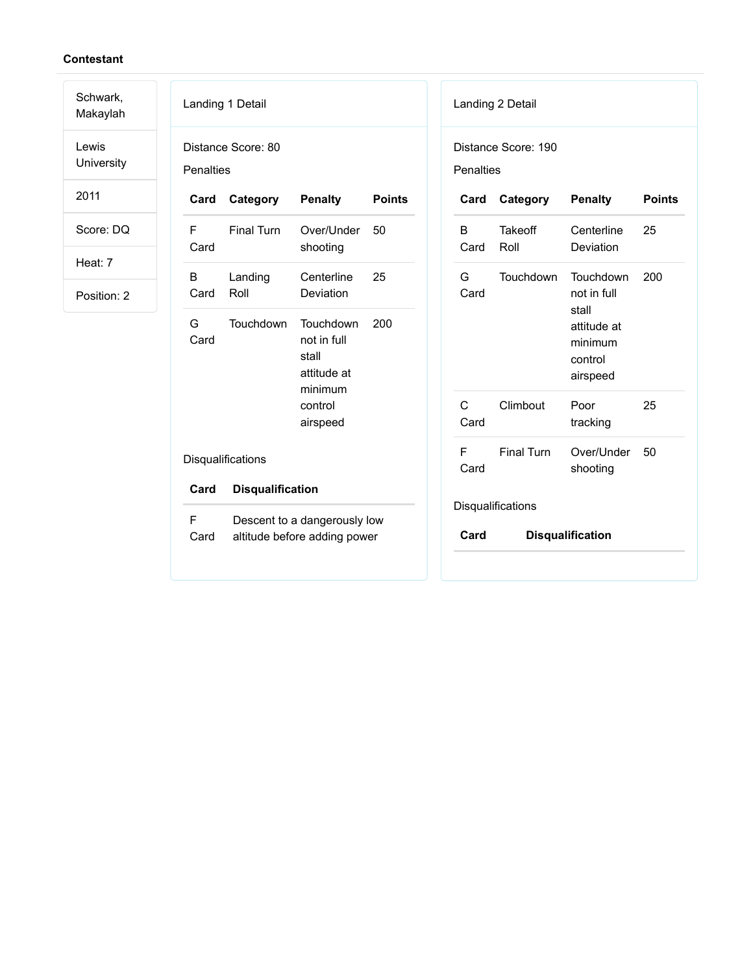Schwark, Makaylah

Lewis University

2011

Score: DQ

Heat: 7

|                  | Landing 1 Detail                                             |                                                             |               | Lar        |        |
|------------------|--------------------------------------------------------------|-------------------------------------------------------------|---------------|------------|--------|
| <b>Penalties</b> | Distance Score: 80                                           |                                                             |               | Dis<br>Per |        |
| Card             | Category                                                     | <b>Penalty</b>                                              | <b>Points</b> |            | C      |
| F<br>Card        | <b>Final Turn</b>                                            | Over/Under<br>shooting                                      | - 50          |            | B<br>С |
| B<br>Card        | Landing<br>Roll                                              | Centerline<br>Deviation                                     | 25            |            | G<br>Ċ |
| G<br>Card        | Touchdown                                                    | Touchdown<br>not in full<br>stall<br>attitude at<br>minimum | 200           |            |        |
|                  |                                                              | control<br>airspeed                                         |               |            | C<br>C |
|                  | Disqualifications                                            |                                                             |               |            | F<br>С |
| Card             | <b>Disqualification</b>                                      |                                                             |               |            |        |
| F<br>Card        | Descent to a dangerously low<br>altitude before adding power |                                                             | Dis           | C          |        |

|                                  | Landing 2 Detail       |                                                                                    |               |  |
|----------------------------------|------------------------|------------------------------------------------------------------------------------|---------------|--|
| Distance Score: 190<br>Penalties |                        |                                                                                    |               |  |
| Card                             | Category               | <b>Penalty</b>                                                                     | <b>Points</b> |  |
| B<br>Card                        | <b>Takeoff</b><br>Roll | Centerline<br>Deviation                                                            | 25            |  |
| G –<br>Card                      | Touchdown              | Touchdown<br>not in full<br>stall<br>attitude at<br>minimum<br>control<br>airspeed | 200           |  |
| C<br>Card                        | Climbout               | Poor<br>tracking                                                                   | 25            |  |
| F.<br>Card                       | <b>Final Turn</b>      | Over/Under<br>shooting                                                             | 50            |  |
|                                  | Disqualifications      |                                                                                    |               |  |
| Card                             |                        | <b>Disqualification</b>                                                            |               |  |
|                                  |                        |                                                                                    |               |  |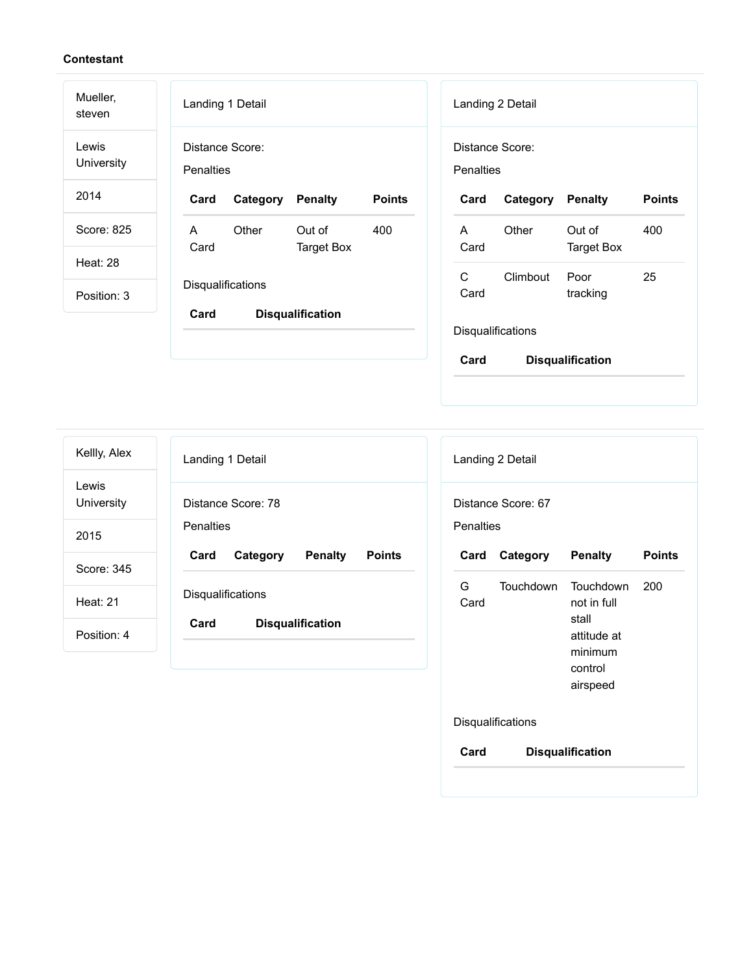| Mueller,<br>steven  | Landing 1 Detail                                                    | Landing 2 Detail                                         |
|---------------------|---------------------------------------------------------------------|----------------------------------------------------------|
| Lewis<br>University | Distance Score:<br>Penalties                                        | Distance Score:<br><b>Penalties</b>                      |
| 2014                | <b>Points</b><br>Card<br>Category<br><b>Penalty</b>                 | Category<br><b>Penalty</b><br><b>Points</b><br>Card      |
| Score: 825          | $\mathsf{A}$<br>Other<br>Out of<br>400<br>Card<br><b>Target Box</b> | Other<br>Out of<br>400<br>A<br>Card<br><b>Target Box</b> |
| <b>Heat: 28</b>     |                                                                     |                                                          |
| Position: 3         | Disqualifications                                                   | C<br>25<br>Climbout<br>Poor<br>Card<br>tracking          |
|                     | Card<br><b>Disqualification</b>                                     | Disqualifications<br>Card<br><b>Disqualification</b>     |

Landing 1 Detail Distance Score: 78 **Penalties Card Category Penalty Points Disqualifications Card Disqualification** Landing 2 Detail Distance Score: 67 **Penalties Card Category Penalty Points** G Card Touchdown Touchdown not in full stall attitude at minimum control 200 Kellly, Alex Lewis University 2015 Score: 345 Heat: 21 Position: 4

airspeed **Disqualifications Card Disqualification**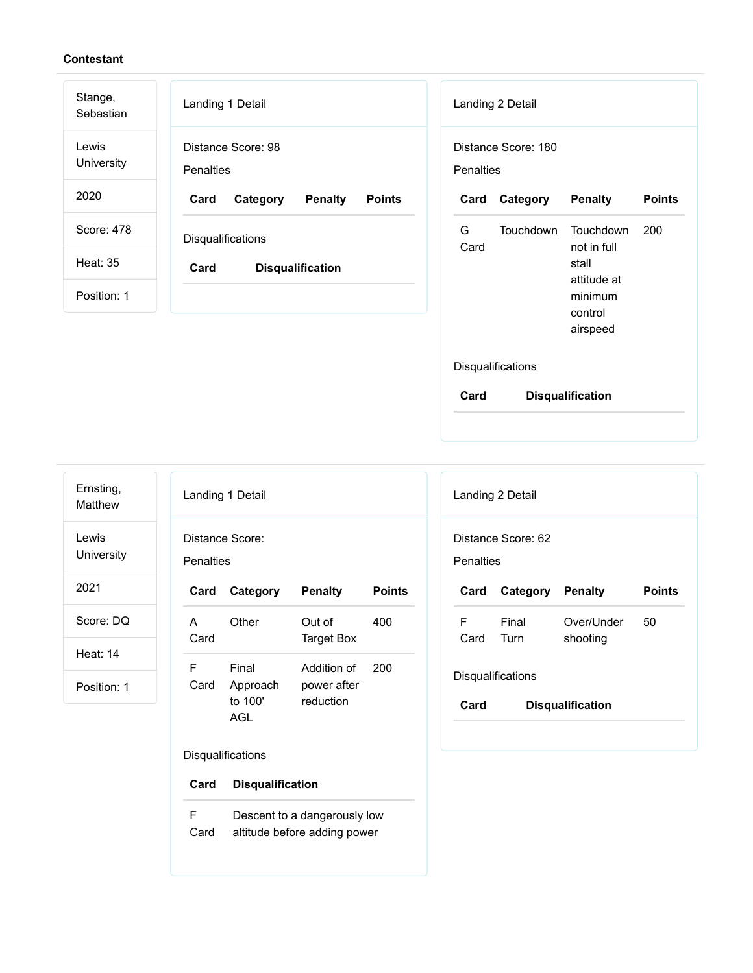| Stange,<br>Sebastian | Landing 1 Detail                                    | Landing 2 Detail                                                        |
|----------------------|-----------------------------------------------------|-------------------------------------------------------------------------|
| Lewis<br>University  | Distance Score: 98<br><b>Penalties</b>              | Distance Score: 180<br>Penalties                                        |
| 2020                 | <b>Points</b><br>Card<br>Category<br><b>Penalty</b> | <b>Points</b><br>Category<br><b>Penalty</b><br>Card                     |
| Score: 478           | Disqualifications                                   | G<br><b>Touchdown</b><br><b>Touchdown</b><br>200<br>not in full<br>Card |
| <b>Heat: 35</b>      | Card<br><b>Disqualification</b>                     | stall<br>attitude at                                                    |
| Position: 1          |                                                     | minimum<br>control                                                      |
|                      |                                                     | airspeed                                                                |

## Disqualifications

**Card Disqualification**

Ernsting, Matthew

Lewis University

2021

Score: DQ

Heat: 14

Position: 1

|           | Landing 1 Detail  |                            |               |
|-----------|-------------------|----------------------------|---------------|
| Penalties | Distance Score:   |                            |               |
| Card      | Category          | <b>Penalty</b>             | <b>Points</b> |
| A<br>Card | Other             | Out of<br>Target Box       | 400           |
| F<br>Card | Final<br>Approach | Addition of<br>power after | 200           |

## Disqualifications

| Card<br><b>Disqualification</b> |  |
|---------------------------------|--|
|---------------------------------|--|

F Card Descent to a dangerously low altitude before adding power

|           | Landing 2 Detail        |               |
|-----------|-------------------------|---------------|
| Penalties | Distance Score: 62      |               |
|           |                         |               |
| Card      | <b>Category Penalty</b> | <b>Points</b> |

### Disqualifications

| Card<br><b>Disqualification</b> |  |
|---------------------------------|--|
|---------------------------------|--|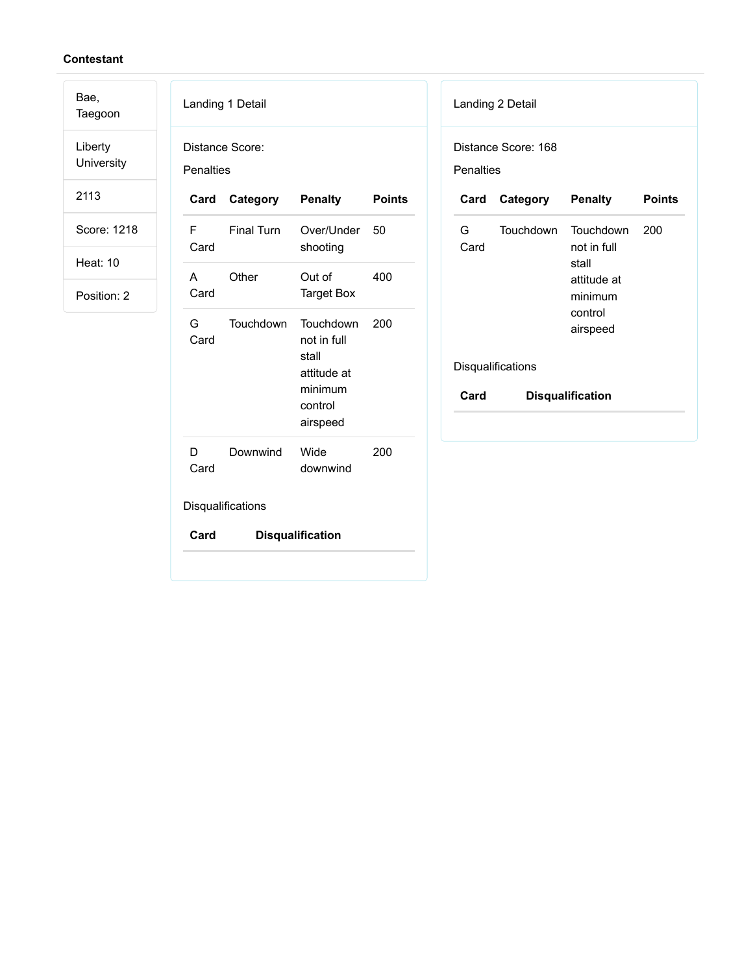Bae, Taegoon

Liberty University

2113

Score: 1218

Heat: 10

|                              | Landing 1 Detail  |                                                                                    |               |  |
|------------------------------|-------------------|------------------------------------------------------------------------------------|---------------|--|
| Distance Score:<br>Penalties |                   |                                                                                    |               |  |
| Card                         | Category          | <b>Penalty</b>                                                                     | <b>Points</b> |  |
| F<br>Card                    | <b>Final Turn</b> | Over/Under<br>shooting                                                             | 50            |  |
| A<br>Card                    | Other             | Out of<br><b>Target Box</b>                                                        | 400           |  |
| G<br>Card                    | Touchdown         | Touchdown<br>not in full<br>stall<br>attitude at<br>minimum<br>control<br>airspeed | 200           |  |
| D<br>Card                    | Downwind          | Wide<br>downwind                                                                   | 200           |  |
|                              | Disqualifications |                                                                                    |               |  |
| Card                         |                   | <b>Disqualification</b>                                                            |               |  |

| Penalties   | Distance Score: 168 |                                                                                    |               |
|-------------|---------------------|------------------------------------------------------------------------------------|---------------|
| Card        | Category            | <b>Penalty</b>                                                                     | <b>Points</b> |
| G a<br>Card | Touchdown           | Touchdown<br>not in full<br>stall<br>attitude at<br>minimum<br>control<br>airspeed | 200           |
|             | Disqualifications   |                                                                                    |               |
| Card        |                     | <b>Disqualification</b>                                                            |               |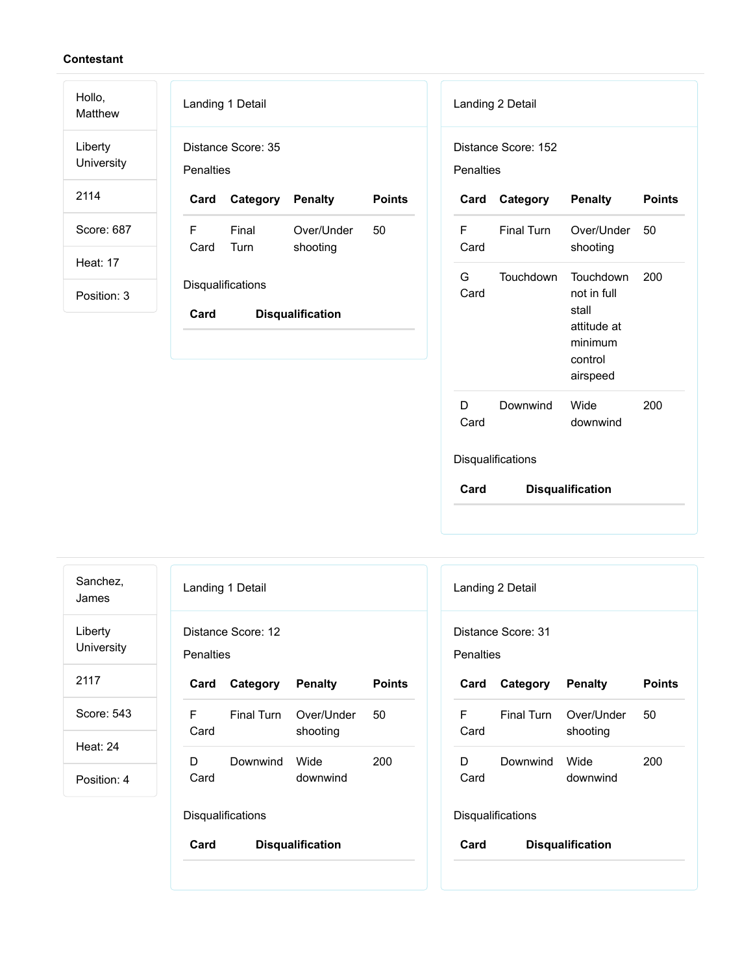| Hollo,<br>Matthew     | Landing 1 Detail                                           | Landing 2 Detail                                                              |
|-----------------------|------------------------------------------------------------|-------------------------------------------------------------------------------|
| Liberty<br>University | Distance Score: 35<br>Penalties                            | Distance Score: 152<br><b>Penalties</b>                                       |
| 2114                  | <b>Points</b><br>Card<br>Category<br><b>Penalty</b>        | <b>Points</b><br>Category<br><b>Penalty</b><br>Card                           |
| Score: 687            | F<br>Final<br>Over/Under<br>50<br>Card<br>Turn<br>shooting | F<br>Final Turn<br>Over/Under<br>50<br>Card<br>shooting                       |
| <b>Heat: 17</b>       | Disqualifications                                          | G<br><b>Touchdown</b><br>Touchdown<br>200                                     |
| Position: 3           | Card<br><b>Disqualification</b>                            | not in full<br>Card<br>stall<br>attitude at<br>minimum<br>control<br>airspeed |
|                       |                                                            | 200<br>D<br>Wide<br>Downwind                                                  |

Card

Disqualifications

**Card Disqualification**

| Sanchez,<br>James     |                  | Landing 1 Detail   |                         |               | Landing 2                       |   |
|-----------------------|------------------|--------------------|-------------------------|---------------|---------------------------------|---|
| Liberty<br>University | <b>Penalties</b> | Distance Score: 12 |                         |               | Distance \$<br><b>Penalties</b> |   |
| 2117                  | Card             | Category           | <b>Penalty</b>          | <b>Points</b> | Card                            | C |
| Score: 543            | F.<br>Card       | Final Turn         | Over/Under<br>shooting  | 50            | F<br>Card                       | F |
| <b>Heat: 24</b>       |                  |                    |                         |               |                                 |   |
| Position: 4           | D<br>Card        | Downwind           | Wide<br>downwind        | 200           | D<br>Card                       | D |
|                       |                  | Disqualifications  |                         |               | Disqualific                     |   |
|                       | Card             |                    | <b>Disqualification</b> |               | Card                            |   |
|                       |                  |                    |                         |               |                                 |   |

|                                 | Landing 2 Detail         |                        |               |  |
|---------------------------------|--------------------------|------------------------|---------------|--|
| Penalties                       | Distance Score: 31       |                        |               |  |
| Card                            | Category Penalty         |                        | <b>Points</b> |  |
| F.<br>Card                      | Final Turn               | Over/Under<br>shooting | 50            |  |
| D<br>Card                       | Downwind                 | Wide<br>downwind       | 200           |  |
|                                 | <b>Disqualifications</b> |                        |               |  |
| Card<br><b>Disqualification</b> |                          |                        |               |  |

downwind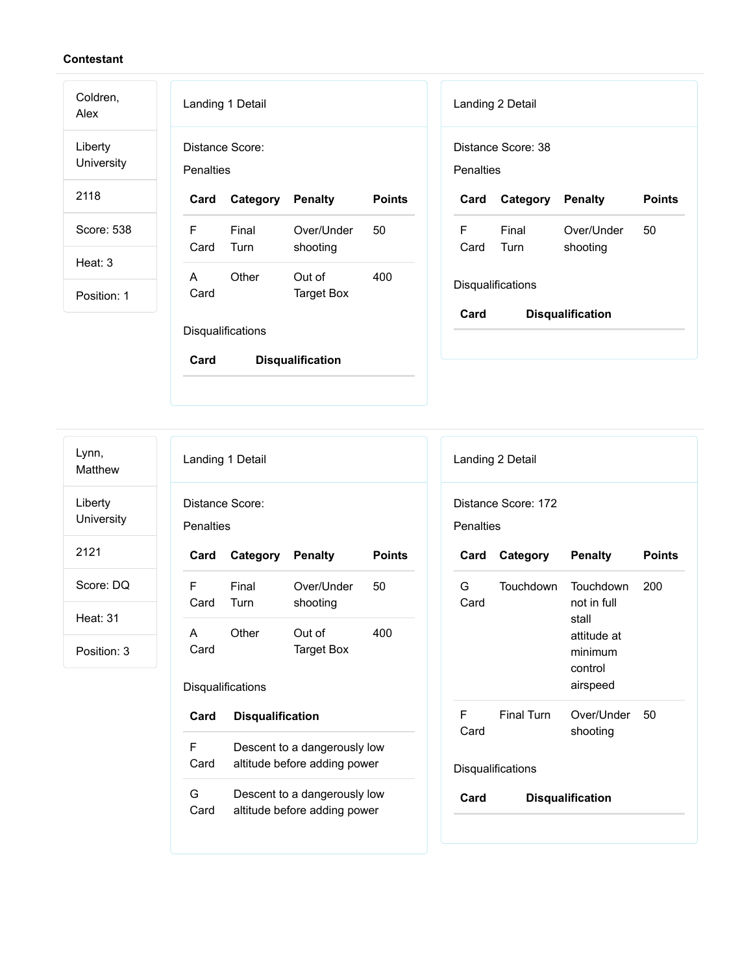| Coldren,<br>Alex      |                  | Landing 1 Detail  |                         |               |   |                  | Landing 2 Detail   |                         |               |
|-----------------------|------------------|-------------------|-------------------------|---------------|---|------------------|--------------------|-------------------------|---------------|
| Liberty<br>University | <b>Penalties</b> | Distance Score:   |                         |               |   | <b>Penalties</b> | Distance Score: 38 |                         |               |
| 2118                  | Card             | Category          | <b>Penalty</b>          | <b>Points</b> |   | Card             | Category           | Penalty                 | <b>Points</b> |
| Score: 538            | F<br>Card        | Final<br>Turn     | Over/Under<br>shooting  | 50            | F | Card             | Final<br>Turn      | Over/Under<br>shooting  | 50            |
| Heat: 3               | A                | Other             | Out of                  | 400           |   |                  |                    |                         |               |
| Position: 1           | Card             |                   | <b>Target Box</b>       |               |   |                  | Disqualifications  |                         |               |
|                       |                  | Disqualifications |                         |               |   | Card             |                    | <b>Disqualification</b> |               |
|                       | Card             |                   | <b>Disqualification</b> |               |   |                  |                    |                         |               |
|                       |                  |                   |                         |               |   |                  |                    |                         |               |

Lynn, Matthew

Liberty University

2121

Score: DQ

Heat: 31

|           | Landing 1 Detail         |                        |               |  |  |
|-----------|--------------------------|------------------------|---------------|--|--|
| Penalties | Distance Score:          |                        |               |  |  |
| Card      | Category Penalty         |                        | <b>Points</b> |  |  |
| F<br>Card | Final<br>Turn            | Over/Under<br>shooting | 50            |  |  |
| A<br>Card | Other                    | Out of<br>Target Box   | 400           |  |  |
|           | <b>Disqualifications</b> |                        |               |  |  |
| Card      | <b>Disqualification</b>  |                        |               |  |  |

| F    | Descent to a dangerously low |
|------|------------------------------|
| Card | altitude before adding power |
| G    | Descent to a dangerously low |
| Card | altitude before adding power |

|                   | Landing 2 Detail      |                                                                                    |               |  |
|-------------------|-----------------------|------------------------------------------------------------------------------------|---------------|--|
| Penalties         | Distance Score: 172   |                                                                                    |               |  |
|                   | Card Category Penalty |                                                                                    | <b>Points</b> |  |
| G.<br>Card        | Touchdown             | Touchdown<br>not in full<br>stall<br>attitude at<br>minimum<br>control<br>airspeed | 200           |  |
| F.<br>Card        | <b>Final Turn</b>     | Over/Under 50<br>shooting                                                          |               |  |
| Disqualifications |                       |                                                                                    |               |  |
| Card              |                       | <b>Disqualification</b>                                                            |               |  |
|                   |                       |                                                                                    |               |  |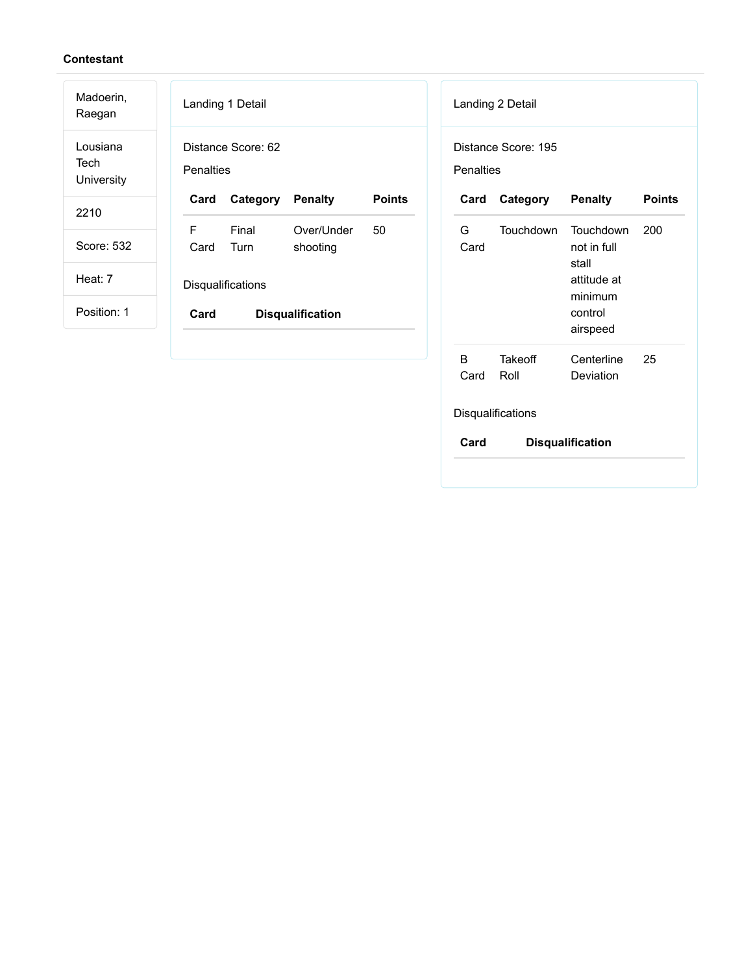| Madoerin,<br>Raegan            | Landing 1 Detail<br>Landing 2 Detail                                                                       |
|--------------------------------|------------------------------------------------------------------------------------------------------------|
| Lousiana<br>Tech<br>University | Distance Score: 62<br>Distance Score: 195<br><b>Penalties</b><br>Penalties                                 |
| 2210                           | <b>Points</b><br><b>Points</b><br>Category<br><b>Penalty</b><br>Category<br><b>Penalty</b><br>Card<br>Card |
|                                | F<br>Final<br>G<br><b>Touchdown</b><br>200<br>Over/Under<br>50<br><b>Touchdown</b>                         |
| Score: 532                     | Turn<br>shooting<br>Card<br>not in full<br>Card<br>stall                                                   |
| Heat: 7                        | attitude at<br>Disqualifications<br>minimum                                                                |
| Position: 1                    | control<br>Card<br><b>Disqualification</b>                                                                 |
|                                | airspeed                                                                                                   |
|                                | B<br>25<br>Takeoff<br>Centerline                                                                           |

Disqualifications

Card Roll

**Card Disqualification**

Deviation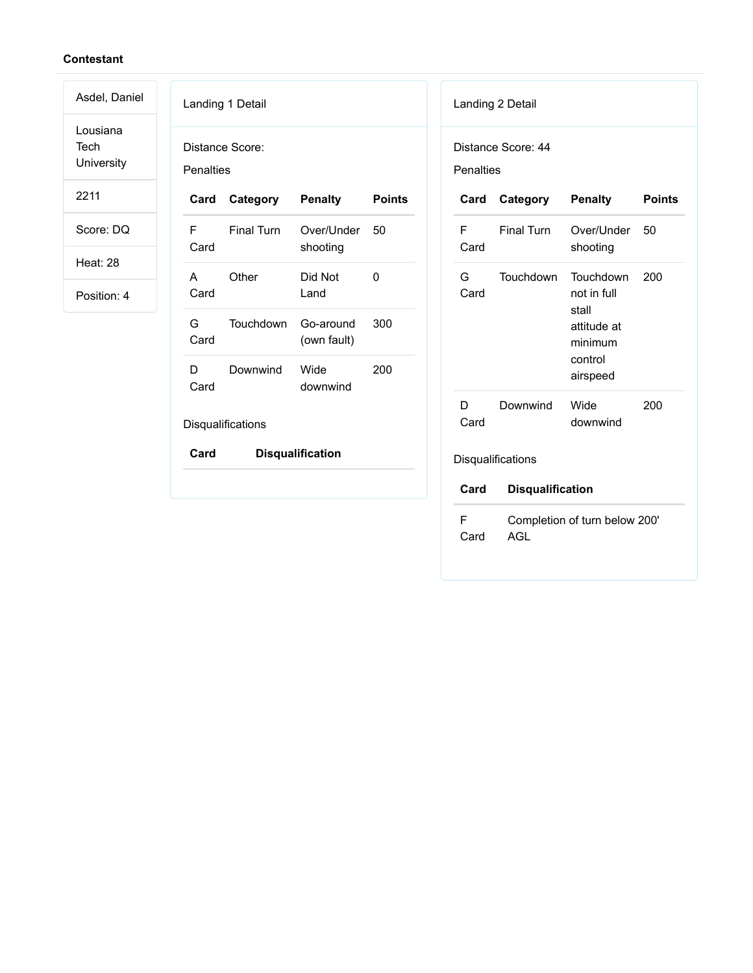Lousiana Tech University

Asdel, Daniel

2211

Score: DQ

Heat: 28

| Penalties  | Distance Score:   |                          |               |
|------------|-------------------|--------------------------|---------------|
| Card       | Category          | <b>Penalty</b>           | <b>Points</b> |
| F<br>Card  | <b>Final Turn</b> | Over/Under<br>shooting   | 50            |
| A<br>Card  | Other             | Did Not<br>Land          | 0             |
| G<br>Card  | Touchdown         | Go-around<br>(own fault) | 300           |
| D.<br>Card | Downwind          | Wide<br>downwind         | 200           |
|            | Disqualifications |                          |               |
| Card       |                   | <b>Disqualification</b>  |               |

|                  | Landing 2 Detail        |                                                                                    |               |
|------------------|-------------------------|------------------------------------------------------------------------------------|---------------|
| <b>Penalties</b> | Distance Score: 44      |                                                                                    |               |
| Card             | Category                | <b>Penalty</b>                                                                     | <b>Points</b> |
| F<br>Card        | <b>Final Turn</b>       | Over/Under<br>shooting                                                             | 50            |
| G.<br>Card       | Touchdown               | Touchdown<br>not in full<br>stall<br>attitude at<br>minimum<br>control<br>airspeed | 200           |
| D<br>Card        | Downwind                | Wide<br>downwind                                                                   | 200           |
|                  | Disqualifications       |                                                                                    |               |
| Card             | <b>Disqualification</b> |                                                                                    |               |
| F<br>Card        | AGL                     | Completion of turn below 200'                                                      |               |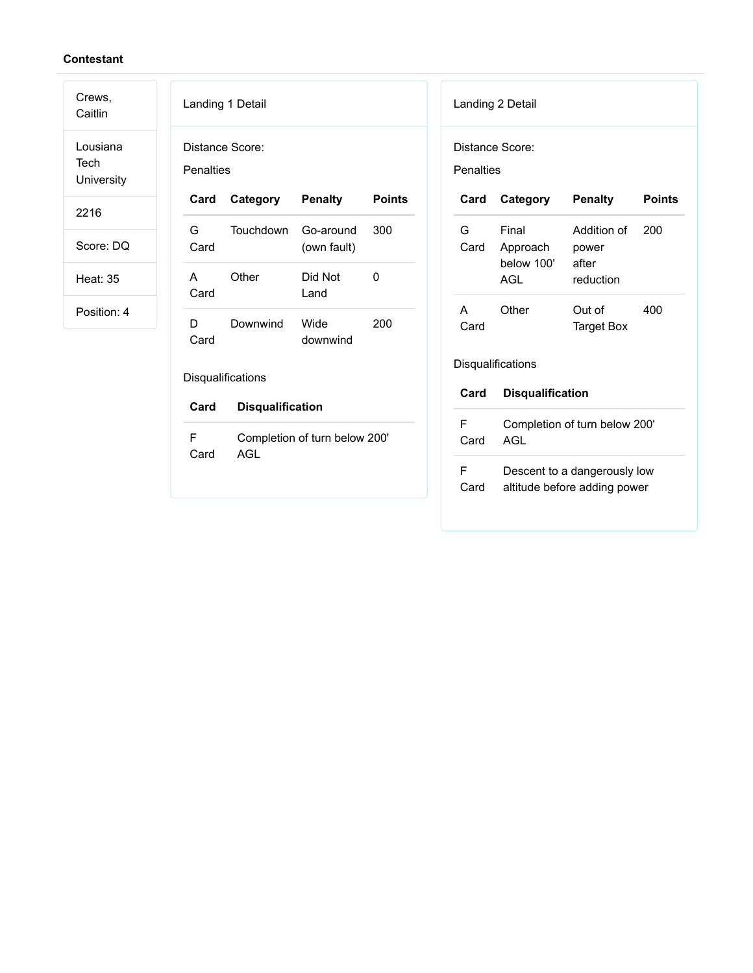Crews,

Caitlin Lousiana Tech **University** 

2216

Score: DQ

Heat: 35

|                              | Landing 1 Detail        |                               |               | L      |
|------------------------------|-------------------------|-------------------------------|---------------|--------|
| Distance Score:<br>Penalties |                         |                               |               | D<br>F |
| Card                         | Category                | <b>Penalty</b>                | <b>Points</b> |        |
| G<br>Card                    | Touchdown               | Go-around<br>(own fault)      | 300           |        |
| A<br>Card                    | Other                   | Did Not<br>Land               | 0             |        |
| D<br>Card                    | Downwind                | Wide<br>downwind              | 200           |        |
|                              | Disqualifications       |                               |               | Е      |
| Card                         | <b>Disqualification</b> |                               |               |        |
| F<br>Card                    | <b>AGL</b>              | Completion of turn below 200' |               |        |

|           | Landing 2 Detail                       |                                                              |               |  |  |  |
|-----------|----------------------------------------|--------------------------------------------------------------|---------------|--|--|--|
| Penalties | Distance Score:                        |                                                              |               |  |  |  |
| Card      | Category                               | <b>Penalty</b>                                               | <b>Points</b> |  |  |  |
| G<br>Card | Final<br>Approach<br>below 100'<br>AGL | Addition of<br>power<br>after<br>reduction                   | 200           |  |  |  |
| A<br>Card | Other                                  | Out of<br><b>Target Box</b>                                  | 400           |  |  |  |
|           | Disqualifications                      |                                                              |               |  |  |  |
| Card      | <b>Disqualification</b>                |                                                              |               |  |  |  |
| F<br>Card | Completion of turn below 200'<br>AGL   |                                                              |               |  |  |  |
| F<br>Card |                                        | Descent to a dangerously low<br>altitude before adding power |               |  |  |  |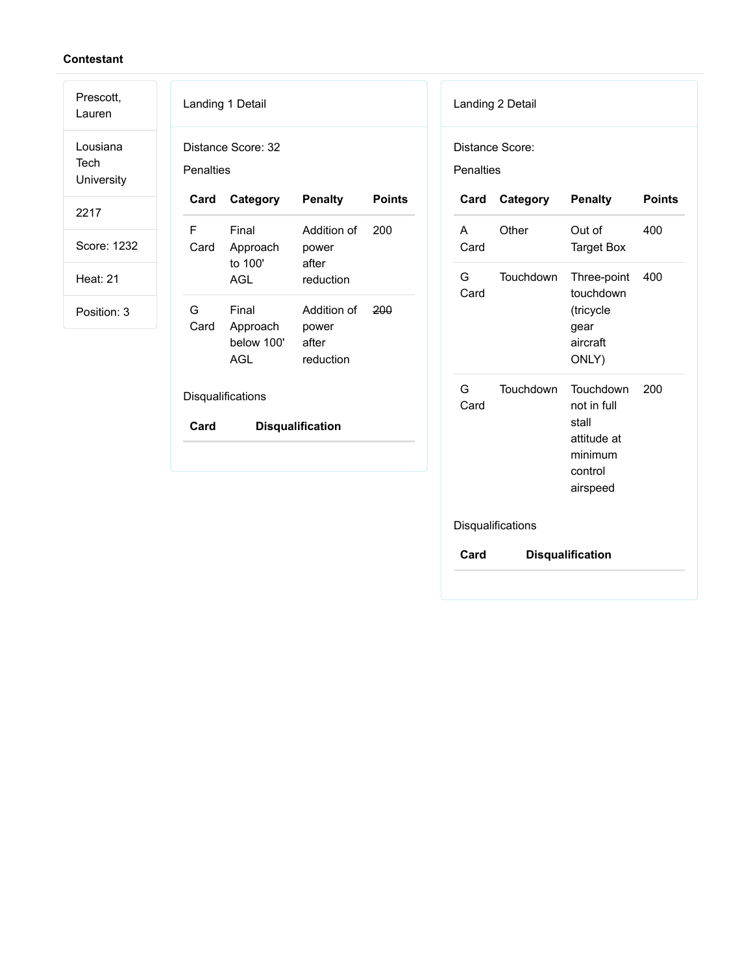| Prescott,<br>Lauren            | Landing 1 Detail                                                                                                | Landing 2 Detail                                                                                                    |
|--------------------------------|-----------------------------------------------------------------------------------------------------------------|---------------------------------------------------------------------------------------------------------------------|
| Lousiana<br>Tech<br>University | Distance Score: 32<br>Penalties                                                                                 | Distance Score:<br>Penalties                                                                                        |
| 2217                           | <b>Points</b><br><b>Penalty</b><br>Category<br>Card                                                             | <b>Penalty</b><br><b>Points</b><br>Category<br>Card                                                                 |
| Score: 1232                    | F<br>200<br>Final<br>Addition of<br>Card<br>Approach<br>power<br>to 100'<br>after                               | Other<br>A<br>Out of<br>400<br>Card<br><b>Target Box</b>                                                            |
| <b>Heat: 21</b>                | <b>AGL</b><br>reduction                                                                                         | G<br>Touchdown<br>Three-point<br>400<br>touchdown<br>Card                                                           |
| Position: 3                    | Final<br>G<br>Addition of<br>200<br>Card<br>Approach<br>power<br>below 100'<br>after<br><b>AGL</b><br>reduction | (tricycle<br>gear<br>aircraft<br>ONLY)                                                                              |
|                                | Disqualifications<br>Card<br><b>Disqualification</b>                                                            | G<br>Touchdown<br>Touchdown<br>200<br>Card<br>not in full<br>stall<br>attitude at<br>minimum<br>control<br>airspeed |

Disqualifications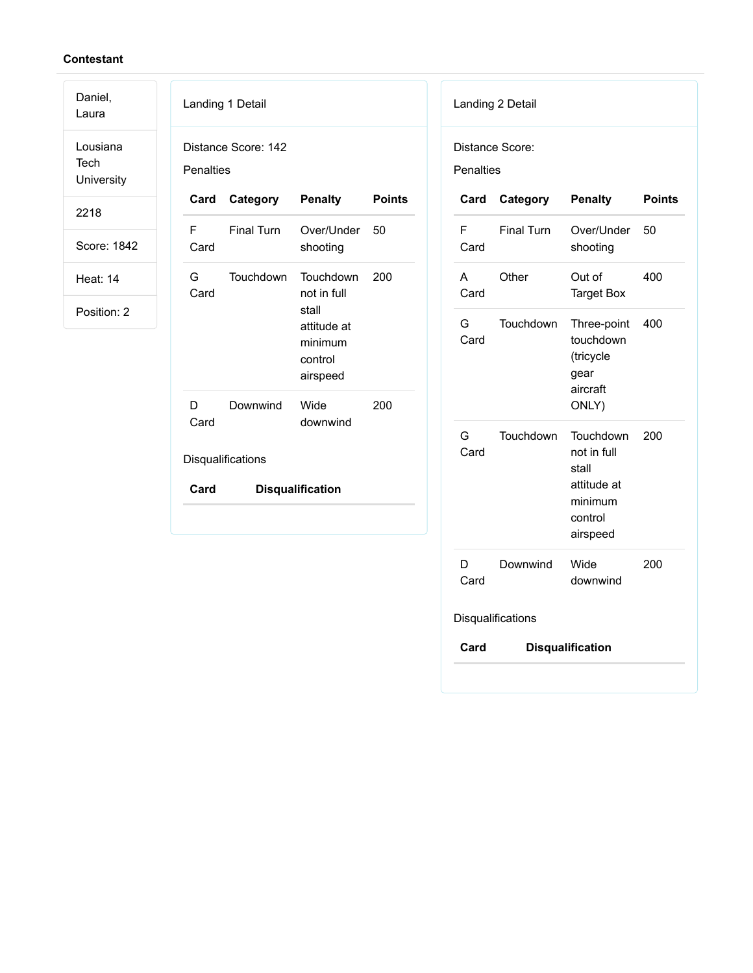Daniel,

Laura Lousiana Tech **University** 

2218

Score: 1842

Heat: 14

| Penalties | Distance Score: 142 |                                                                                    |               |
|-----------|---------------------|------------------------------------------------------------------------------------|---------------|
|           | Card Category       | <b>Penalty</b>                                                                     | <b>Points</b> |
| F<br>Card | <b>Final Turn</b>   | Over/Under<br>shooting                                                             | 50            |
| G<br>Card | Touchdown           | Touchdown<br>not in full<br>stall<br>attitude at<br>minimum<br>control<br>airspeed | 200           |
| D<br>Card | Downwind            | Wide<br>downwind                                                                   | 200           |

| Card      |                   | <b>Penalty</b>                                                                     | <b>Points</b> |
|-----------|-------------------|------------------------------------------------------------------------------------|---------------|
|           | Category          |                                                                                    |               |
| F<br>Card | <b>Final Turn</b> | Over/Under<br>shooting                                                             | 50            |
| A<br>Card | Other             | Out of<br><b>Target Box</b>                                                        | 400           |
| G<br>Card | Touchdown         | Three-point<br>touchdown<br>(tricycle<br>gear<br>aircraft<br>ONLY)                 | 400           |
| G<br>Card | Touchdown         | Touchdown<br>not in full<br>stall<br>attitude at<br>minimum<br>control<br>airspeed | 200           |
| D<br>Card | Downwind          | Wide<br>downwind                                                                   | 200           |
|           | Disqualifications |                                                                                    |               |
| Card      |                   | <b>Disqualification</b>                                                            |               |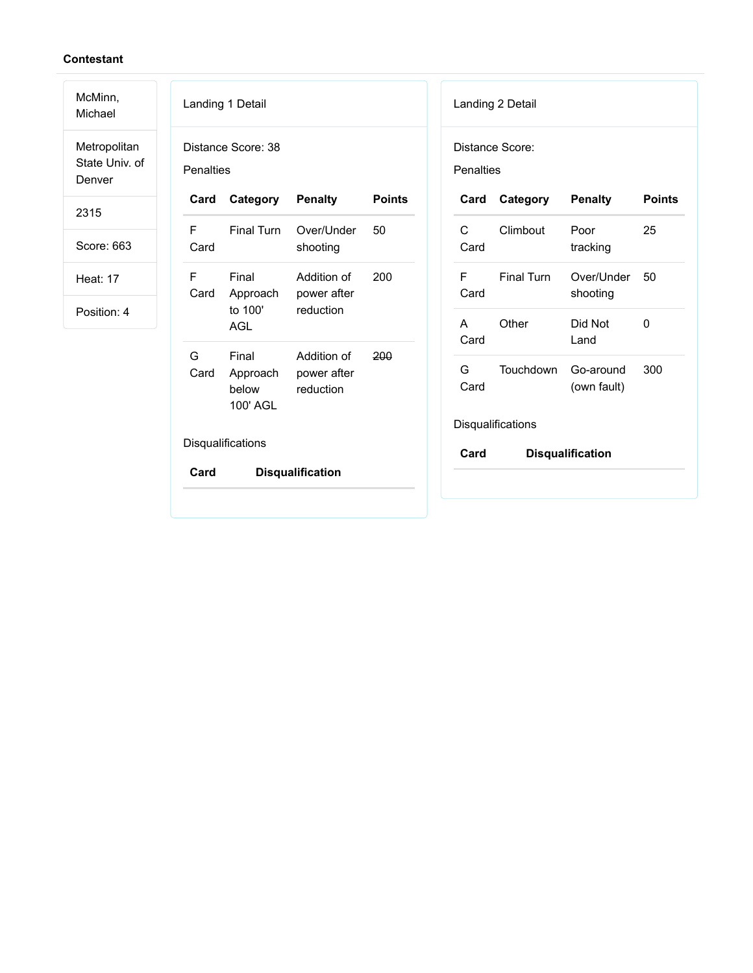| McMinn,<br>Michael                       |                                                         | Landing 1 Detail                       |                                         |               |                      | Landing 2 Detail       |                          |               |
|------------------------------------------|---------------------------------------------------------|----------------------------------------|-----------------------------------------|---------------|----------------------|------------------------|--------------------------|---------------|
| Metropolitan<br>State Univ. of<br>Denver | Penalties                                               | Distance Score: 38                     |                                         |               | Penalties            | Distance Score:        |                          |               |
| 2315                                     | Card                                                    | Category                               | <b>Penalty</b>                          | <b>Points</b> | Card                 | Category               | <b>Penalty</b>           | <b>Points</b> |
| Score: 663                               | F<br>Card                                               | Final Turn                             | Over/Under<br>shooting                  | 50            | $\mathsf{C}$<br>Card | Climbout               | Poor<br>tracking         | 25            |
| <b>Heat: 17</b>                          | Final<br>F<br>Card<br>Approach<br>to 100'<br><b>AGL</b> | Addition of<br>200<br>power after      |                                         | F<br>Card     | <b>Final Turn</b>    | Over/Under<br>shooting | 50                       |               |
| Position: 4                              |                                                         |                                        | reduction                               |               | $\mathsf{A}$<br>Card | Other                  | Did Not<br>Land          | $\mathbf{0}$  |
|                                          | G<br>Card                                               | Final<br>Approach<br>below<br>100' AGL | Addition of<br>power after<br>reduction | 200           | G<br>Card            | Touchdown              | Go-around<br>(own fault) | 300           |
|                                          |                                                         |                                        |                                         |               |                      | Disqualifications      |                          |               |
|                                          |                                                         | Disqualifications                      |                                         |               | Card                 |                        | <b>Disqualification</b>  |               |
|                                          | Card                                                    |                                        | <b>Disqualification</b>                 |               |                      |                        |                          |               |
|                                          |                                                         |                                        |                                         |               |                      |                        |                          |               |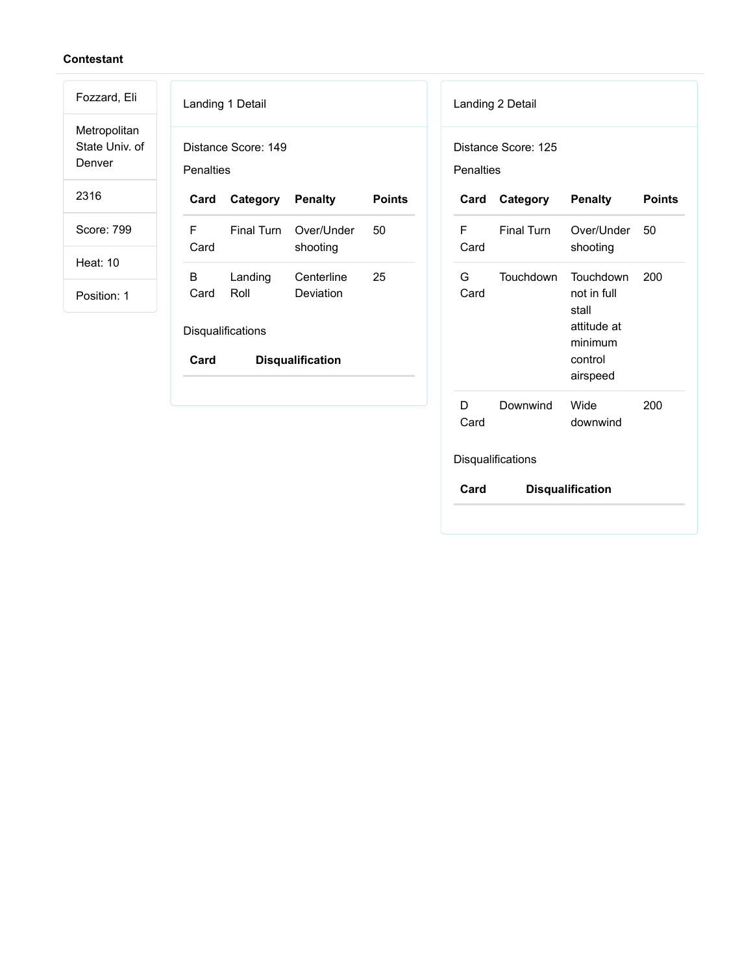Metropolitan State Univ. of Denver

Fozzard, Eli

2316

Score: 799

Heat: 10

Position: 1

|                 | Landing 1 Detail         |                                   |        |
|-----------------|--------------------------|-----------------------------------|--------|
| Penalties       | Distance Score: 149      |                                   |        |
| Card            | Category Penalty         |                                   | Points |
| F.<br>Card      |                          | Final Turn Over/Under<br>shooting | 50     |
| B.<br>Card Roll | Landing                  | Centerline<br>Deviation           | 25     |
|                 | <b>Disqualifications</b> |                                   |        |

| <b>Penalties</b> | Distance Score: 125  |                                                                                    |               |
|------------------|----------------------|------------------------------------------------------------------------------------|---------------|
|                  | <b>Card Category</b> | <b>Penalty</b>                                                                     | <b>Points</b> |
| F<br>Card        | <b>Final Turn</b>    | Over/Under<br>shooting                                                             | 50            |
| G –<br>Card      | Touchdown            | Touchdown<br>not in full<br>stall<br>attitude at<br>minimum<br>control<br>airspeed | 200           |
| D<br>Card        | Downwind             | Wide<br>downwind                                                                   | 200           |
|                  | Disqualifications    |                                                                                    |               |
| Card             |                      | <b>Disqualification</b>                                                            |               |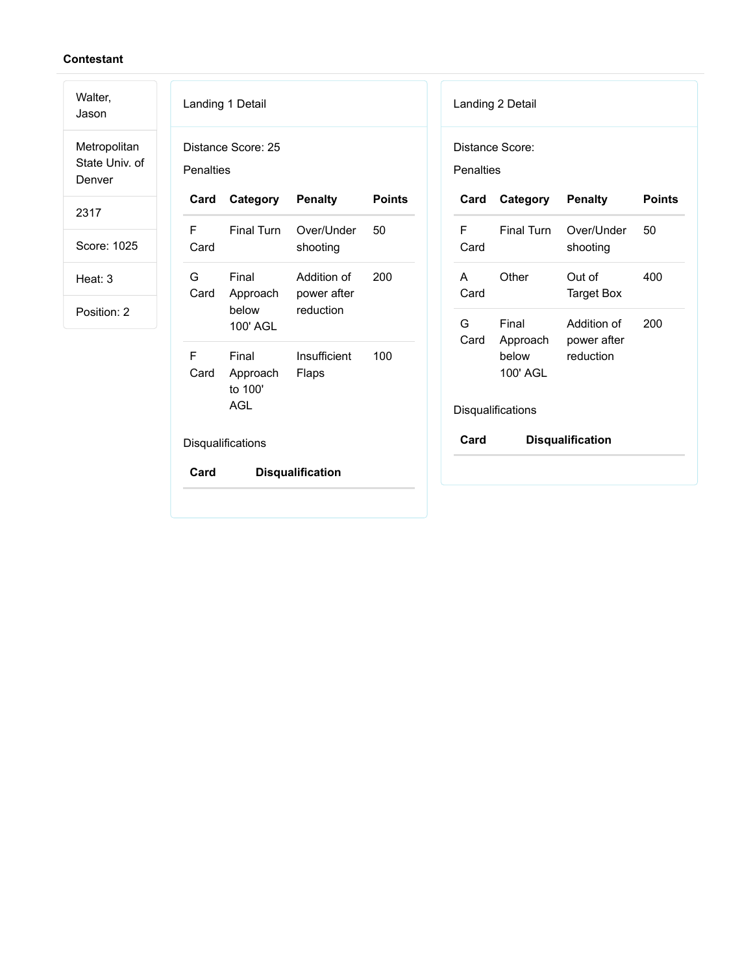| Walter,<br>Jason                         |           | Landing 1 Detail                           |                                   |               |            | Landing 2 Detail  |                             |               |
|------------------------------------------|-----------|--------------------------------------------|-----------------------------------|---------------|------------|-------------------|-----------------------------|---------------|
| Metropolitan<br>State Univ. of<br>Denver | Penalties | Distance Score: 25                         |                                   |               | Penalties  | Distance Score:   |                             |               |
| 2317                                     | Card      | Category                                   | <b>Penalty</b>                    | <b>Points</b> | Card       | Category          | <b>Penalty</b>              | <b>Points</b> |
| Score: 1025                              | F<br>Card | <b>Final Turn</b>                          | Over/Under<br>shooting            | 50            | F.<br>Card | <b>Final Turn</b> | Over/Under<br>shooting      | 50            |
| Heat: 3                                  | G<br>Card | Final<br>Approach                          | Addition of<br>200<br>power after |               | A<br>Card  | Other             | Out of<br><b>Target Box</b> | 400           |
| Position: 2                              |           | below<br>100' AGL                          | reduction                         |               | G<br>Card  | Final<br>Approach | Addition of<br>power after  | 200           |
|                                          | F<br>Card | Final<br>Approach<br>to 100'<br><b>AGL</b> | Insufficient<br>Flaps             | 100           |            | below<br>100' AGL | reduction                   |               |
|                                          |           |                                            |                                   |               |            | Disqualifications |                             |               |
|                                          |           | Disqualifications                          |                                   |               | Card       |                   | <b>Disqualification</b>     |               |
|                                          | Card      |                                            | <b>Disqualification</b>           |               |            |                   |                             |               |
|                                          |           |                                            |                                   |               |            |                   |                             |               |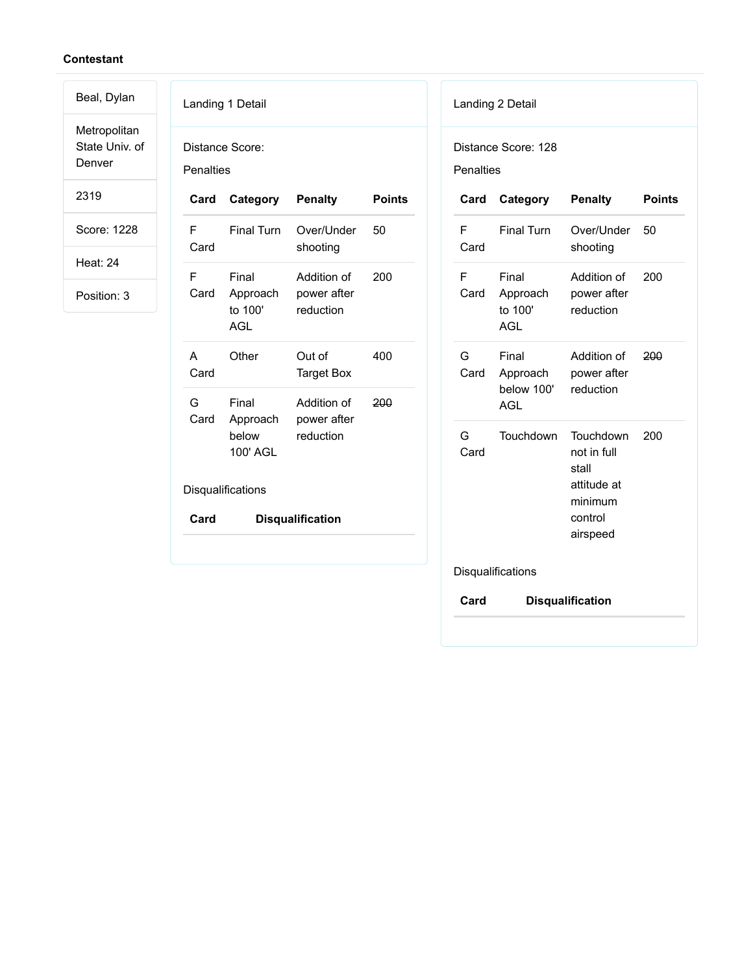Metropolitan State Univ. of Denver

Beal, Dylan

2319

Score: 1228

Heat: 24

|                  | Landing 1 Detail                           |                                         |               |
|------------------|--------------------------------------------|-----------------------------------------|---------------|
| <b>Penalties</b> | Distance Score:                            |                                         |               |
| Card             | Category                                   | <b>Penalty</b>                          | <b>Points</b> |
| F<br>Card        | <b>Final Turn</b>                          | Over/Under<br>shooting                  | 50            |
| F<br>Card        | Final<br>Approach<br>to 100'<br><b>AGL</b> | Addition of<br>power after<br>reduction | 200           |
| A<br>Card        | Other                                      | Out of<br><b>Target Box</b>             | 400           |
| G<br>Card        | Final<br>Approach<br>below<br>100' AGL     | Addition of<br>power after<br>reduction | 200           |
|                  | Disqualifications                          |                                         |               |
| Card             |                                            | <b>Disqualification</b>                 |               |
|                  |                                            |                                         |               |

| <b>Penalties</b> |                                               |                                                                                    |               |
|------------------|-----------------------------------------------|------------------------------------------------------------------------------------|---------------|
| Card             | Category                                      | <b>Penalty</b>                                                                     | <b>Points</b> |
| F<br>Card        | <b>Final Turn</b>                             | Over/Under<br>shooting                                                             | 50            |
| F<br>Card        | Final<br>Approach<br>to 100'<br>AGL           | Addition of<br>power after<br>reduction                                            | 200           |
| G<br>Card        | Final<br>Approach<br>below 100'<br><b>AGL</b> | Addition of<br>power after<br>reduction                                            | 200           |
| G<br>Card        | Touchdown                                     | Touchdown<br>not in full<br>stall<br>attitude at<br>minimum<br>control<br>airspeed | 200           |
|                  | Disqualifications                             |                                                                                    |               |
| Card             |                                               | <b>Disqualification</b>                                                            |               |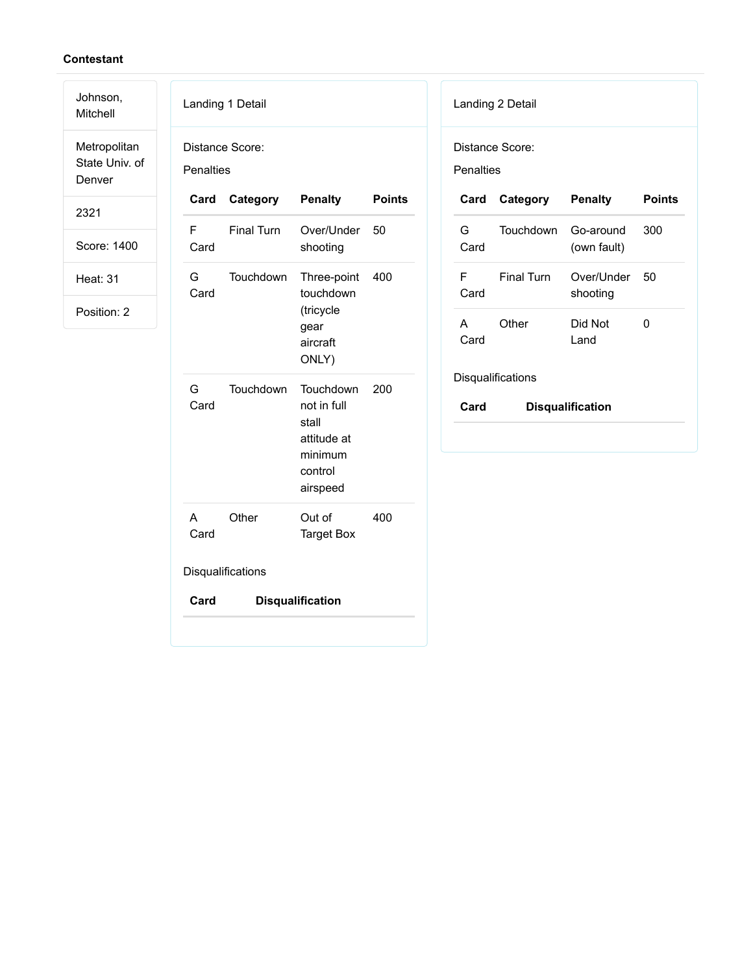Mitchell Metropolitan

Johnson,

State Univ. of Denver

2321

Score: 1400

Heat: 31

Position: 2

| Penalties         | Distance Score:   |                                                                                    |               |  |
|-------------------|-------------------|------------------------------------------------------------------------------------|---------------|--|
| Card              | Category          | <b>Penalty</b>                                                                     | <b>Points</b> |  |
| F<br>Card         | <b>Final Turn</b> | Over/Under<br>shooting                                                             | 50            |  |
| G<br>Card         | Touchdown         | Three-point<br>touchdown<br>(tricycle<br>gear<br>aircraft<br>ONLY)                 | 400           |  |
| G<br>Card         | Touchdown         | Touchdown<br>not in full<br>stall<br>attitude at<br>minimum<br>control<br>airspeed | 200           |  |
| A<br>Card         | Other             | Out of<br><b>Target Box</b>                                                        | 400           |  |
| Disqualifications |                   |                                                                                    |               |  |
| Card              |                   | <b>Disqualification</b>                                                            |               |  |

| Landing 2 Detail |  |  |
|------------------|--|--|
|------------------|--|--|

Distance Score:

Penalties

| Card       | Category            | <b>Penalty</b>         | <b>Points</b> |
|------------|---------------------|------------------------|---------------|
| G.<br>Card | Touchdown Go-around | (own fault)            | 300           |
| F<br>Card  | Final Turn          | Over/Under<br>shooting | -50           |
| А<br>Card  | Other               | Did Not<br>Land        | O             |
|            | Diegualificatione   |                        |               |

Disqualifications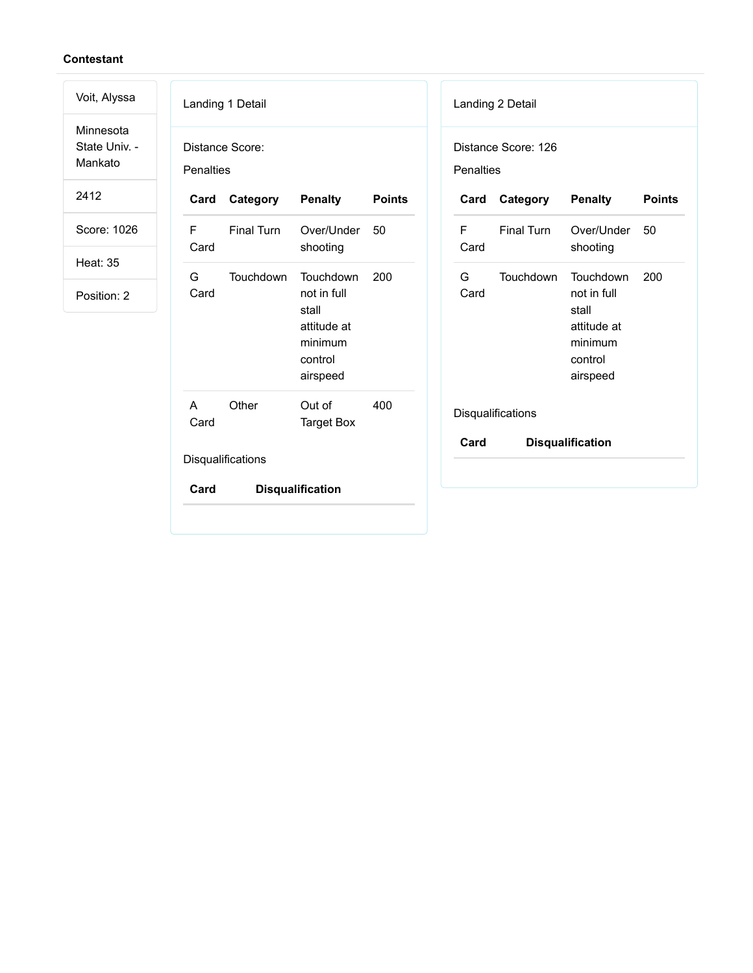Voit, Alyssa Minnesota State Univ. - Mankato 2412

Score: 1026

Heat: 35

Position: 2

| Distance Score:<br>Penalties |                                                                                    |               |            |            |                                                                                    |
|------------------------------|------------------------------------------------------------------------------------|---------------|------------|------------|------------------------------------------------------------------------------------|
| Category                     | <b>Penalty</b>                                                                     | <b>Points</b> | Card       | Category   | <b>Penalty</b>                                                                     |
| Final Turn                   | Over/Under<br>shooting                                                             | 50            | F.<br>Card | Final Turn | Over/Under<br>shooting                                                             |
| Touchdown                    | Touchdown<br>not in full<br>stall<br>attitude at<br>minimum<br>control<br>airspeed | 200           | G<br>Card  | Touchdown  | Touchdown<br>not in full<br>stall<br>attitude at<br>minimum<br>control<br>airspeed |
| Other                        | Out of<br><b>Target Box</b>                                                        | 400           |            |            |                                                                                    |
|                              |                                                                                    |               | Card       |            | <b>Disqualification</b>                                                            |
|                              |                                                                                    |               |            |            | Distance Score: 126<br>Penalties<br>Disqualifications                              |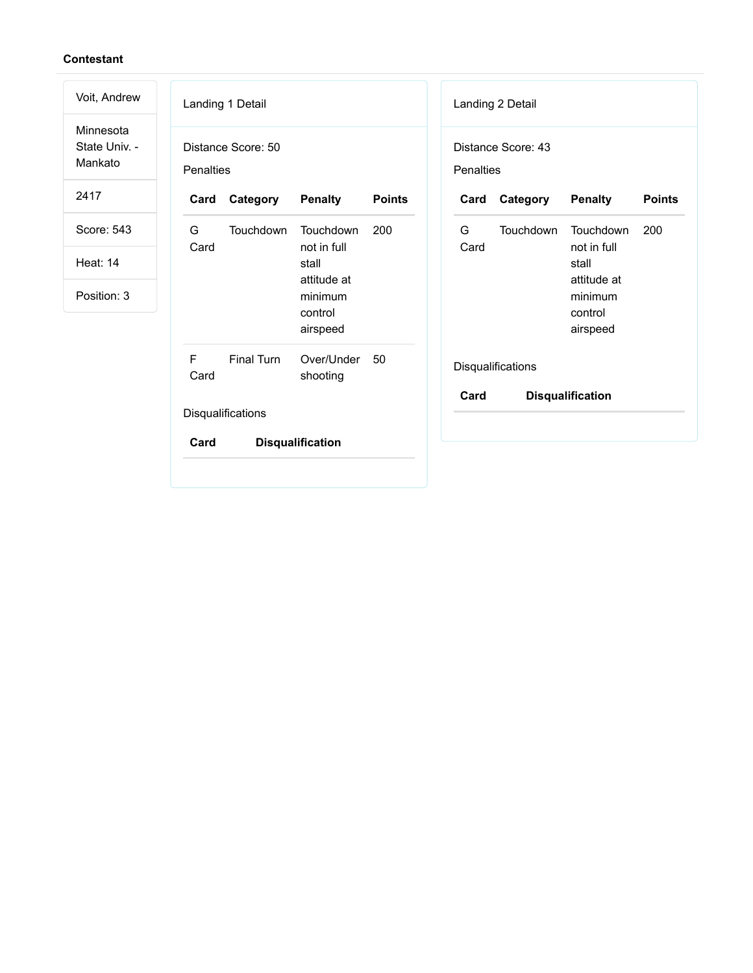| Voit, Andrew                          | Landing 1 Detail                                               | Landing 2 Detail                                          |
|---------------------------------------|----------------------------------------------------------------|-----------------------------------------------------------|
| Minnesota<br>State Univ. -<br>Mankato | Distance Score: 50<br>Penalties                                | Distance Score: 43<br>Penalties                           |
| 2417                                  | <b>Points</b><br>Category<br><b>Penalty</b><br>Card            | Category<br><b>Penalty</b><br><b>Points</b><br>Card       |
| Score: 543                            | Touchdown<br>Touchdown<br>G<br>200<br>not in full<br>Card      | G<br>Touchdown<br>Touchdown<br>200<br>Card<br>not in full |
| <b>Heat: 14</b>                       | stall<br>attitude at                                           | stall<br>attitude at                                      |
| Position: 3                           | minimum<br>control<br>airspeed                                 | minimum<br>control<br>airspeed                            |
|                                       | F<br><b>Final Turn</b><br>Over/Under<br>50<br>Card<br>shooting | Disqualifications                                         |
|                                       | Disqualifications                                              | Card<br><b>Disqualification</b>                           |
|                                       | Card<br><b>Disqualification</b>                                |                                                           |
|                                       |                                                                |                                                           |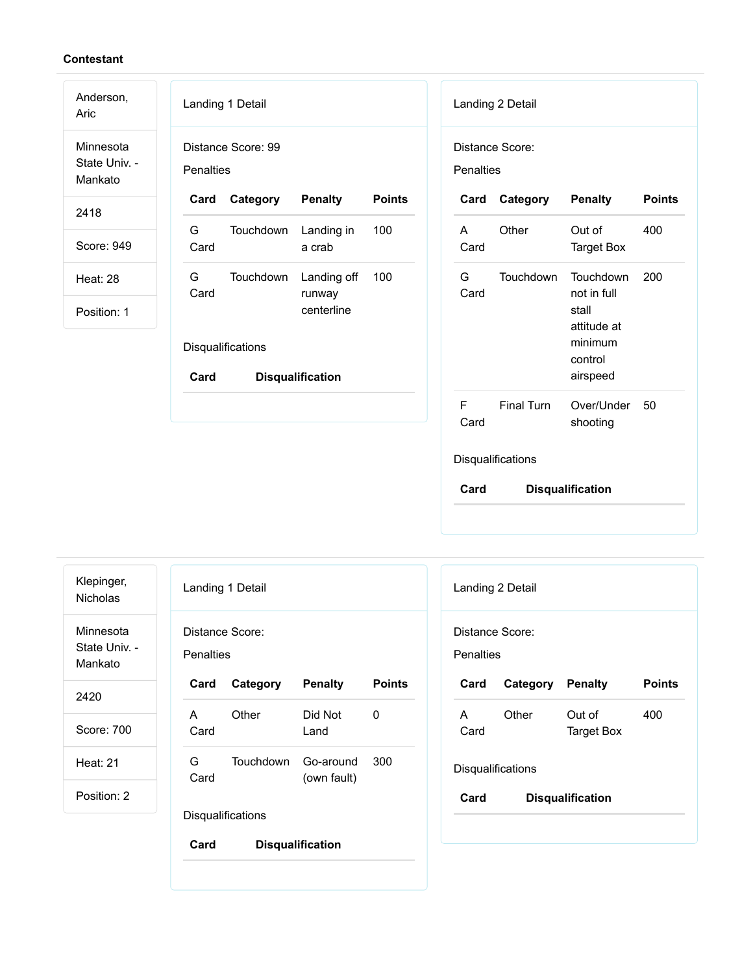| Anderson,<br>Aric                     | Landing 1 Detail<br>Landing 2 Detail                                                                                |
|---------------------------------------|---------------------------------------------------------------------------------------------------------------------|
| Minnesota<br>State Univ. -<br>Mankato | Distance Score: 99<br>Distance Score:<br>Penalties<br>Penalties                                                     |
| 2418                                  | <b>Penalty</b><br><b>Points</b><br>Category<br>Card<br>Category<br><b>Penalty</b><br><b>Points</b><br>Card          |
| Score: 949                            | G<br>Other<br>400<br>Touchdown<br>Landing in<br>100<br>Out of<br>A<br>Card<br>Card<br><b>Target Box</b><br>a crab   |
| <b>Heat: 28</b>                       | G<br>Touchdown<br>G<br>Touchdown<br>Touchdown<br>200<br>Landing off<br>100<br>Card<br>Card<br>not in full<br>runway |
| Position: 1                           | centerline<br>stall<br>attitude at                                                                                  |
|                                       | minimum<br>Disqualifications<br>control                                                                             |
|                                       | airspeed<br>Card<br><b>Disqualification</b>                                                                         |
|                                       | $\mathsf F$<br>Final Turn<br>Over/Under<br>50<br>Card<br>shooting                                                   |
|                                       | Disqualifications                                                                                                   |

| Klepinger,<br><b>Nicholas</b>         | Landing 1 Detail |                          |                         |               |  |
|---------------------------------------|------------------|--------------------------|-------------------------|---------------|--|
| Minnesota<br>State Univ. -<br>Mankato | <b>Penalties</b> | Distance Score:          |                         |               |  |
| 2420                                  | Card             | Category                 | <b>Penalty</b>          | <b>Points</b> |  |
| Score: 700                            | A<br>Card        | Other                    | Did Not<br>Land         | O             |  |
| <b>Heat: 21</b>                       | G                | Touchdown                | Go-around               | 300           |  |
| Position: 2                           | Card             |                          | (own fault)             |               |  |
|                                       |                  | <b>Disqualifications</b> |                         |               |  |
|                                       | Card             |                          | <b>Disqualification</b> |               |  |

| Landing 2 Detail             |                         |                         |               |
|------------------------------|-------------------------|-------------------------|---------------|
| Distance Score:<br>Penalties |                         |                         |               |
| Card                         | <b>Category Penalty</b> |                         | <b>Points</b> |
| A<br>Card                    | Other                   | Out of<br>Target Box    | 400           |
| Disqualifications            |                         |                         |               |
| Card                         |                         | <b>Disqualification</b> |               |
|                              |                         |                         |               |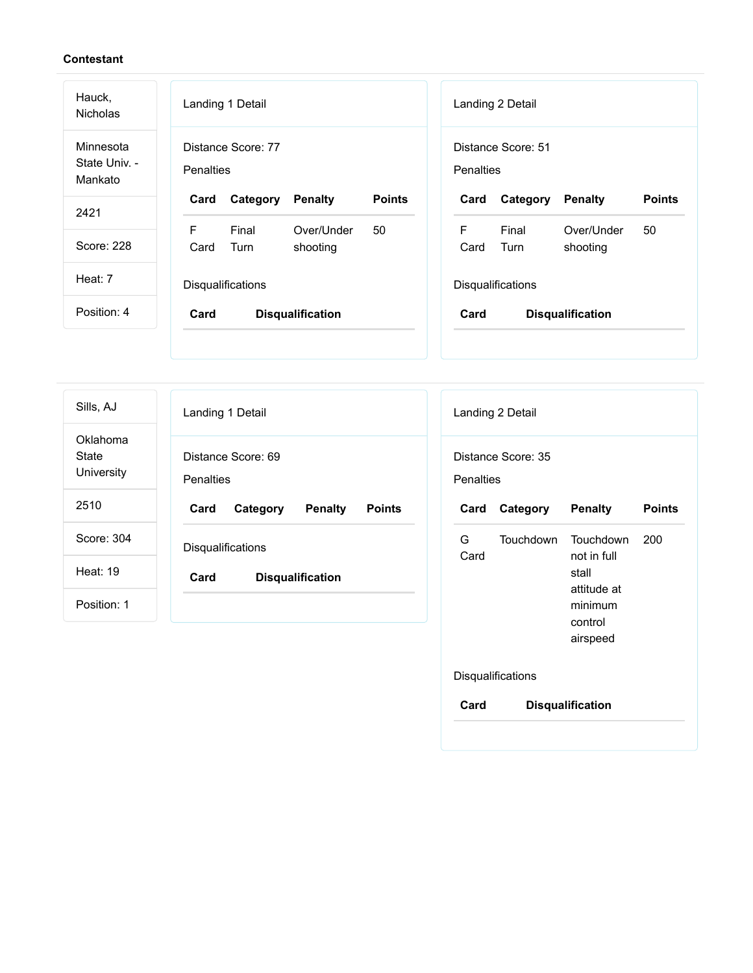| Hauck,<br><b>Nicholas</b>             | Landing 1 Detail<br>Landing 2 Detail                                                                       |
|---------------------------------------|------------------------------------------------------------------------------------------------------------|
| Minnesota<br>State Univ. -<br>Mankato | Distance Score: 77<br>Distance Score: 51<br>Penalties<br><b>Penalties</b>                                  |
| 2421                                  | <b>Points</b><br><b>Points</b><br>Card<br>Category<br><b>Penalty</b><br>Card<br>Category<br><b>Penalty</b> |
|                                       | F<br>F<br>Final<br>Over/Under<br>Over/Under<br>50<br>50<br>Final                                           |
| Score: 228                            | Turn<br>Card<br>shooting<br>Turn<br>shooting<br>Card                                                       |
| Heat: 7                               | Disqualifications<br><b>Disqualifications</b>                                                              |
| Position: 4                           | Card<br>Card<br><b>Disqualification</b><br><b>Disqualification</b>                                         |
|                                       |                                                                                                            |
|                                       |                                                                                                            |

| Sills, AJ                       | Landing 1 Detail                                    | Landing 2 Detail                       |
|---------------------------------|-----------------------------------------------------|----------------------------------------|
| Oklahoma<br>State<br>University | Distance Score: 69<br><b>Penalties</b>              | Distance Score: 35<br><b>Penalties</b> |
| 2510                            | Card<br>Category<br><b>Penalty</b><br><b>Points</b> | Category<br>Card                       |
| Score: 304                      | Disqualifications                                   | G<br>Touchdow<br>Card                  |
| <b>Heat: 19</b>                 | Card<br><b>Disqualification</b>                     |                                        |
| Position: 1                     |                                                     |                                        |
|                                 |                                                     |                                        |

|            | Landing 2 Detail   |                                                                                    |               |
|------------|--------------------|------------------------------------------------------------------------------------|---------------|
| Penalties  | Distance Score: 35 |                                                                                    |               |
| Card       | Category           | <b>Penalty</b>                                                                     | <b>Points</b> |
| G.<br>Card | Touchdown          | Touchdown<br>not in full<br>stall<br>attitude at<br>minimum<br>control<br>airspeed | 200           |
|            | Disqualifications  |                                                                                    |               |
| Card       |                    | <b>Disqualification</b>                                                            |               |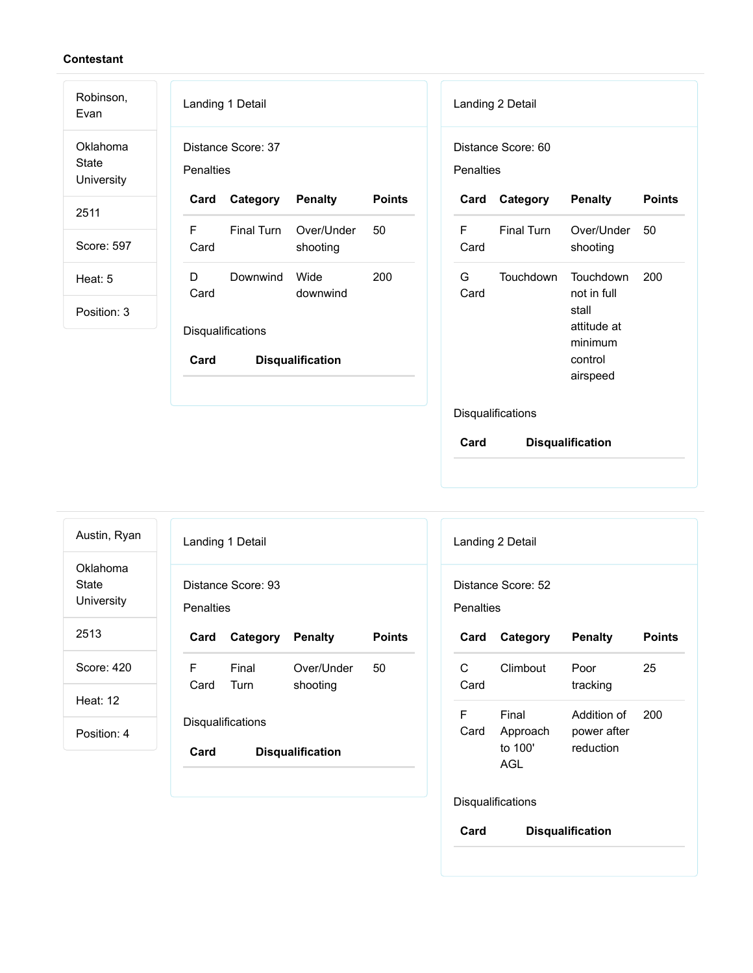| Robinson,<br>Evan                      | Landing 1 Detail<br>Landing 2 Detail                                                                               |
|----------------------------------------|--------------------------------------------------------------------------------------------------------------------|
| Oklahoma<br><b>State</b><br>University | Distance Score: 37<br>Distance Score: 60<br>Penalties<br>Penalties                                                 |
| 2511                                   | <b>Points</b><br>Category<br><b>Penalty</b><br>Category<br><b>Penalty</b><br><b>Points</b><br>Card<br>Card         |
| Score: 597                             | F<br>Final Turn<br>Final Turn<br>Over/Under<br>50<br>F<br>Over/Under<br>50<br>Card<br>Card<br>shooting<br>shooting |
| Heat: 5                                | Wide<br>200<br>G<br>Touchdown<br>200<br>D<br>Downwind<br>Touchdown<br>Card<br>Card<br>not in full<br>downwind      |
| Position: 3                            | stall<br>attitude at<br>Disqualifications<br>minimum<br>control<br>Card<br><b>Disqualification</b><br>airspeed     |
|                                        | Disqualifications                                                                                                  |
|                                        | Card<br><b>Disqualification</b>                                                                                    |

| Austin, Ryan                    |                  | Landing 1 Detail   |                         |               | Landing                    |
|---------------------------------|------------------|--------------------|-------------------------|---------------|----------------------------|
| Oklahoma<br>State<br>University | <b>Penalties</b> | Distance Score: 93 |                         |               | <b>Distanc</b><br>Penaltie |
| 2513                            | Card             | Category           | <b>Penalty</b>          | <b>Points</b> | Card                       |
| Score: 420                      | F.               | Final              | Over/Under              | 50            | C                          |
| <b>Heat: 12</b>                 | Card             | Turn               | shooting                |               | Card<br>F                  |
| Position: 4                     |                  | Disqualifications  |                         |               | Card                       |
|                                 | Card             |                    | <b>Disqualification</b> |               |                            |
|                                 |                  |                    |                         |               | <b>Dieauol</b>             |

|                   | Landing 2 Detail                    |                                         |               |  |
|-------------------|-------------------------------------|-----------------------------------------|---------------|--|
| Penalties         | Distance Score: 52                  |                                         |               |  |
| Card              | Category                            | <b>Penalty</b>                          | <b>Points</b> |  |
| C.<br>Card        | Climbout                            | Poor<br>tracking                        | 25            |  |
| F<br>Card         | Final<br>Approach<br>to 100'<br>AGL | Addition of<br>power after<br>reduction | 200           |  |
| Disqualifications |                                     |                                         |               |  |
| Card              |                                     | <b>Disqualification</b>                 |               |  |
|                   |                                     |                                         |               |  |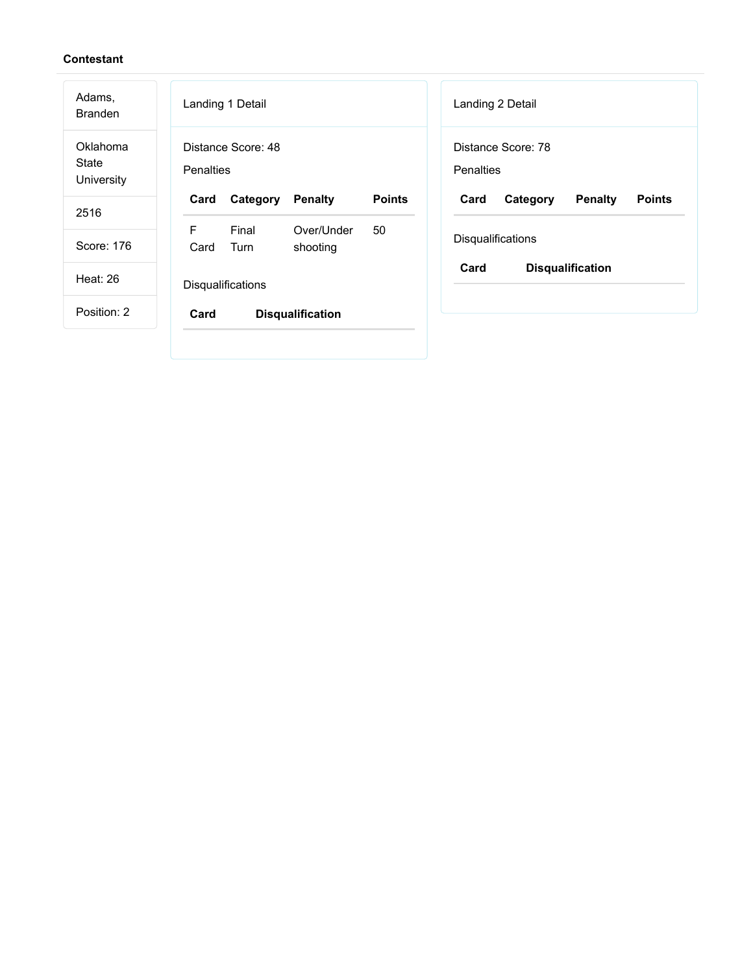| Adams,<br><b>Branden</b>        | Landing 1 Detail<br>Landing 2 Detail                                                                       |
|---------------------------------|------------------------------------------------------------------------------------------------------------|
| Oklahoma<br>State<br>University | Distance Score: 48<br>Distance Score: 78<br>Penalties<br>Penalties                                         |
| 2516                            | <b>Points</b><br>Card<br>Card<br><b>Penalty</b><br><b>Points</b><br>Category<br><b>Penalty</b><br>Category |
| Score: 176                      | F<br>Final<br>Over/Under<br>50<br>Disqualifications<br>Turn<br>Card<br>shooting                            |
| <b>Heat: 26</b>                 | Card<br><b>Disqualification</b><br>Disqualifications                                                       |
| Position: 2                     | Card<br><b>Disqualification</b>                                                                            |
|                                 |                                                                                                            |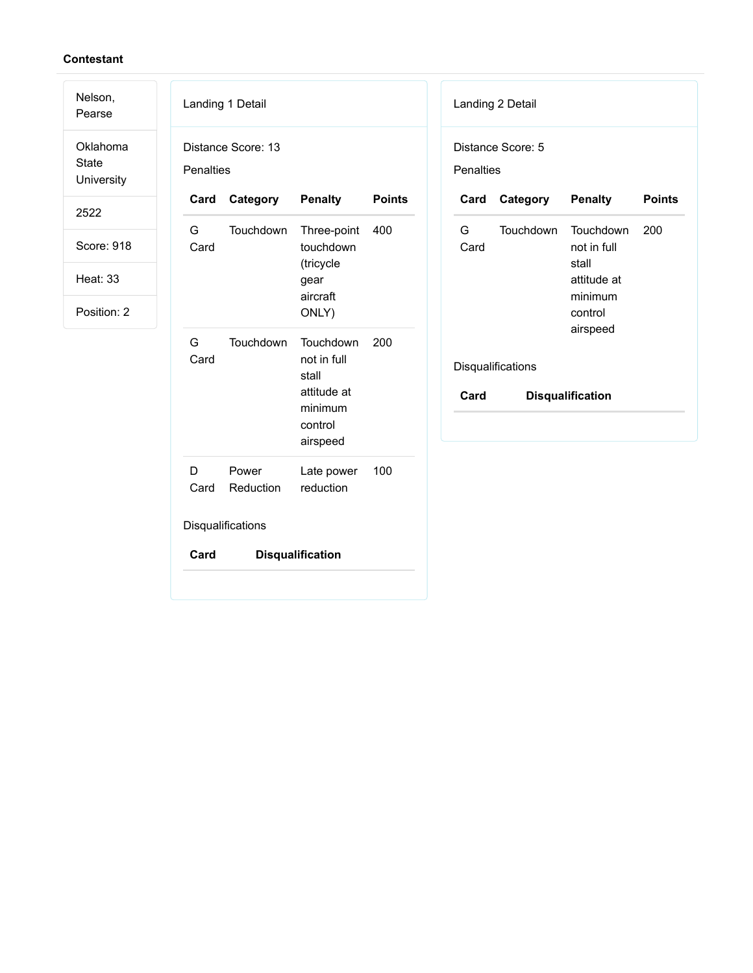| Nelson,<br>Pearse                      | Landing 1 Detail  |                    |                                               |               |                  | Landing 2 Detail  |                                   |               |
|----------------------------------------|-------------------|--------------------|-----------------------------------------------|---------------|------------------|-------------------|-----------------------------------|---------------|
| Oklahoma<br><b>State</b><br>University | <b>Penalties</b>  | Distance Score: 13 |                                               |               | <b>Penalties</b> | Distance Score: 5 |                                   |               |
| 2522                                   | Card              | Category           | <b>Penalty</b>                                | <b>Points</b> | Card             | Category          | <b>Penalty</b>                    | <b>Points</b> |
| Score: 918                             | G<br>Card         | Touchdown          | Three-point<br>touchdown                      | 400           | G<br>Card        | Touchdown         | Touchdown<br>not in full<br>stall | 200           |
| <b>Heat: 33</b>                        |                   |                    | (tricycle<br>gear<br>aircraft                 |               |                  |                   | attitude at<br>minimum            |               |
| Position: 2                            |                   |                    | ONLY)                                         |               |                  |                   | control<br>airspeed               |               |
|                                        | G<br>Card         | Touchdown          | Touchdown<br>not in full<br>stall             | 200           |                  | Disqualifications |                                   |               |
|                                        |                   |                    | attitude at<br>minimum<br>control<br>airspeed |               | Card             |                   | <b>Disqualification</b>           |               |
|                                        | D<br>Card         | Power<br>Reduction | Late power<br>reduction                       | 100           |                  |                   |                                   |               |
|                                        | Disqualifications |                    |                                               |               |                  |                   |                                   |               |
|                                        | Card              |                    | <b>Disqualification</b>                       |               |                  |                   |                                   |               |
|                                        |                   |                    |                                               |               |                  |                   |                                   |               |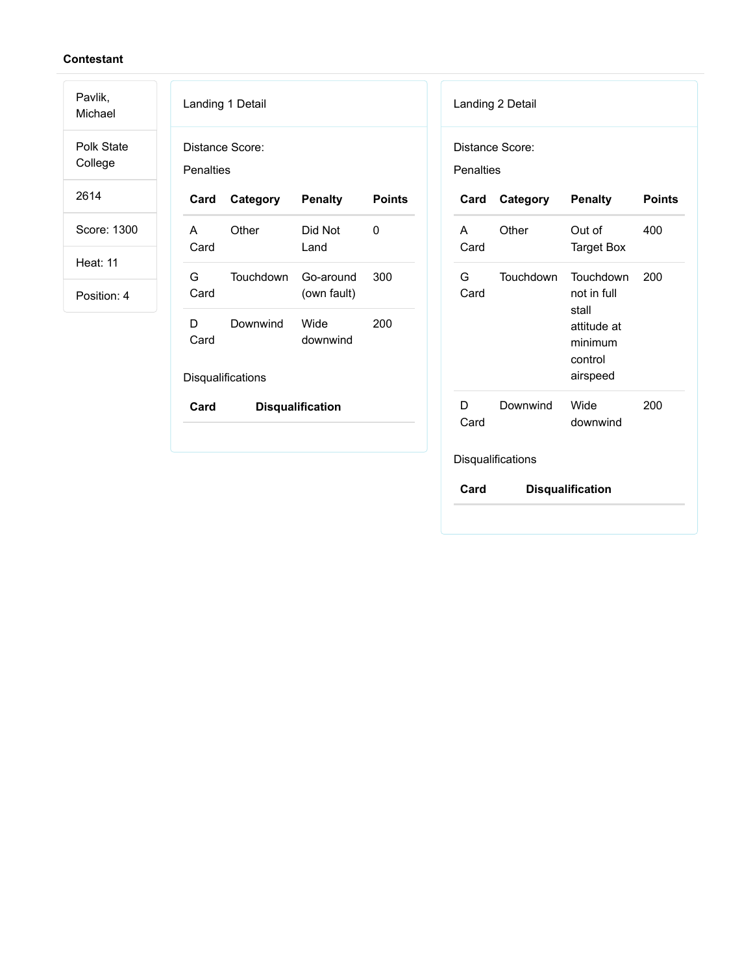Pavlik,

Michael Polk State College

2614

Score: 1300

Heat: 11

|            | Distance Score:   |                          |               |
|------------|-------------------|--------------------------|---------------|
| Penalties  |                   |                          |               |
| Card       | Category          | <b>Penalty</b>           | <b>Points</b> |
| A<br>Card  | Other             | Did Not<br>Land          | O             |
| G.<br>Card | Touchdown         | Go-around<br>(own fault) | 300           |
| D<br>Card  | Downwind          | Wide<br>downwind         | 200           |
|            | Disqualifications |                          |               |
| Card       |                   | <b>Disqualification</b>  |               |

| Penalties  | Distance Score:   |                                                                                    |               |
|------------|-------------------|------------------------------------------------------------------------------------|---------------|
| Card       | Category          | <b>Penalty</b>                                                                     | <b>Points</b> |
| А<br>Card  | Other             | Out of<br><b>Target Box</b>                                                        | 400           |
| G.<br>Card | Touchdown         | Touchdown<br>not in full<br>stall<br>attitude at<br>minimum<br>control<br>airspeed | 200           |
| D<br>Card  | Downwind          | Wide<br>downwind                                                                   | 200           |
|            | Disqualifications |                                                                                    |               |
| Card       |                   | <b>Disqualification</b>                                                            |               |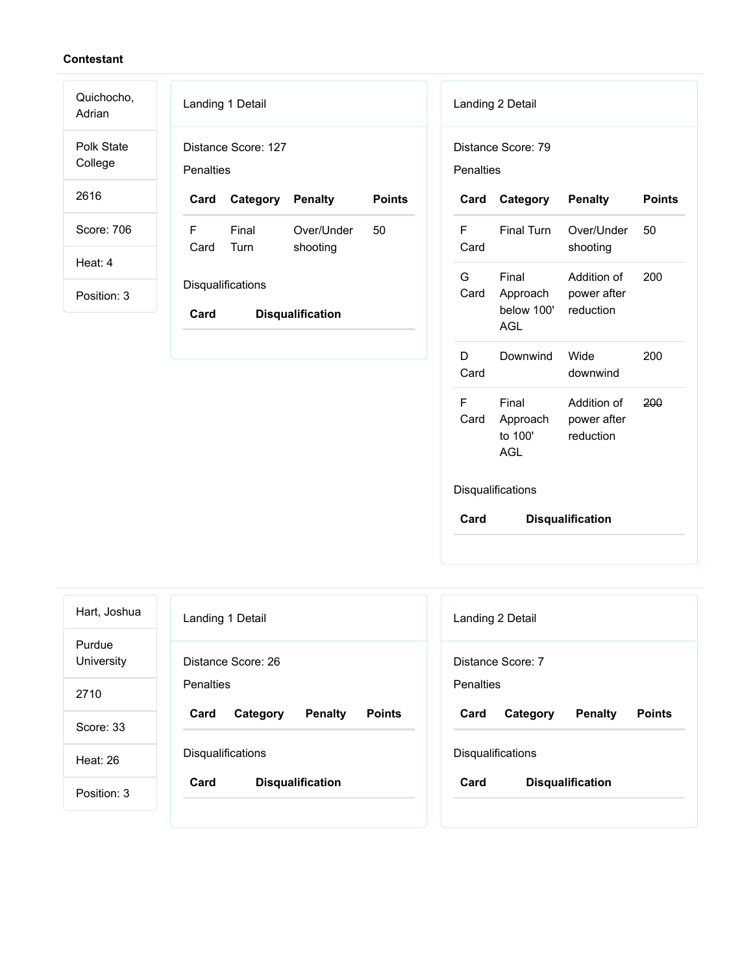| Quichocho,<br>Adrian  | Landing 1 Detail                                           | Landing 2 Detail                                                                                          |
|-----------------------|------------------------------------------------------------|-----------------------------------------------------------------------------------------------------------|
| Polk State<br>College | Distance Score: 127<br>Penalties                           | Distance Score: 79<br>Penalties                                                                           |
| 2616                  | <b>Points</b><br>Category<br><b>Penalty</b><br>Card        | <b>Points</b><br><b>Penalty</b><br>Category<br>Card                                                       |
| Score: 706            | F<br>Final<br>Over/Under<br>50<br>Turn<br>Card<br>shooting | $\mathsf F$<br><b>Final Turn</b><br>Over/Under<br>50<br>Card<br>shooting                                  |
| Heat: 4               |                                                            | G<br>Final<br>Addition of<br>200                                                                          |
| Position: 3           | Disqualifications<br>Card<br><b>Disqualification</b>       | Card<br>Approach<br>power after<br>below 100'<br>reduction<br><b>AGL</b>                                  |
|                       |                                                            | D<br>Downwind<br>Wide<br>200<br>Card<br>downwind                                                          |
|                       |                                                            | F<br>Final<br>200<br>Addition of<br>Card<br>Approach<br>power after<br>to 100'<br>reduction<br><b>AGL</b> |
|                       |                                                            | <b>Diequalifications</b>                                                                                  |

Disqualifications

| Hart, Joshua         | Landing 1 Detail                                    | Landing 2 Detail                                    |
|----------------------|-----------------------------------------------------|-----------------------------------------------------|
| Purdue<br>University | Distance Score: 26                                  | Distance Score: 7                                   |
| 2710                 | <b>Penalties</b>                                    | Penalties                                           |
| Score: 33            | Card<br><b>Penalty</b><br><b>Points</b><br>Category | <b>Penalty</b><br><b>Points</b><br>Card<br>Category |
| Heat: $26$           | <b>Disqualifications</b>                            | <b>Disqualifications</b>                            |
| Position: 3          | Card<br><b>Disqualification</b>                     | Card<br><b>Disqualification</b>                     |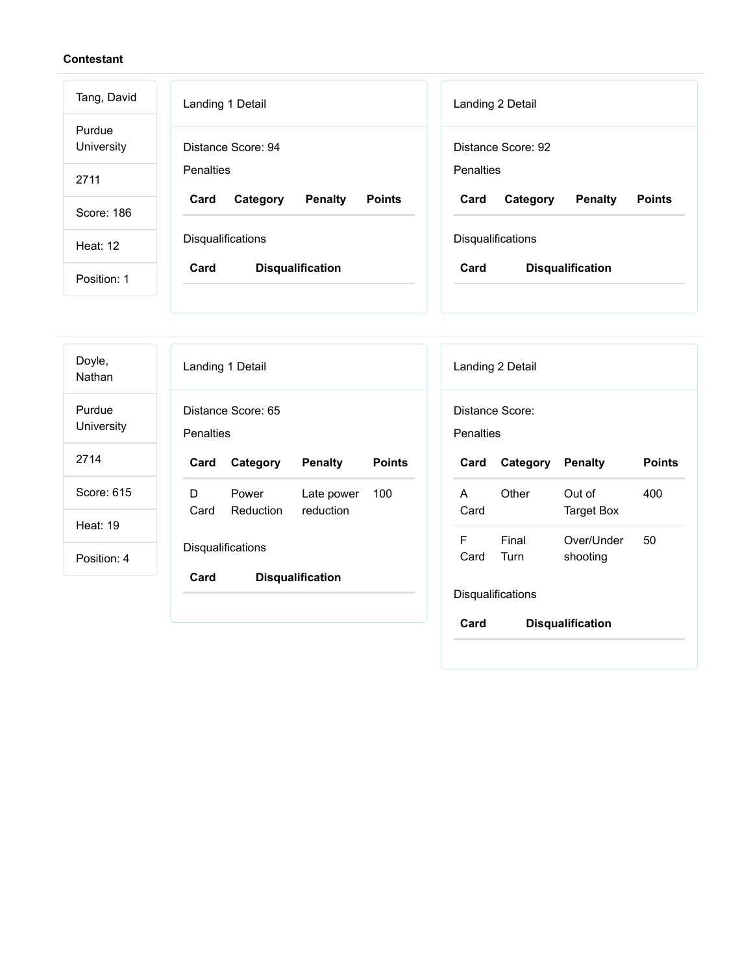| Tang, David          | Landing 1 Detail                                    | Landing 2 Detail                                    |  |
|----------------------|-----------------------------------------------------|-----------------------------------------------------|--|
| Purdue<br>University | Distance Score: 94                                  | Distance Score: 92                                  |  |
| 2711                 | Penalties                                           | Penalties                                           |  |
| Score: 186           | <b>Penalty</b><br><b>Points</b><br>Card<br>Category | <b>Penalty</b><br><b>Points</b><br>Card<br>Category |  |
| Heat: $12$           | <b>Disqualifications</b>                            | <b>Disqualifications</b>                            |  |
| Position: 1          | Card<br><b>Disqualification</b>                     | Card<br><b>Disqualification</b>                     |  |

| Doyle,<br>Nathan     | Landing 1 Detail                                                         | Landing 2 Detail                                         |
|----------------------|--------------------------------------------------------------------------|----------------------------------------------------------|
| Purdue<br>University | Distance Score: 65<br>Penalties                                          | Distance Score:<br>Penalties                             |
| 2714                 | Category<br><b>Penalty</b><br><b>Points</b><br>Card                      | Category<br><b>Penalty</b><br><b>Points</b><br>Card      |
| Score: 615           | D<br>100<br>Late power<br>Power<br><b>Reduction</b><br>reduction<br>Card | Other<br>Out of<br>400<br>A<br>Card<br><b>Target Box</b> |
| Heat: 19             |                                                                          | F<br>Final<br>Over/Under<br>50                           |
| Position: 4          | Disqualifications<br>Card<br><b>Disqualification</b>                     | Turn<br>Card<br>shooting                                 |
|                      |                                                                          | Disqualifications                                        |
|                      |                                                                          | Card<br><b>Disqualification</b>                          |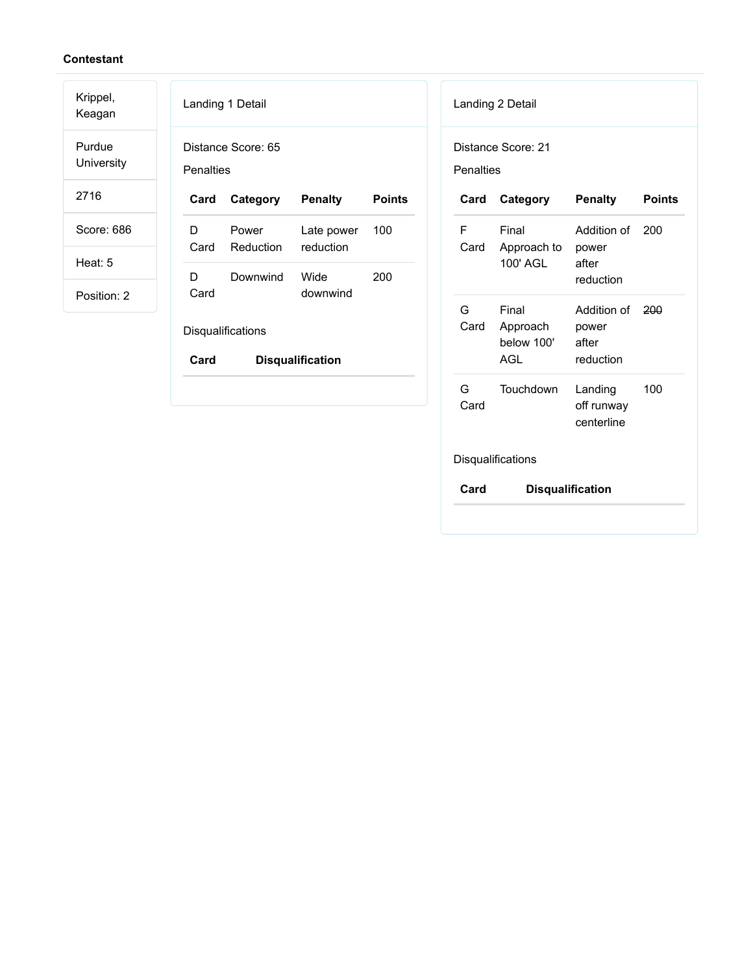Krippel,

Keagan Purdue University

2716

Score: 686

Heat: 5

Position: 2

| Landing 1 Detail |                          |                             |        |  |  |
|------------------|--------------------------|-----------------------------|--------|--|--|
| Penalties        | Distance Score: 65       |                             |        |  |  |
| Card             | Category                 | <b>Penalty</b>              | Points |  |  |
| D                | Power<br>Card Reduction  | Late power 100<br>reduction |        |  |  |
| D<br>Card        | Downwind                 | Wide<br>downwind            | 200    |  |  |
|                  | <b>Disqualifications</b> |                             |        |  |  |

| Category<br>Final                             | <b>Penalty</b><br>Addition of       | <b>Points</b> |
|-----------------------------------------------|-------------------------------------|---------------|
|                                               |                                     |               |
| Card Approach to power<br>100' AGL            | after<br>reduction                  | 200           |
| Final<br>Approach<br>below 100'<br><b>AGL</b> | power<br>after<br>reduction         | 200           |
| Touchdown                                     | Landing<br>off runway<br>centerline | 100           |
|                                               |                                     | Addition of   |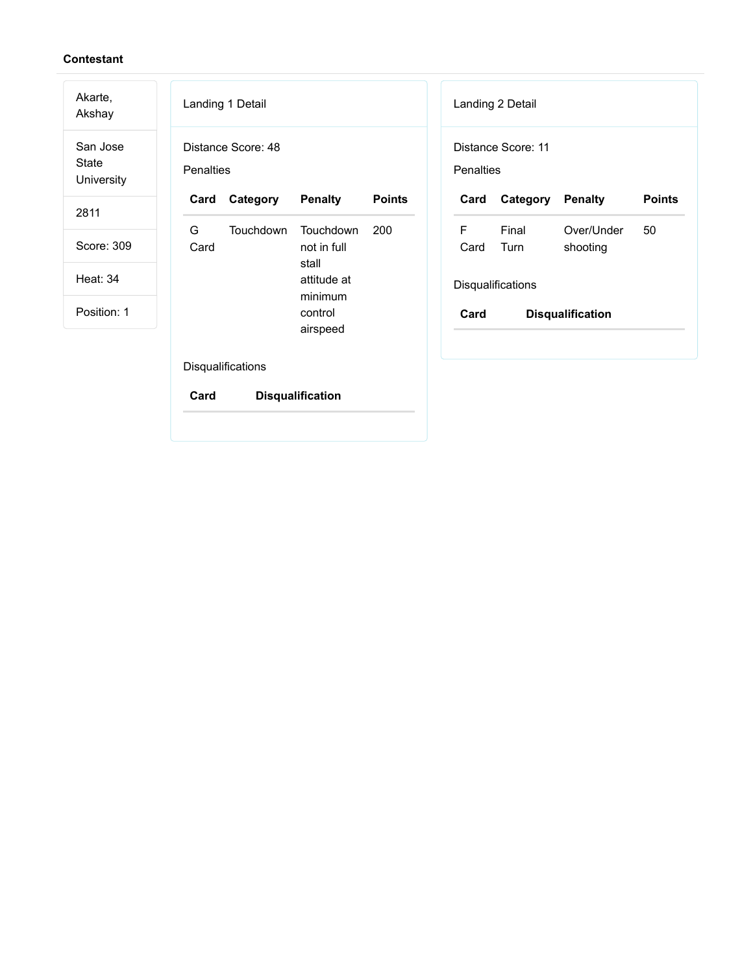| Akarte,<br>Akshay               | Landing 1 Detail<br>Landing 2 Detail                                                                       |
|---------------------------------|------------------------------------------------------------------------------------------------------------|
| San Jose<br>State<br>University | Distance Score: 11<br>Distance Score: 48<br>Penalties<br>Penalties                                         |
| 2811                            | <b>Penalty</b><br><b>Points</b><br><b>Points</b><br>Category<br>Category<br><b>Penalty</b><br>Card<br>Card |
|                                 | G<br>F<br>Touchdown<br>200<br>Final<br>Over/Under<br>50<br><b>Touchdown</b>                                |
| Score: 309                      | Card<br>not in full<br>Turn<br>Card<br>shooting<br>stall                                                   |
| <b>Heat: 34</b>                 | attitude at<br>Disqualifications<br>minimum                                                                |
| Position: 1                     | control<br>Card<br><b>Disqualification</b><br>airspeed                                                     |
|                                 | Disqualifications<br>Card<br><b>Disqualification</b>                                                       |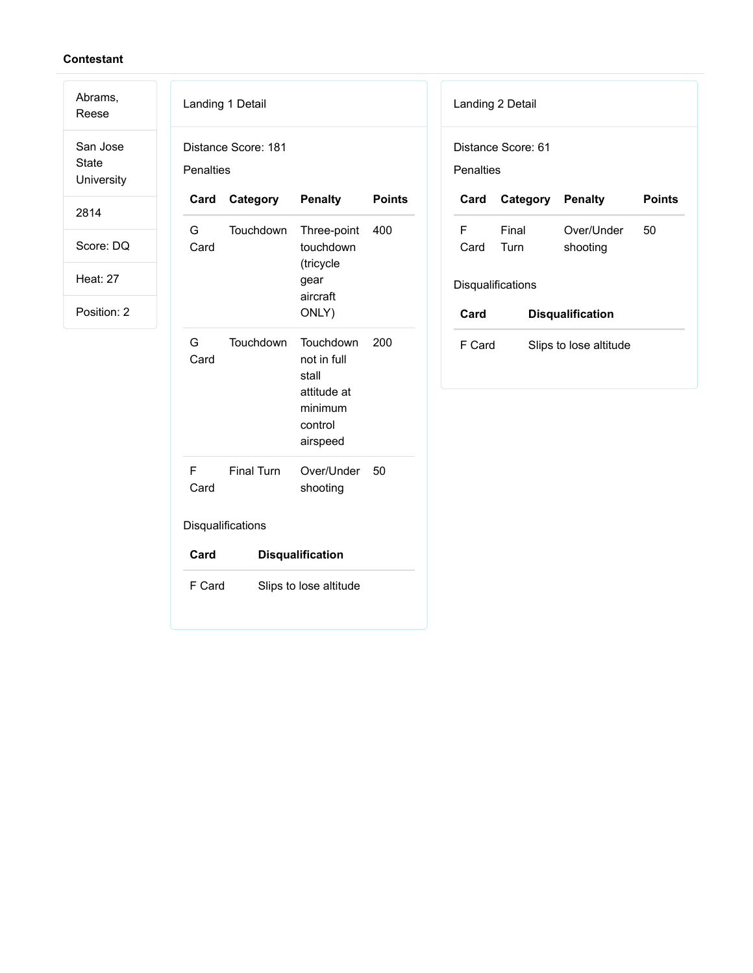Abrams,

Reese San Jose State **University** 

2814

Score: DQ

Heat: 27

|            | Landing 1 Detail    |                                                                                    |               |
|------------|---------------------|------------------------------------------------------------------------------------|---------------|
| Penalties  | Distance Score: 181 |                                                                                    |               |
| Card       | Category            | <b>Penalty</b>                                                                     | <b>Points</b> |
| G<br>Card  | Touchdown           | Three-point<br>touchdown<br>(tricycle<br>gear<br>aircraft<br>ONLY)                 | 400           |
| G.<br>Card | Touchdown           | Touchdown<br>not in full<br>stall<br>attitude at<br>minimum<br>control<br>airspeed | 200           |
| F<br>Card  | <b>Final Turn</b>   | Over/Under<br>shooting                                                             | 50            |
|            | Disqualifications   |                                                                                    |               |
| Card       |                     | <b>Disqualification</b>                                                            |               |
| F Card     |                     | Slips to lose altitude                                                             |               |

| Landing 2 Detail                 |                         |                        |               |  |  |
|----------------------------------|-------------------------|------------------------|---------------|--|--|
| Distance Score: 61<br>Penalties  |                         |                        |               |  |  |
| Card                             | <b>Category Penalty</b> |                        | <b>Points</b> |  |  |
| F<br>Card                        | Final<br>Turn           | Over/Under<br>shooting | 50            |  |  |
|                                  | Disqualifications       |                        |               |  |  |
| Card                             | <b>Disqualification</b> |                        |               |  |  |
| F Card<br>Slips to lose altitude |                         |                        |               |  |  |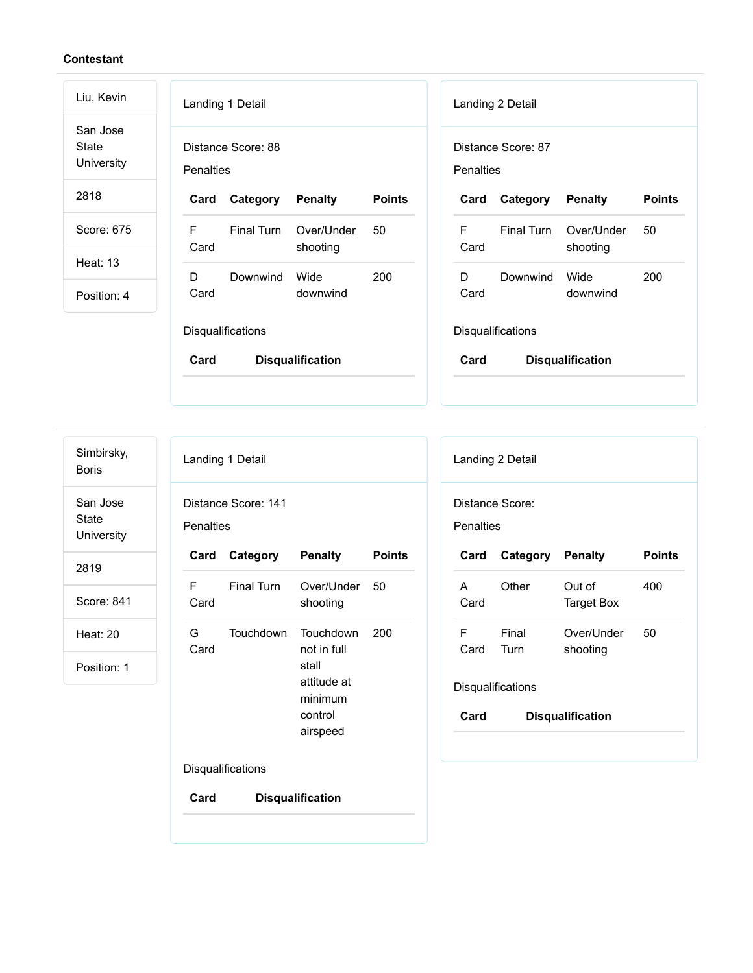| Landing 1 Detail                       |                        |                         |           |            |                                                                                 |                         |
|----------------------------------------|------------------------|-------------------------|-----------|------------|---------------------------------------------------------------------------------|-------------------------|
| Distance Score: 88<br><b>Penalties</b> |                        |                         |           |            |                                                                                 |                         |
| Card<br>Category                       | <b>Penalty</b>         | <b>Points</b>           | Card      | Category   | <b>Penalty</b>                                                                  | <b>Points</b>           |
| F<br>Final Turn<br>Card                | Over/Under<br>shooting | 50                      | F<br>Card | Final Turn | Over/Under<br>shooting                                                          | 50                      |
| D<br>Downwind                          | Wide                   | 200                     | D         | Downwind   | Wide                                                                            | 200                     |
| Card                                   | downwind               |                         | Card      |            | downwind                                                                        |                         |
| Disqualifications<br>Card              |                        |                         | Card      |            |                                                                                 |                         |
|                                        |                        | <b>Disqualification</b> |           |            | Landing 2 Detail<br>Distance Score: 87<br><b>Penalties</b><br>Disqualifications | <b>Disqualification</b> |

Simbirsky, Boris

San Jose State University

2819

Score: 841

Heat: 20

Position: 1

| Landing 1 Detail                 |                   |                                                                                    |               |  |
|----------------------------------|-------------------|------------------------------------------------------------------------------------|---------------|--|
| Distance Score: 141<br>Penalties |                   |                                                                                    |               |  |
| Card                             | Category          | <b>Penalty</b>                                                                     | <b>Points</b> |  |
| F<br>Card                        | <b>Final Turn</b> | Over/Under 50<br>shooting                                                          |               |  |
| G<br>Card                        | Touchdown         | Touchdown<br>not in full<br>stall<br>attitude at<br>minimum<br>control<br>airspeed | 200           |  |
|                                  | Disqualifications |                                                                                    |               |  |

| Landing 2 Detail             |                         |                         |               |  |  |
|------------------------------|-------------------------|-------------------------|---------------|--|--|
| Distance Score:<br>Penalties |                         |                         |               |  |  |
| Card                         | <b>Category Penalty</b> |                         | <b>Points</b> |  |  |
| A<br>Card                    | Other                   | Out of<br>Target Box    | 400           |  |  |
| F<br>Card Turn               | Final                   | Over/Under<br>shooting  | 50            |  |  |
| Disqualifications            |                         |                         |               |  |  |
| Card                         |                         | <b>Disqualification</b> |               |  |  |
|                              |                         |                         |               |  |  |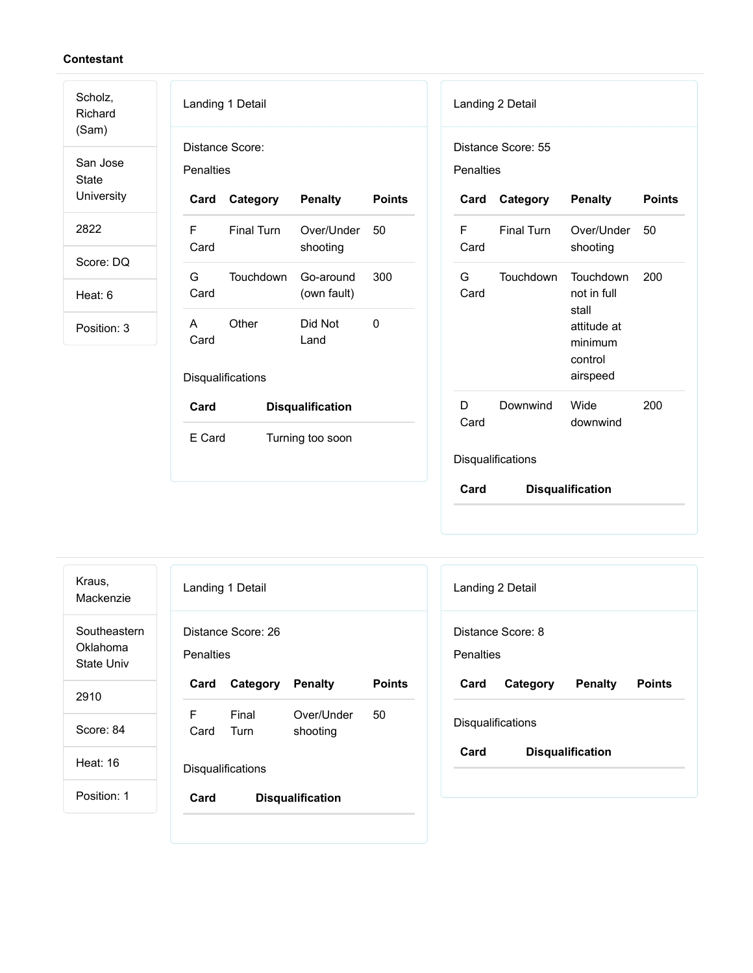| Scholz,<br>Richard | Landing 1 Detail                                               | Landing 2 Detail                                                   |  |  |
|--------------------|----------------------------------------------------------------|--------------------------------------------------------------------|--|--|
| (Sam)<br>San Jose  | Distance Score:                                                | Distance Score: 55                                                 |  |  |
| <b>State</b>       | <b>Penalties</b>                                               | Penalties                                                          |  |  |
| University         | <b>Penalty</b><br><b>Points</b><br>Category<br>Card            | <b>Points</b><br>Category<br><b>Penalty</b><br>Card                |  |  |
| 2822               | E<br><b>Final Turn</b><br>Over/Under<br>50<br>Card<br>shooting | <b>Final Turn</b><br>F<br>50<br>Over/Under<br>Card<br>shooting     |  |  |
| Score: DQ          |                                                                |                                                                    |  |  |
| Heat: 6            | G<br>Touchdown<br>300<br>Go-around<br>Card<br>(own fault)      | G<br>Touchdown<br>Touchdown<br>200<br>Card<br>not in full<br>stall |  |  |
| Position: 3        | Other<br>Did Not<br>0<br>A<br>Card<br>Land                     | attitude at<br>minimum<br>control                                  |  |  |
|                    | Disqualifications                                              | airspeed                                                           |  |  |
|                    | Card<br><b>Disqualification</b>                                | Wide<br>200<br>D<br>Downwind<br>Card<br>downwind                   |  |  |
|                    | E Card<br>Turning too soon                                     |                                                                    |  |  |
|                    |                                                                | Disqualifications                                                  |  |  |
|                    |                                                                | Card<br><b>Disqualification</b>                                    |  |  |

| Kraus,<br>Mackenzie                    |                                        | Landing 1 Detail        |                |               |  |  |
|----------------------------------------|----------------------------------------|-------------------------|----------------|---------------|--|--|
| Southeastern<br>Oklahoma<br>State Univ | Distance Score: 26<br><b>Penalties</b> |                         |                |               |  |  |
| 2910                                   | Card                                   | Category                | <b>Penalty</b> | <b>Points</b> |  |  |
|                                        | F                                      | Final                   | Over/Under     | 50            |  |  |
| Score: 84                              | Card                                   | Turn                    | shooting       |               |  |  |
| Heat: $16$                             | <b>Disqualifications</b>               |                         |                |               |  |  |
| Position: 1                            | Card                                   | <b>Disqualification</b> |                |               |  |  |
|                                        |                                        |                         |                |               |  |  |

| Landing 2 Detail                      |          |                         |               |  |  |
|---------------------------------------|----------|-------------------------|---------------|--|--|
| Distance Score: 8<br><b>Penalties</b> |          |                         |               |  |  |
| Card                                  | Category | <b>Penalty</b>          | <b>Points</b> |  |  |
| <b>Disqualifications</b>              |          |                         |               |  |  |
| Card                                  |          | <b>Disqualification</b> |               |  |  |
|                                       |          |                         |               |  |  |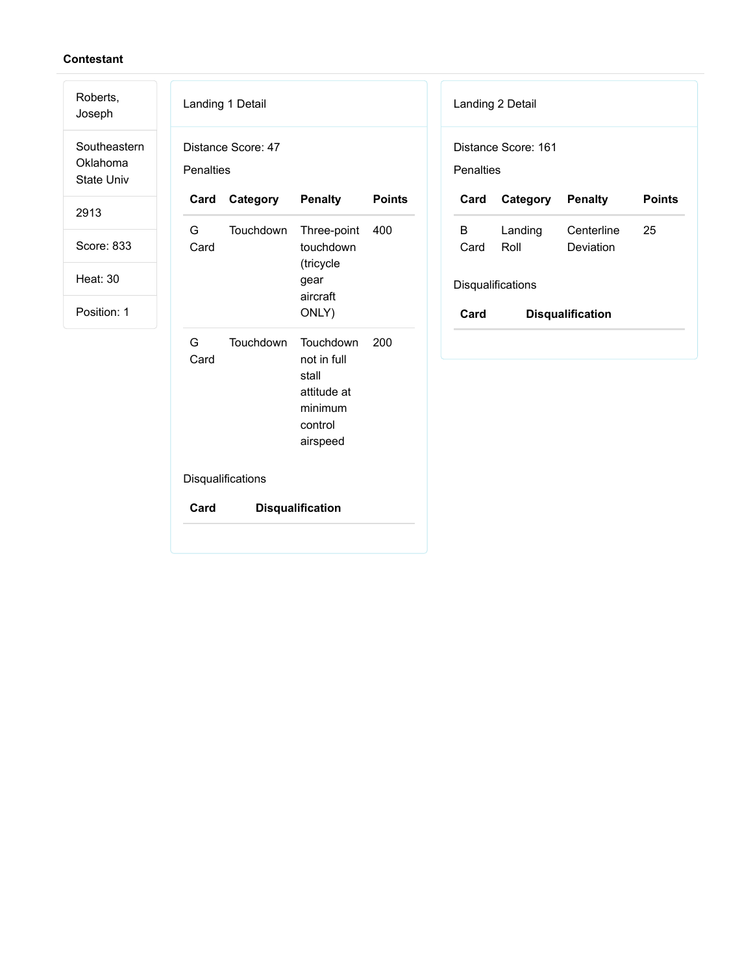| Roberts,<br>Joseph                            |           | Landing 1 Detail   |                                                                                    |               |                   | Landing 2 Detail    |  |
|-----------------------------------------------|-----------|--------------------|------------------------------------------------------------------------------------|---------------|-------------------|---------------------|--|
| Southeastern<br>Oklahoma<br><b>State Univ</b> | Penalties | Distance Score: 47 |                                                                                    |               | Penalties         | Distance Score: 161 |  |
| 2913                                          | Card      | Category           | <b>Penalty</b>                                                                     | <b>Points</b> | Card              | Category            |  |
| Score: 833                                    | G<br>Card | Touchdown          | Three-point<br>touchdown<br>(tricycle                                              | 400           | B<br>Card         | Landing<br>Roll     |  |
| <b>Heat: 30</b>                               |           |                    | gear                                                                               |               | Disqualifications |                     |  |
| Position: 1                                   |           |                    | aircraft<br>ONLY)                                                                  |               | Card              | <b>Disquali</b>     |  |
|                                               | G<br>Card | Touchdown          | Touchdown<br>not in full<br>stall<br>attitude at<br>minimum<br>control<br>airspeed | 200           |                   |                     |  |
|                                               |           | Disqualifications  |                                                                                    |               |                   |                     |  |
|                                               | Card      |                    | <b>Disqualification</b>                                                            |               |                   |                     |  |
|                                               |           |                    |                                                                                    |               |                   |                     |  |

| Landing 2 Detail                 |                 |                         |               |  |  |
|----------------------------------|-----------------|-------------------------|---------------|--|--|
| Distance Score: 161<br>Penalties |                 |                         |               |  |  |
| Card                             | Category        | <b>Penalty</b>          | <b>Points</b> |  |  |
| B.<br>Card                       | Landing<br>Roll | Centerline<br>Deviation | 25            |  |  |
| Disqualifications                |                 |                         |               |  |  |
| Card                             |                 | <b>Disqualification</b> |               |  |  |
|                                  |                 |                         |               |  |  |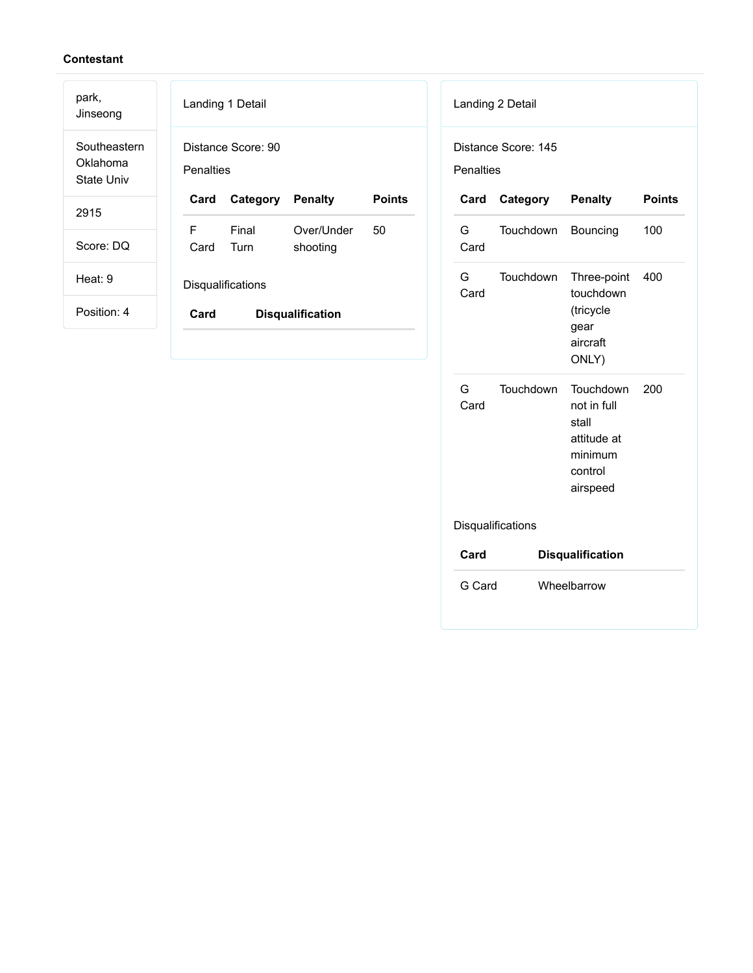| park,<br>Jinseong                      | Landing 1 Detail                       |          |                |               |  |
|----------------------------------------|----------------------------------------|----------|----------------|---------------|--|
| Southeastern<br>Oklahoma<br>State Univ | Distance Score: 90<br><b>Penalties</b> |          |                |               |  |
| 2915                                   | Card                                   | Category | <b>Penalty</b> | <b>Points</b> |  |
|                                        | F.                                     | Final    | Over/Under     | 50            |  |
| Score: DQ                              | Card                                   | Turn     | shooting       |               |  |
| Heat: 9                                | Disqualifications                      |          |                |               |  |
| Position: 4                            | Card<br><b>Disqualification</b>        |          |                |               |  |
|                                        |                                        |          |                |               |  |

|                                  | Landing 2 Detail |                                                                                    |               |  |
|----------------------------------|------------------|------------------------------------------------------------------------------------|---------------|--|
| Distance Score: 145<br>Penalties |                  |                                                                                    |               |  |
| Card                             | Category         | <b>Penalty</b>                                                                     | <b>Points</b> |  |
| G<br>Card                        | Touchdown        | Bouncing                                                                           | 100           |  |
| G.<br>Card                       | Touchdown        | Three-point<br>touchdown<br>(tricycle<br>gear<br>aircraft<br>ONLY)                 | 400           |  |
| G<br>Card                        | Touchdown        | Touchdown<br>not in full<br>stall<br>attitude at<br>minimum<br>control<br>airspeed | 200           |  |
| Disqualifications                |                  |                                                                                    |               |  |
| Card                             |                  | <b>Disqualification</b>                                                            |               |  |
| G Card                           |                  | Wheelbarrow                                                                        |               |  |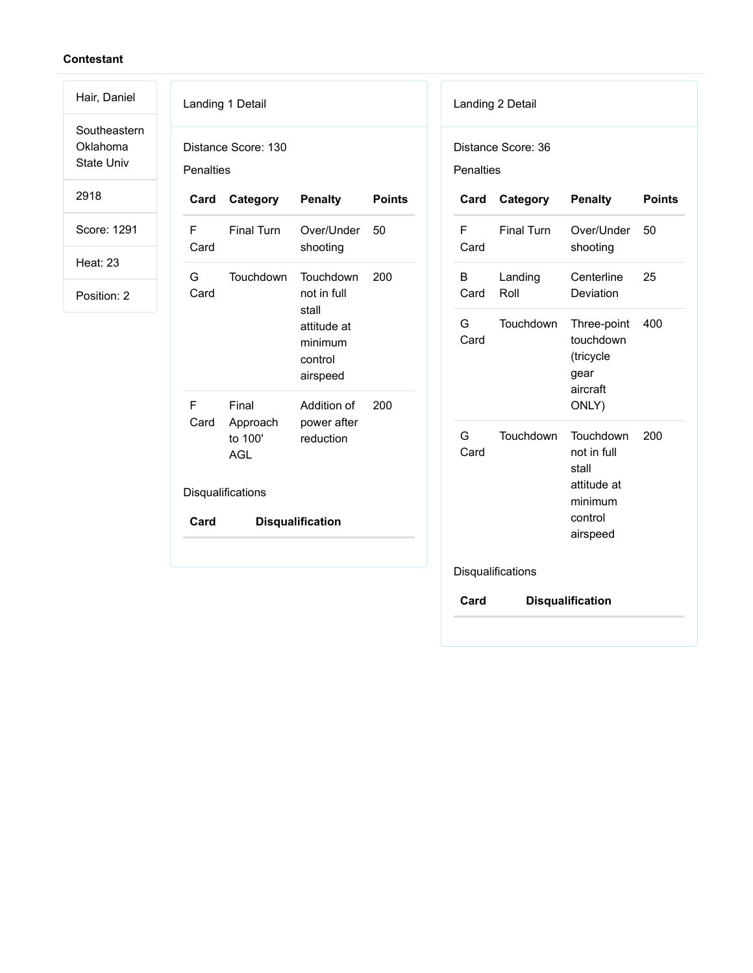Southeastern Oklahoma State Univ

Hair, Daniel

2918

Score: 1291

Heat: 23

| <b>Penalties</b>  | Distance Score: 130                        |                                                                                    |               |  |
|-------------------|--------------------------------------------|------------------------------------------------------------------------------------|---------------|--|
| Card              | Category                                   | <b>Penalty</b>                                                                     | <b>Points</b> |  |
| F<br>Card         | <b>Final Turn</b>                          | Over/Under<br>shooting                                                             | 50            |  |
| G<br>Card         | Touchdown                                  | Touchdown<br>not in full<br>stall<br>attitude at<br>minimum<br>control<br>airspeed | 200           |  |
| F<br>Card         | Final<br>Approach<br>to 100'<br><b>AGL</b> | Addition of<br>power after<br>reduction                                            | 200           |  |
| Disqualifications |                                            |                                                                                    |               |  |
| Card              |                                            | <b>Disqualification</b>                                                            |               |  |

| F<br><b>Final Turn</b>       |                                                                                    |     |
|------------------------------|------------------------------------------------------------------------------------|-----|
| Card                         | Over/Under<br>shooting                                                             | 50  |
| B<br>Landing<br>Card<br>Roll | Centerline<br>Deviation                                                            | 25  |
| Touchdown<br>G<br>Card       | Three-point<br>touchdown<br>(tricycle<br>gear<br>aircraft<br>ONLY)                 | 400 |
| G.<br>Touchdown<br>Card      | Touchdown<br>not in full<br>stall<br>attitude at<br>minimum<br>control<br>airspeed | 200 |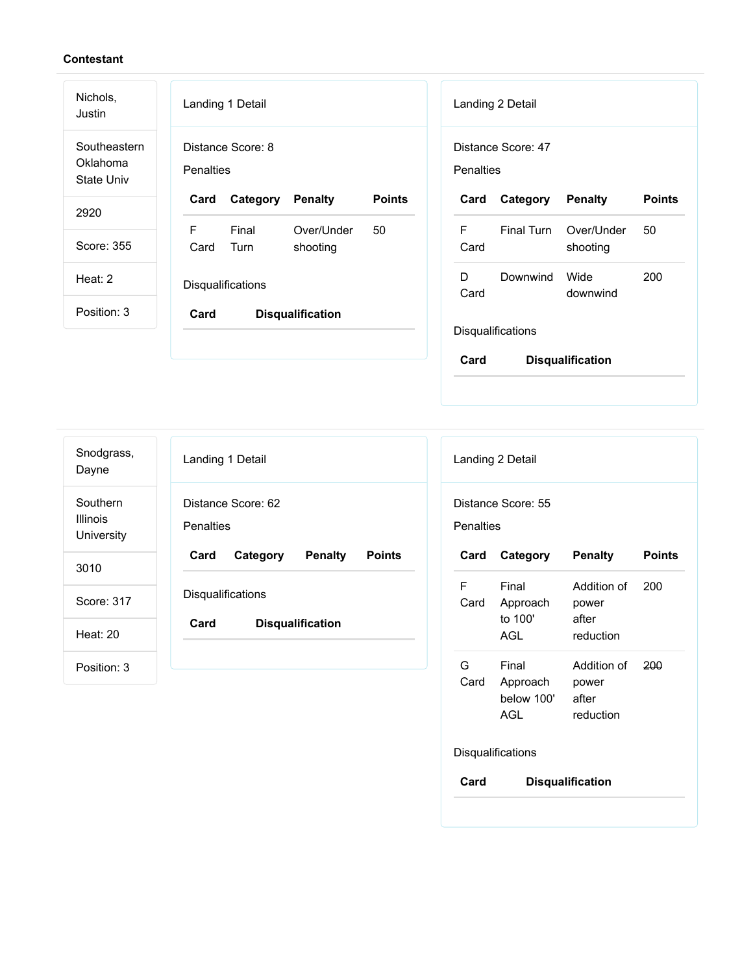| Nichols,<br>Justin                            | Landing 1 Detail<br>Landing 2 Detail                                                                       |
|-----------------------------------------------|------------------------------------------------------------------------------------------------------------|
| Southeastern<br>Oklahoma<br><b>State Univ</b> | Distance Score: 8<br>Distance Score: 47<br><b>Penalties</b><br>Penalties                                   |
| 2920                                          | <b>Points</b><br><b>Points</b><br>Category<br><b>Penalty</b><br><b>Penalty</b><br>Card<br>Card<br>Category |
|                                               | F<br>F.<br>Final<br>Final Turn<br>Over/Under<br>50<br>Over/Under<br>50                                     |
| Score: 355                                    | Turn<br>Card<br>Card<br>shooting<br>shooting                                                               |
| Heat: 2                                       | D<br>Wide<br>200<br>Downwind                                                                               |
|                                               | Disqualifications<br>Card<br>downwind                                                                      |
| Position: 3                                   | Card<br><b>Disqualification</b>                                                                            |
|                                               | Disqualifications                                                                                          |
|                                               | Card<br><b>Disqualification</b>                                                                            |

| Snodgrass,<br>Dayne                       | Landing 1 Detail                                    | Landing 2 Detail                                    |
|-------------------------------------------|-----------------------------------------------------|-----------------------------------------------------|
| Southern<br><b>Illinois</b><br>University | Distance Score: 62<br>Penalties                     | Distance Score: 55<br>Penalties                     |
| 3010                                      | Card<br>Category<br><b>Penalty</b><br><b>Points</b> | <b>Points</b><br>Card<br>Category<br><b>Penalty</b> |
|                                           |                                                     | F<br>Final<br>Addition of<br>200                    |
| Score: 317                                | Disqualifications                                   | Card<br>Approach<br>power                           |
| <b>Heat: 20</b>                           | <b>Disqualification</b><br>Card                     | to 100'<br>after                                    |
|                                           |                                                     | <b>AGL</b><br>reduction                             |
| Position: 3                               |                                                     | G<br>Final<br>Addition of<br>200                    |
|                                           |                                                     | Card<br>Approach<br>power                           |
|                                           |                                                     | below 100'<br>after                                 |

# Disqualifications

AGL

**Card Disqualification**

after reduction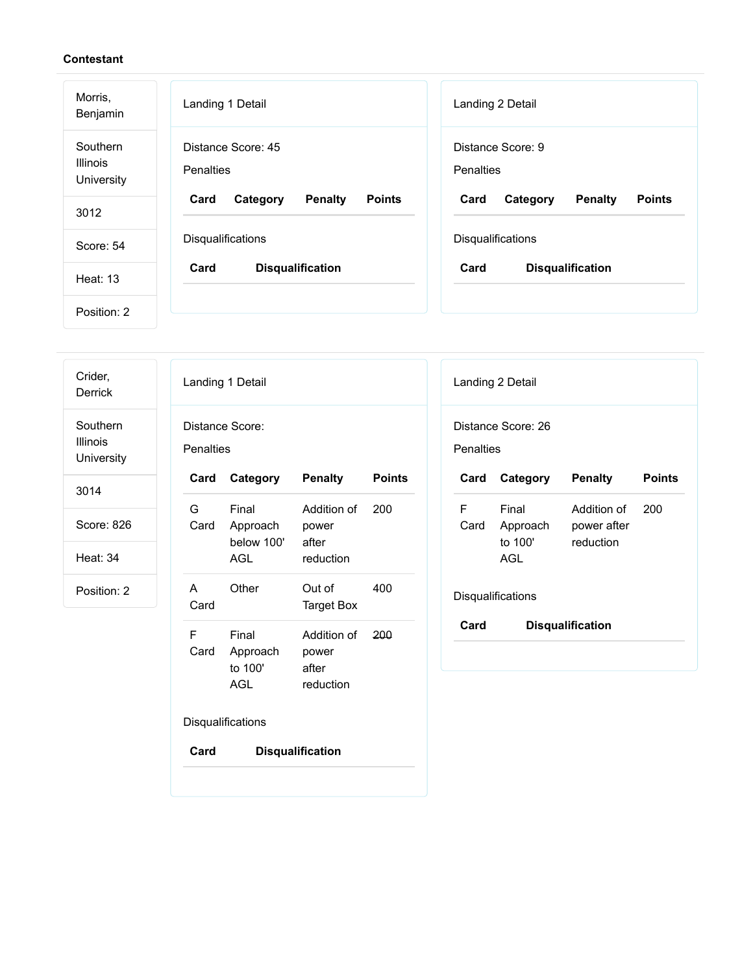| Morris,<br>Benjamin                       | Landing 1 Detail                                    | Landing 2 Detail                                    |
|-------------------------------------------|-----------------------------------------------------|-----------------------------------------------------|
| Southern<br><b>Illinois</b><br>University | Distance Score: 45<br>Penalties                     | Distance Score: 9<br><b>Penalties</b>               |
| 3012                                      | <b>Points</b><br>Card<br>Category<br><b>Penalty</b> | <b>Penalty</b><br><b>Points</b><br>Card<br>Category |
| Score: 54                                 | <b>Disqualifications</b>                            | <b>Disqualifications</b>                            |
| Heat: 13                                  | Card<br><b>Disqualification</b>                     | Card<br><b>Disqualification</b>                     |
| Position: 2                               |                                                     |                                                     |

| Crider,<br><b>Derrick</b>                 | Landing 1 Detail                         |                                      | Landing 2 Detail                                                    |
|-------------------------------------------|------------------------------------------|--------------------------------------|---------------------------------------------------------------------|
| Southern<br><b>Illinois</b><br>University | Distance Score:<br>Penalties             |                                      | Distance Score: 26<br>Penalties                                     |
| 3014                                      | Card<br>Category                         | <b>Penalty</b><br><b>Points</b>      | <b>Points</b><br>Card<br>Category<br><b>Penalty</b>                 |
| Score: 826                                | G<br>Final<br>Approach<br>Card           | Addition of<br>200<br>power          | F<br>Final<br>200<br>Addition of<br>Card<br>Approach<br>power after |
| <b>Heat: 34</b>                           | below 100'<br><b>AGL</b>                 | after<br>reduction                   | to 100'<br>reduction<br><b>AGL</b>                                  |
| Position: 2                               | Other<br>A<br>Card                       | Out of<br>400<br><b>Target Box</b>   | Disqualifications                                                   |
|                                           | $\mathsf F$<br>Final<br>Card<br>Approach | Addition of<br>200<br>power<br>after | <b>Disqualification</b><br>Card                                     |
|                                           | to 100'<br><b>AGL</b>                    | reduction                            |                                                                     |
|                                           | Disqualifications                        |                                      |                                                                     |
|                                           | Card                                     | <b>Disqualification</b>              |                                                                     |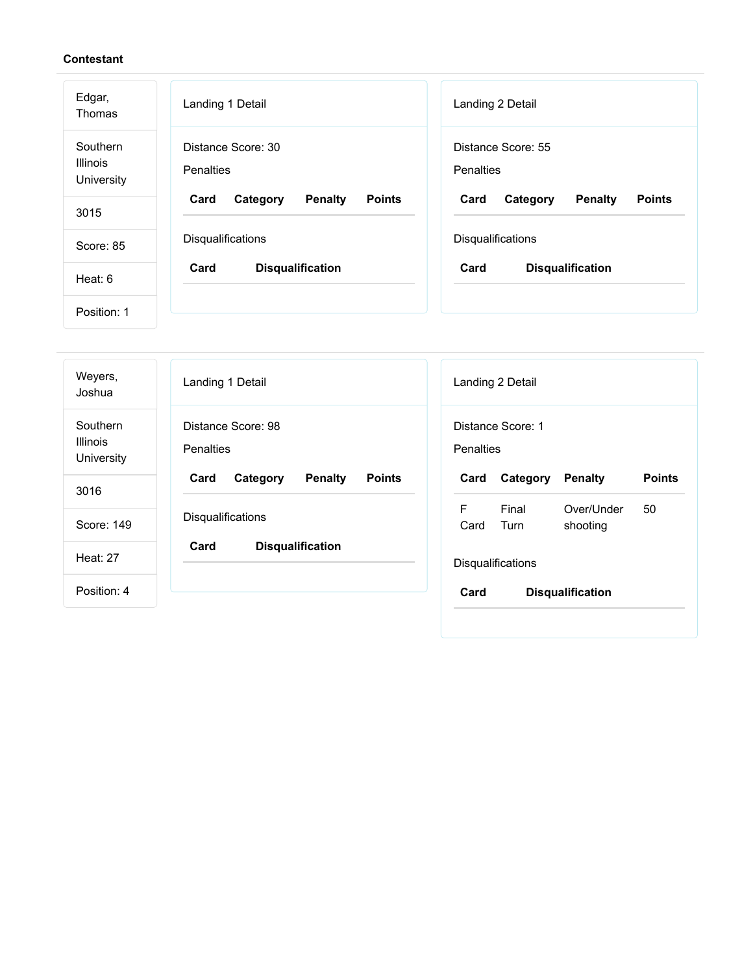| Edgar,<br>Thomas                          | Landing 1 Detail                                    | Landing 2 Detail                                    |
|-------------------------------------------|-----------------------------------------------------|-----------------------------------------------------|
| Southern<br><b>Illinois</b><br>University | Distance Score: 30<br>Penalties                     | Distance Score: 55<br><b>Penalties</b>              |
| 3015                                      | <b>Points</b><br>Card<br>Category<br><b>Penalty</b> | <b>Penalty</b><br><b>Points</b><br>Card<br>Category |
|                                           | Disqualifications                                   | Disqualifications                                   |
| Score: 85                                 |                                                     |                                                     |
| Heat: 6                                   | Card<br><b>Disqualification</b>                     | Card<br><b>Disqualification</b>                     |
| Position: 1                               |                                                     |                                                     |

| Weyers,<br>Joshua                         | Landing 1 Detail                                    | Landing 2 Detail                                    |
|-------------------------------------------|-----------------------------------------------------|-----------------------------------------------------|
| Southern<br><b>Illinois</b><br>University | Distance Score: 98<br><b>Penalties</b>              | Distance Score: 1<br>Penalties                      |
| 3016                                      | <b>Penalty</b><br><b>Points</b><br>Card<br>Category | <b>Points</b><br>Card<br><b>Penalty</b><br>Category |
|                                           |                                                     | F<br>Final<br>Over/Under<br>50                      |
| Score: 149                                | Disqualifications                                   | Card<br>Turn<br>shooting                            |
| <b>Heat: 27</b>                           | Card<br><b>Disqualification</b>                     | Disqualifications                                   |
| Position: 4                               |                                                     | Card<br><b>Disqualification</b>                     |
|                                           |                                                     |                                                     |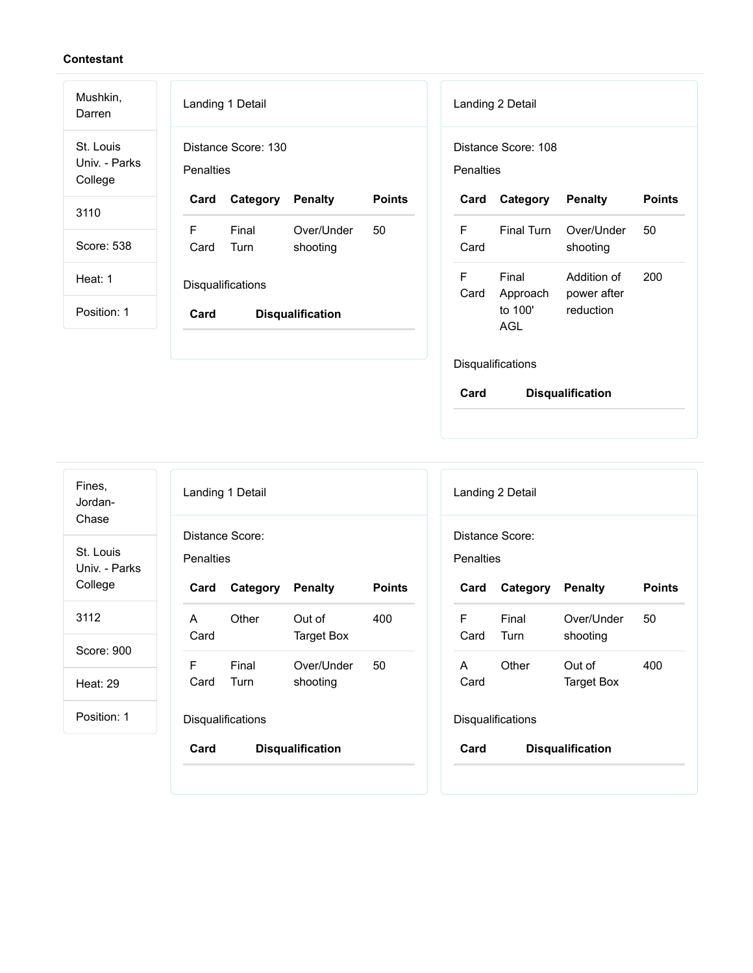| Mushkin,<br>Darren                    | Landing 1 Detail                                    | Landing 2 Detail                                                    |
|---------------------------------------|-----------------------------------------------------|---------------------------------------------------------------------|
| St. Louis<br>Univ. - Parks<br>College | Distance Score: 130<br>Penalties                    | Distance Score: 108<br><b>Penalties</b>                             |
| 3110                                  | <b>Points</b><br><b>Penalty</b><br>Card<br>Category | <b>Points</b><br>Category<br><b>Penalty</b><br>Card                 |
|                                       | F<br>Final<br>50<br>Over/Under                      | F<br>Final Turn<br>Over/Under<br>50                                 |
| Score: 538                            | Card<br>Turn<br>shooting                            | Card<br>shooting                                                    |
| Heat: 1                               | <b>Disqualifications</b>                            | F<br>Final<br>Addition of<br>200<br>Card<br>Approach<br>power after |
| Position: 1                           | <b>Disqualification</b><br>Card                     | to 100'<br>reduction<br>AGL                                         |
|                                       |                                                     | <b>Disqualifications</b>                                            |

| Card      |       | <b>Penalty</b>                                                                 | <b>Points</b>                                                   |
|-----------|-------|--------------------------------------------------------------------------------|-----------------------------------------------------------------|
| A<br>Card | Other | Out of                                                                         | 400                                                             |
|           |       |                                                                                | 50                                                              |
| Card      | Turn  | shooting                                                                       |                                                                 |
|           |       |                                                                                |                                                                 |
| Card      |       |                                                                                |                                                                 |
|           | F     | Landing 1 Detail<br>Distance Score:<br>Penalties<br>Final<br>Disqualifications | Category<br>Target Box<br>Over/Under<br><b>Disqualification</b> |

|           | Landing 2 Detail         |                         |               |
|-----------|--------------------------|-------------------------|---------------|
| Penalties | Distance Score:          |                         |               |
| Card      | <b>Category Penalty</b>  |                         | <b>Points</b> |
| F<br>Card | Final<br>Turn            | Over/Under<br>shooting  | 50            |
| А<br>Card | Other                    | Out of<br>Target Box    | 400           |
|           | <b>Disqualifications</b> |                         |               |
| Card      |                          | <b>Disqualification</b> |               |
|           |                          |                         |               |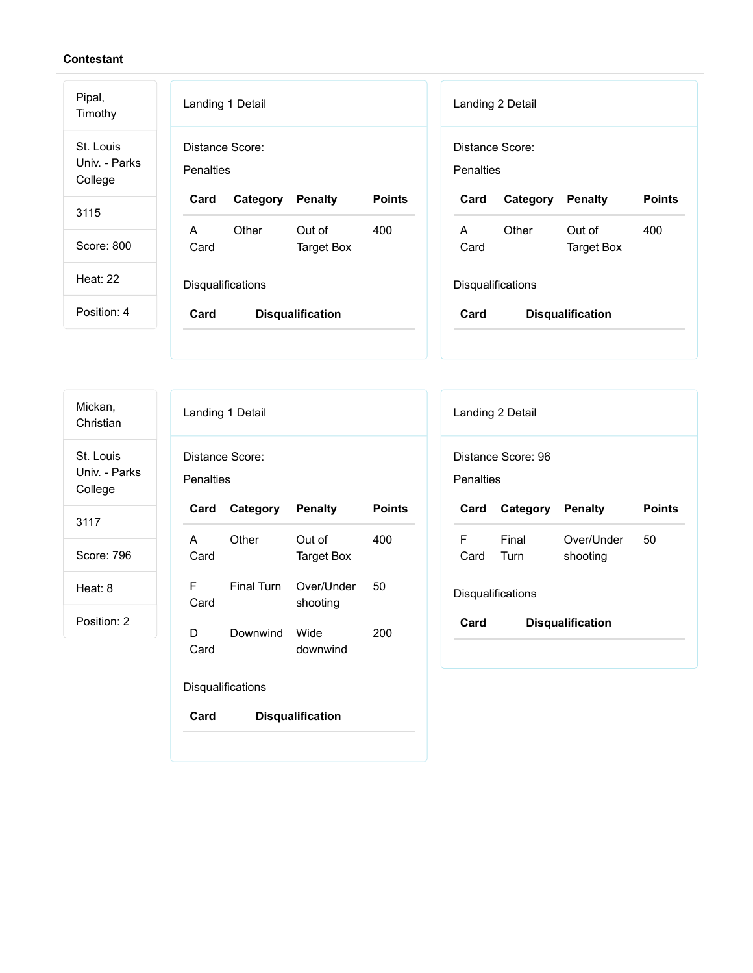| Pipal,<br>Timothy                     | Landing 1 Detail                                    | Landing 2 Detail                                    |
|---------------------------------------|-----------------------------------------------------|-----------------------------------------------------|
| St. Louis<br>Univ. - Parks<br>College | Distance Score:<br><b>Penalties</b>                 | Distance Score:<br>Penalties                        |
| 3115                                  | <b>Points</b><br>Card<br>Category<br><b>Penalty</b> | <b>Points</b><br>Card<br>Category<br><b>Penalty</b> |
|                                       | Other<br>Out of<br>A<br>400                         | Other<br>Out of<br>400<br>A                         |
| Score: 800                            | Card<br><b>Target Box</b>                           | Card<br><b>Target Box</b>                           |
| <b>Heat: 22</b>                       | Disqualifications                                   | Disqualifications                                   |
| Position: 4                           | Card<br><b>Disqualification</b>                     | Card<br><b>Disqualification</b>                     |
|                                       |                                                     |                                                     |

Mickan, Christian

St. Louis Univ. - Parks College

3117

Score: 796

Heat: 8

Position: 2

|                              | Landing 1 Detail |                        |        |  |
|------------------------------|------------------|------------------------|--------|--|
| Distance Score:<br>Penalties |                  |                        |        |  |
| Card                         | Category Penalty |                        | Points |  |
| A<br>Card                    | Other            | Out of<br>Target Box   | 400    |  |
| F<br>Card                    | Final Turn       | Over/Under<br>shooting | 50     |  |
| D<br>Card                    | Downwind         | Wide<br>downwind       | 200    |  |

Disqualifications

|           | Landing 2 Detail         |                         |               |
|-----------|--------------------------|-------------------------|---------------|
| Penalties | Distance Score: 96       |                         |               |
| Card      | <b>Category Penalty</b>  |                         | <b>Points</b> |
| F.        | Final                    | Over/Under              | 50            |
| Card Turn |                          | shooting                |               |
|           | <b>Disqualifications</b> |                         |               |
| Card      |                          | <b>Disqualification</b> |               |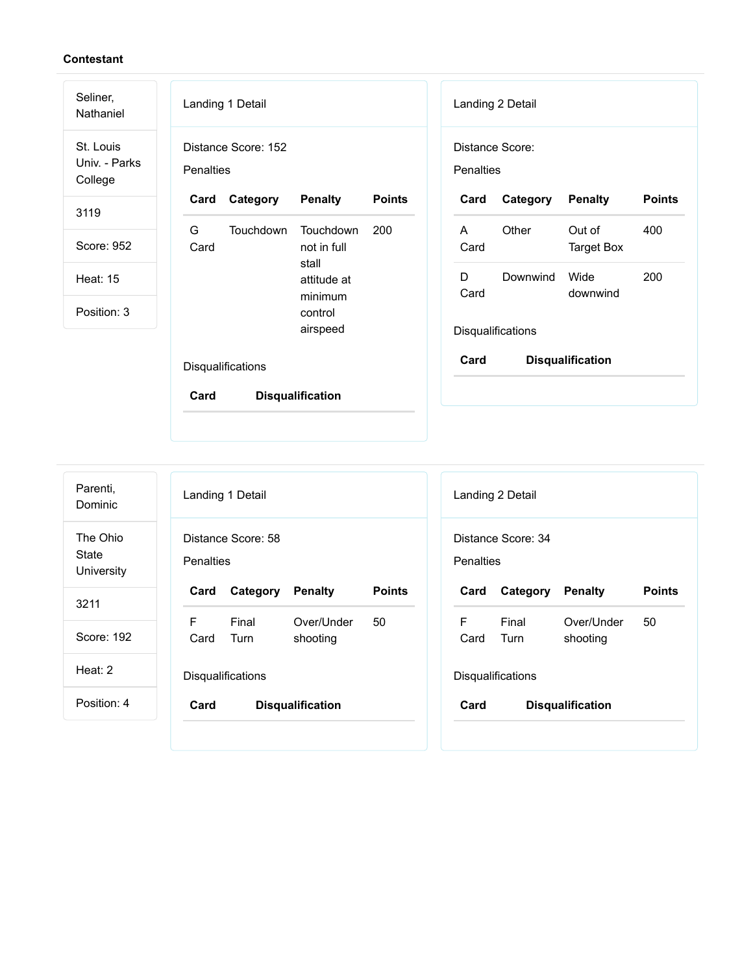| Seliner,<br>Nathaniel                 | Landing 1 Detail                                    | Landing 2 Detail                                    |
|---------------------------------------|-----------------------------------------------------|-----------------------------------------------------|
| St. Louis<br>Univ. - Parks<br>College | Distance Score: 152<br><b>Penalties</b>             | Distance Score:<br>Penalties                        |
| 3119                                  | Category<br><b>Penalty</b><br><b>Points</b><br>Card | <b>Points</b><br>Card<br>Category<br><b>Penalty</b> |
|                                       | G<br><b>Touchdown</b><br><b>Touchdown</b><br>200    | Other<br>Out of<br>400<br>A                         |
| Score: 952                            | Card<br>not in full<br>stall                        | <b>Target Box</b><br>Card                           |
| <b>Heat: 15</b>                       | attitude at                                         | 200<br>D<br>Downwind<br>Wide<br>Card<br>downwind    |
| Position: 3                           | minimum<br>control                                  |                                                     |
|                                       | airspeed                                            | Disqualifications                                   |
|                                       | Disqualifications                                   | Card<br><b>Disqualification</b>                     |
|                                       | <b>Disqualification</b><br>Card                     |                                                     |
|                                       |                                                     |                                                     |

| Parenti,<br>Dominic             |                  | Landing 1 Detail         |                         |               |
|---------------------------------|------------------|--------------------------|-------------------------|---------------|
| The Ohio<br>State<br>University | <b>Penalties</b> | Distance Score: 58       |                         |               |
| 3211                            | Card             | Category                 | <b>Penalty</b>          | <b>Points</b> |
|                                 | F                | Final                    | Over/Under              | 50            |
| Score: 192                      | Card             | Turn                     | shooting                |               |
| Heat: 2                         |                  | <b>Disqualifications</b> |                         |               |
| Position: 4                     | Card             |                          | <b>Disqualification</b> |               |

|                  | Landing 2 Detail         |                         |               |
|------------------|--------------------------|-------------------------|---------------|
|                  | Distance Score: 34       |                         |               |
| <b>Penalties</b> |                          |                         |               |
| Card             | Category Penalty         |                         | <b>Points</b> |
| F.<br>Card       | Final<br>Turn            | Over/Under<br>shooting  | 50            |
|                  | <b>Disqualifications</b> |                         |               |
| Card             |                          | <b>Disqualification</b> |               |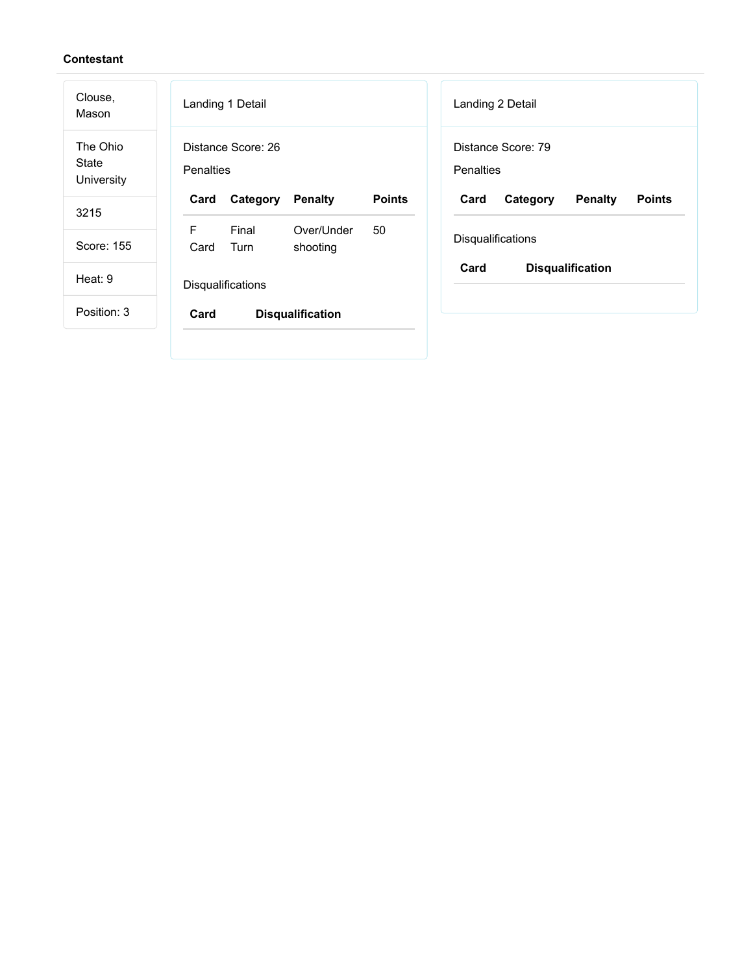| Clouse,<br>Mason                | Landing 1 Detail<br>Landing 2 Detail                                                                       |
|---------------------------------|------------------------------------------------------------------------------------------------------------|
| The Ohio<br>State<br>University | Distance Score: 26<br>Distance Score: 79<br>Penalties<br><b>Penalties</b>                                  |
| 3215                            | Card<br><b>Points</b><br><b>Penalty</b><br>Card<br><b>Penalty</b><br><b>Points</b><br>Category<br>Category |
| Score: 155                      | F<br>Final<br>Over/Under<br>50<br>Disqualifications<br>Card<br>Turn<br>shooting                            |
| Heat: 9                         | Card<br><b>Disqualification</b><br>Disqualifications                                                       |
| Position: 3                     | Card<br><b>Disqualification</b>                                                                            |
|                                 |                                                                                                            |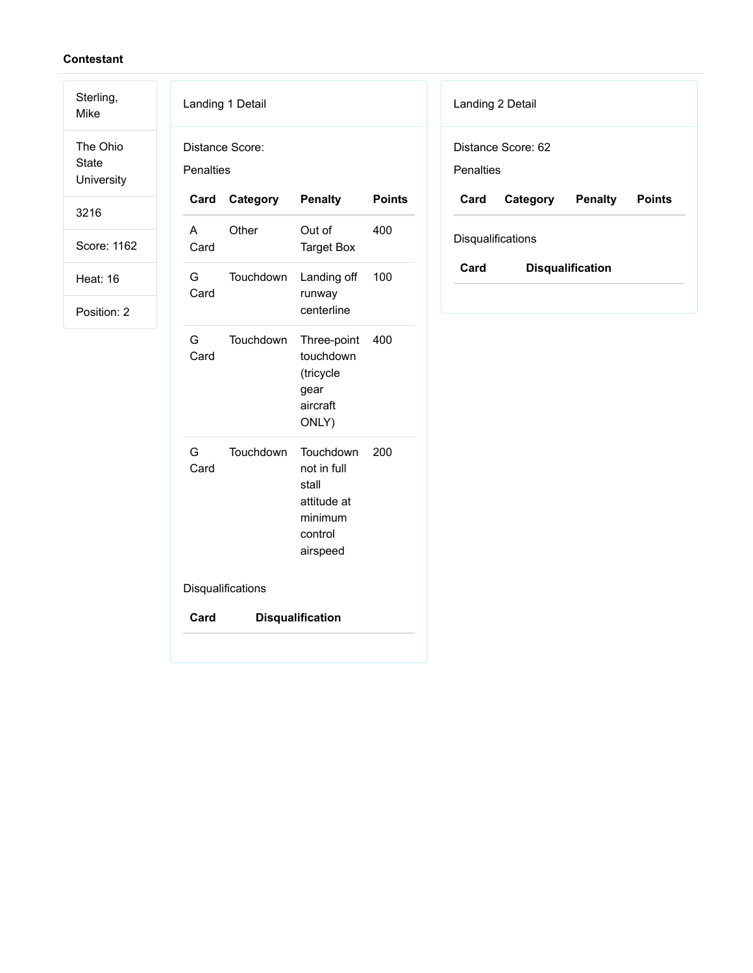Mike The Ohio State

Sterling,

**University** 

3216

Score: 1162

Heat: 16

| Penalties | Distance Score:   |                                                                                    |               |
|-----------|-------------------|------------------------------------------------------------------------------------|---------------|
| Card      | Category          | <b>Penalty</b>                                                                     | <b>Points</b> |
| A<br>Card | Other             | Out of<br><b>Target Box</b>                                                        | 400           |
| G<br>Card | Touchdown         | Landing off<br>runway<br>centerline                                                | 100           |
| G<br>Card | Touchdown         | Three-point<br>touchdown<br>(tricycle<br>gear<br>aircraft<br>ONLY)                 | 400           |
| G<br>Card | Touchdown         | Touchdown<br>not in full<br>stall<br>attitude at<br>minimum<br>control<br>airspeed | 200           |
|           | Disqualifications |                                                                                    |               |
| Card      |                   | <b>Disqualification</b>                                                            |               |

| Landing 2 Detail  |                    |         |               |
|-------------------|--------------------|---------|---------------|
|                   | Distance Score: 62 |         |               |
| Penalties         |                    |         |               |
| Card              | Category           | Penalty | <b>Points</b> |
|                   |                    |         |               |
| Disqualifications |                    |         |               |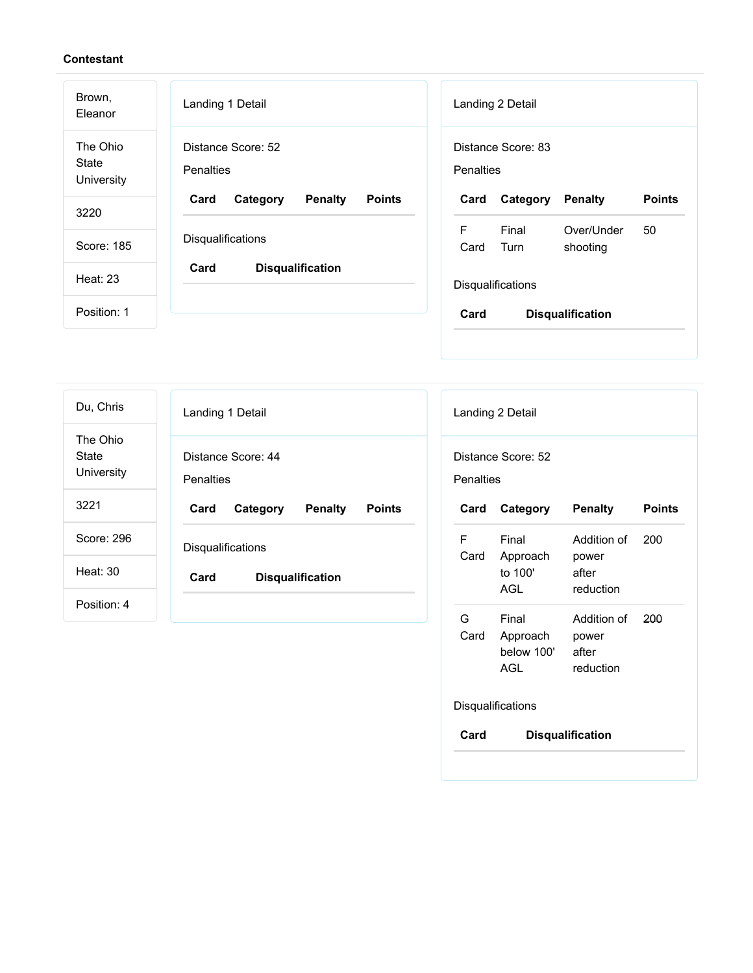| Brown,<br>Eleanor               | Landing 1 Detail                                    | Landing 2 Detail                                    |
|---------------------------------|-----------------------------------------------------|-----------------------------------------------------|
| The Ohio<br>State<br>University | Distance Score: 52<br>Penalties                     | Distance Score: 83<br>Penalties                     |
| 3220                            | Card<br><b>Penalty</b><br><b>Points</b><br>Category | <b>Points</b><br><b>Penalty</b><br>Card<br>Category |
|                                 |                                                     | F<br>Final<br>Over/Under<br>50                      |
| Score: 185                      | <b>Disqualifications</b>                            | Card<br>Turn<br>shooting                            |
| <b>Heat: 23</b>                 | Card<br><b>Disqualification</b>                     | Disqualifications                                   |
| Position: 1                     |                                                     | Card<br><b>Disqualification</b>                     |
|                                 |                                                     |                                                     |

| Du, Chris                       | Landing 1 Detail                                    |
|---------------------------------|-----------------------------------------------------|
| The Ohio<br>State<br>University | Distance Score: 44<br><b>Penalties</b>              |
| 3221                            | Card<br>Category<br><b>Penalty</b><br><b>Points</b> |
| Score: 296                      | Disqualifications                                   |
| Heat: 30                        | Card<br><b>Disqualification</b>                     |
| Position: 4                     |                                                     |

|           | Distance Score: 52                            |                                            |               |
|-----------|-----------------------------------------------|--------------------------------------------|---------------|
| Penalties |                                               |                                            |               |
| Card      | Category                                      | <b>Penalty</b>                             | <b>Points</b> |
| F<br>Card | Final<br>Approach<br>to 100'<br>AGL           | Addition of<br>power<br>after<br>reduction | 200           |
| G<br>Card | Final<br>Approach<br>below 100'<br><b>AGL</b> | Addition of<br>power<br>after<br>reduction | 200           |
|           | Disqualifications                             |                                            |               |
| Card      |                                               | <b>Disqualification</b>                    |               |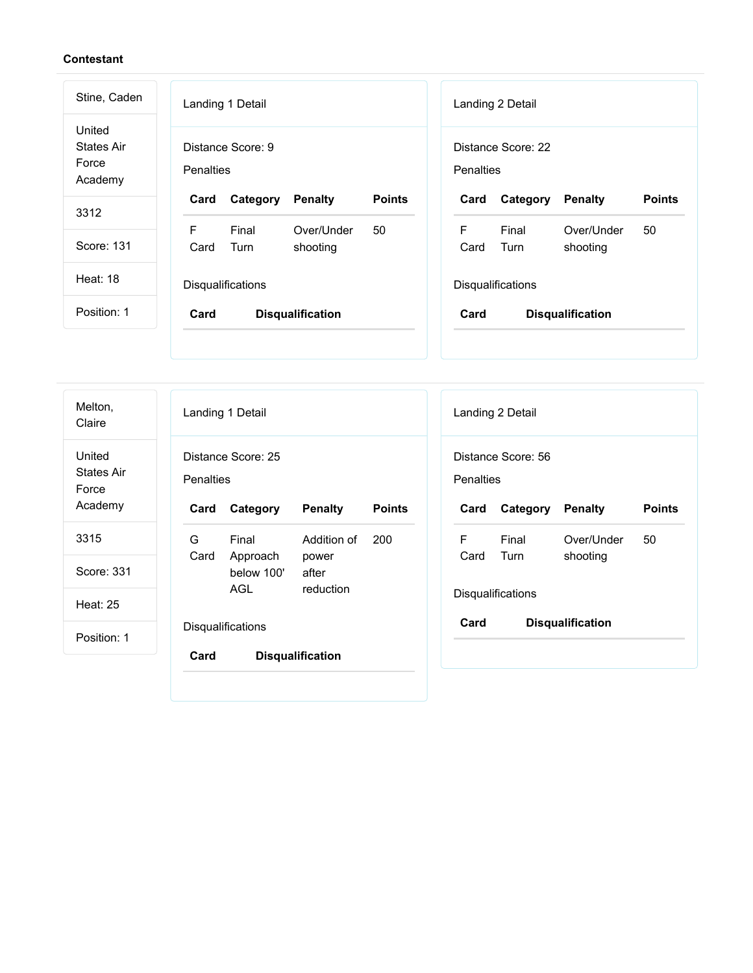| Stine, Caden                                    | Landing 1 Detail<br>Landing 2 Detail                                                                                     |
|-------------------------------------------------|--------------------------------------------------------------------------------------------------------------------------|
| United<br><b>States Air</b><br>Force<br>Academy | Distance Score: 9<br>Distance Score: 22<br><b>Penalties</b><br>Penalties                                                 |
| 3312                                            | <b>Points</b><br><b>Points</b><br>Card<br>Category<br><b>Penalty</b><br>Card<br>Category<br><b>Penalty</b>               |
| Score: 131                                      | F<br>Final<br>F<br>Over/Under<br>Final<br>Over/Under<br>50<br>50<br>Turn<br>Card<br>Turn<br>Card<br>shooting<br>shooting |
| <b>Heat: 18</b>                                 | <b>Disqualifications</b><br>Disqualifications                                                                            |
| Position: 1                                     | Card<br>Card<br><b>Disqualification</b><br><b>Disqualification</b>                                                       |
|                                                 |                                                                                                                          |

| Melton,<br>Claire                               | Landing 1 Detail<br>Landing 2 Detail                                                                                                                                             |
|-------------------------------------------------|----------------------------------------------------------------------------------------------------------------------------------------------------------------------------------|
| United<br><b>States Air</b><br>Force<br>Academy | Distance Score: 25<br>Distance Score: 56<br>Penalties<br>Penalties<br>Category<br><b>Penalty</b><br><b>Points</b><br><b>Penalty</b><br><b>Points</b><br>Card<br>Category<br>Card |
| 3315                                            | F<br>G<br>Final<br>Addition of<br>200<br>Final<br>Over/Under<br>50                                                                                                               |
| Score: 331                                      | Card<br>Approach<br>Card<br>Turn<br>shooting<br>power<br>below 100'<br>after                                                                                                     |
| <b>Heat: 25</b>                                 | <b>AGL</b><br>reduction<br>Disqualifications                                                                                                                                     |
| Position: 1                                     | Card<br><b>Disqualification</b><br>Disqualifications                                                                                                                             |
|                                                 | Card<br><b>Disqualification</b>                                                                                                                                                  |
|                                                 |                                                                                                                                                                                  |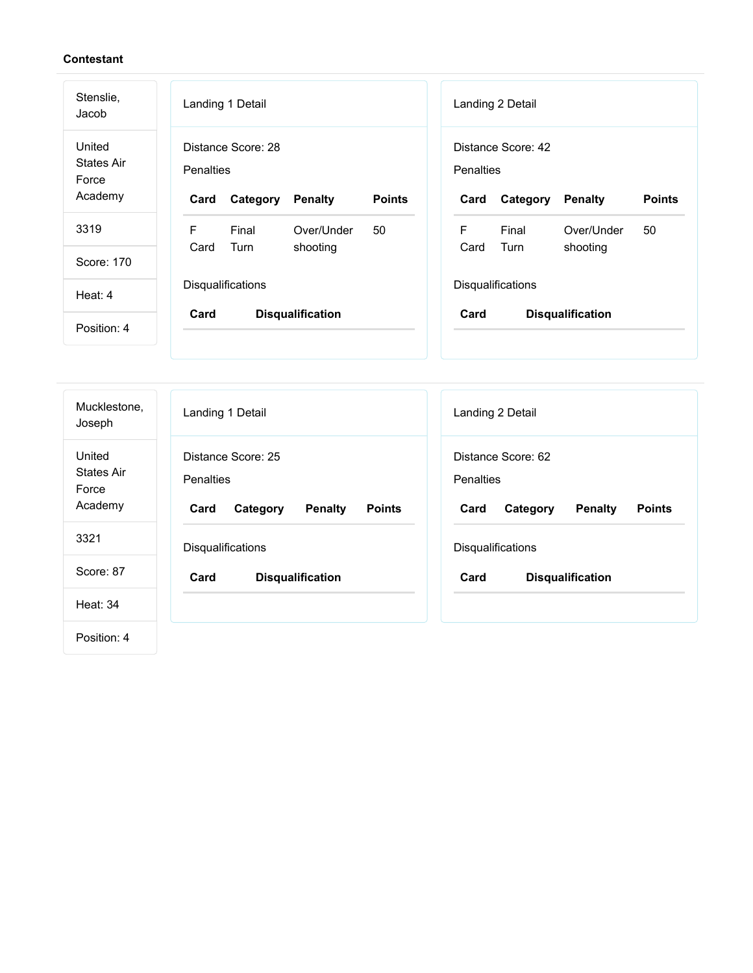| Stenslie,<br>Jacob                              | Landing 1 Detail                                                                       | Landing 2 Detail                                                                              |  |  |  |
|-------------------------------------------------|----------------------------------------------------------------------------------------|-----------------------------------------------------------------------------------------------|--|--|--|
| United<br><b>States Air</b><br>Force<br>Academy | Distance Score: 28<br>Penalties<br><b>Points</b><br>Category<br><b>Penalty</b><br>Card | Distance Score: 42<br><b>Penalties</b><br><b>Points</b><br><b>Penalty</b><br>Card<br>Category |  |  |  |
| 3319                                            | F<br>Final<br>Over/Under<br>50                                                         | F<br>Final<br>Over/Under<br>50                                                                |  |  |  |
| Score: 170                                      | Turn<br>Card<br>shooting                                                               | Card<br>Turn<br>shooting                                                                      |  |  |  |
| Heat: 4                                         | Disqualifications                                                                      | Disqualifications                                                                             |  |  |  |
| Position: 4                                     | Card<br><b>Disqualification</b>                                                        | Card<br><b>Disqualification</b>                                                               |  |  |  |

| Mucklestone,<br>Joseph                          | Landing 1 Detail                                                                       | Landing 2 Detail                                                                              |
|-------------------------------------------------|----------------------------------------------------------------------------------------|-----------------------------------------------------------------------------------------------|
| United<br><b>States Air</b><br>Force<br>Academy | Distance Score: 25<br>Penalties<br>Card<br><b>Penalty</b><br><b>Points</b><br>Category | Distance Score: 62<br><b>Penalties</b><br>Card<br><b>Penalty</b><br><b>Points</b><br>Category |
| 3321                                            | Disqualifications                                                                      | Disqualifications                                                                             |
| Score: 87                                       | Card<br><b>Disqualification</b>                                                        | Card<br><b>Disqualification</b>                                                               |
| <b>Heat: 34</b>                                 |                                                                                        |                                                                                               |
| Position: 4                                     |                                                                                        |                                                                                               |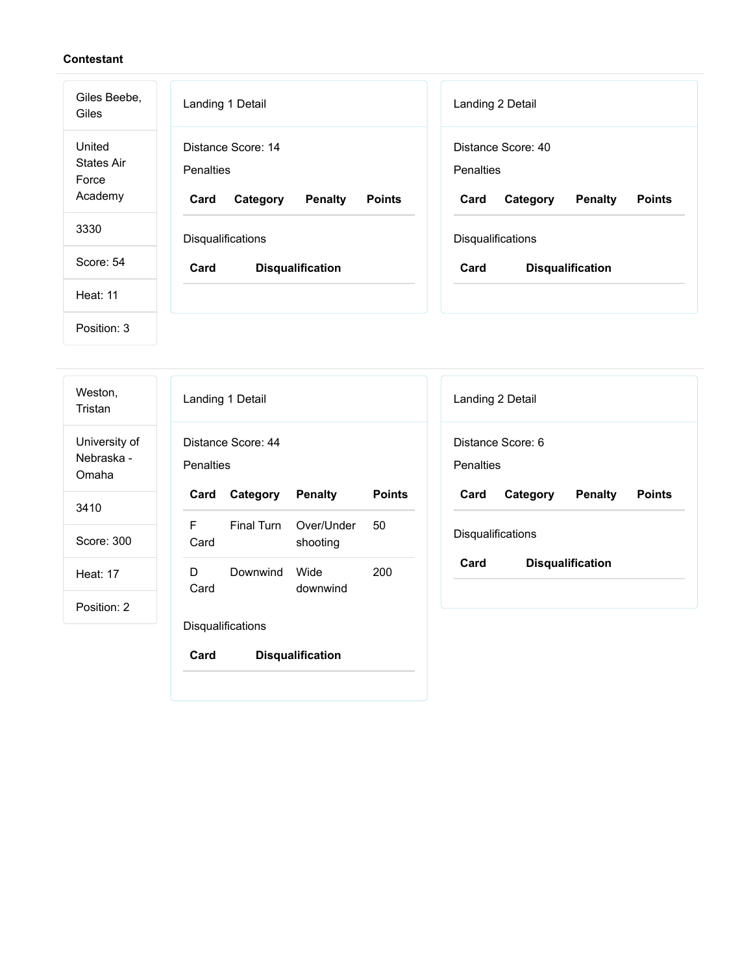| Giles Beebe,<br>Giles                           | Landing 1 Detail                                                                              | Landing 2 Detail                                                                              |
|-------------------------------------------------|-----------------------------------------------------------------------------------------------|-----------------------------------------------------------------------------------------------|
| United<br><b>States Air</b><br>Force<br>Academy | Distance Score: 14<br><b>Penalties</b><br><b>Penalty</b><br><b>Points</b><br>Card<br>Category | Distance Score: 40<br><b>Penalties</b><br><b>Penalty</b><br><b>Points</b><br>Card<br>Category |
| 3330                                            | Disqualifications                                                                             | Disqualifications                                                                             |
| Score: 54                                       | Card<br><b>Disqualification</b>                                                               | Card<br><b>Disqualification</b>                                                               |
| <b>Heat: 11</b>                                 |                                                                                               |                                                                                               |
| Position: 3                                     |                                                                                               |                                                                                               |

| Weston,<br>Tristan                   | Landing 1 Detail<br>Landing 2 Detail                                                                       |
|--------------------------------------|------------------------------------------------------------------------------------------------------------|
| University of<br>Nebraska -<br>Omaha | Distance Score: 44<br>Distance Score: 6<br><b>Penalties</b><br>Penalties                                   |
| 3410                                 | Category<br><b>Penalty</b><br><b>Points</b><br><b>Penalty</b><br>Card<br>Card<br>Category<br><b>Points</b> |
|                                      | F<br>Final Turn<br>Over/Under<br>50                                                                        |
| Score: 300                           | Disqualifications<br>shooting<br>Card                                                                      |
| <b>Heat: 17</b>                      | Card<br><b>Disqualification</b><br>Wide<br>200<br>D<br>Downwind<br>Card<br>downwind                        |
| Position: 2                          |                                                                                                            |
|                                      | Disqualifications                                                                                          |
|                                      | Card<br><b>Disqualification</b>                                                                            |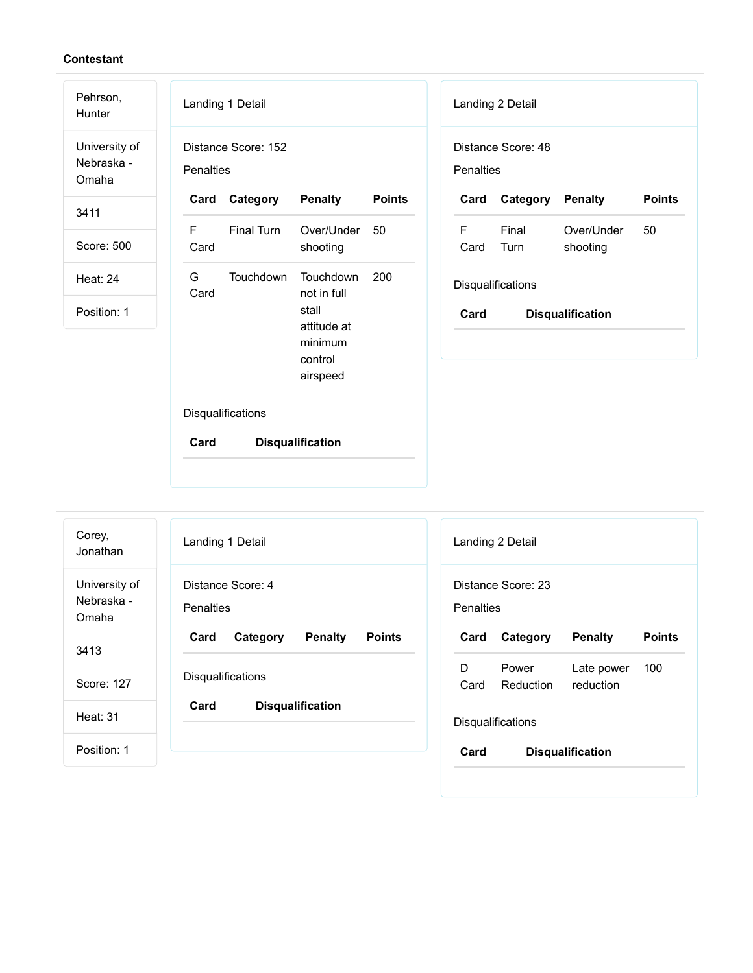| Pehrson,<br>Hunter                   |                                  | Landing 1 Detail  |                                                        |               |                                 | Landing 2 Detail  |                         |               |
|--------------------------------------|----------------------------------|-------------------|--------------------------------------------------------|---------------|---------------------------------|-------------------|-------------------------|---------------|
| University of<br>Nebraska -<br>Omaha | Distance Score: 152<br>Penalties |                   |                                                        |               | Distance Score: 48<br>Penalties |                   |                         |               |
| 3411                                 | Card                             | Category          | <b>Penalty</b>                                         | <b>Points</b> | Card                            | Category          | <b>Penalty</b>          | <b>Points</b> |
| Score: 500                           | F.<br>Card                       | <b>Final Turn</b> | Over/Under<br>shooting                                 | 50            | F<br>Card                       | Final<br>Turn     | Over/Under<br>shooting  | 50            |
| Heat: 24                             | G<br>Card                        | Touchdown         | Touchdown<br>not in full                               | 200           |                                 | Disqualifications |                         |               |
| Position: 1                          |                                  |                   | stall<br>attitude at<br>minimum<br>control<br>airspeed |               | Card                            |                   | <b>Disqualification</b> |               |
|                                      |                                  | Disqualifications |                                                        |               |                                 |                   |                         |               |
|                                      | Card                             |                   | <b>Disqualification</b>                                |               |                                 |                   |                         |               |
| Corey,                               |                                  |                   |                                                        |               |                                 |                   |                         |               |

University of Nebraska - Omaha

3413

Score: 127

Heat: 31

| Landing 1 Detail  |                   |                         |  |
|-------------------|-------------------|-------------------------|--|
| Penalties         | Distance Score: 4 |                         |  |
|                   | Card Category     | <b>Penalty Points</b>   |  |
| Disqualifications |                   |                         |  |
| Card              |                   | <b>Disqualification</b> |  |
|                   |                   |                         |  |
|                   |                   |                         |  |

|                   | Landing 2 Detail                  |                         |               |  |
|-------------------|-----------------------------------|-------------------------|---------------|--|
| Penalties         | Distance Score: 23                |                         |               |  |
| Card              | Category Penalty                  |                         | <b>Points</b> |  |
| D.                | Power<br>Card Reduction reduction | Late power 100          |               |  |
| Disqualifications |                                   |                         |               |  |
| Card              |                                   | <b>Disqualification</b> |               |  |
|                   |                                   |                         |               |  |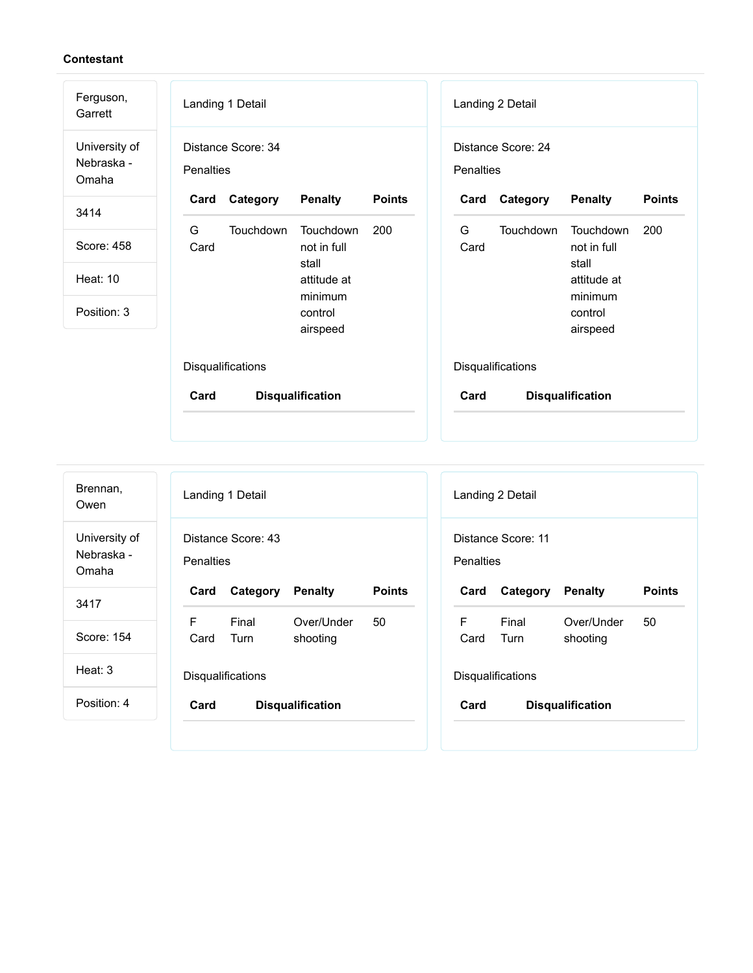| Ferguson,<br>Garrett                 | Landing 1 Detail                                    | Landing 2 Detail                                    |
|--------------------------------------|-----------------------------------------------------|-----------------------------------------------------|
| University of<br>Nebraska -<br>Omaha | Distance Score: 34<br><b>Penalties</b>              | Distance Score: 24<br><b>Penalties</b>              |
| 3414                                 | Category<br><b>Penalty</b><br><b>Points</b><br>Card | <b>Points</b><br>Category<br><b>Penalty</b><br>Card |
|                                      | G<br>Touchdown<br><b>Touchdown</b><br>200           | G<br>Touchdown<br>Touchdown<br>200                  |
| Score: 458                           | Card<br>not in full                                 | Card<br>not in full                                 |
| <b>Heat: 10</b>                      | stall                                               | stall                                               |
|                                      | attitude at<br>minimum                              | attitude at<br>minimum                              |
| Position: 3                          | control                                             | control                                             |
|                                      | airspeed                                            | airspeed                                            |
|                                      | Disqualifications                                   | Disqualifications                                   |
|                                      | Card<br><b>Disqualification</b>                     | Card<br><b>Disqualification</b>                     |
|                                      |                                                     |                                                     |

| Brennan,<br>Owen                     |                  | Landing 1 Detail         |                         |               |
|--------------------------------------|------------------|--------------------------|-------------------------|---------------|
| University of<br>Nebraska -<br>Omaha | <b>Penalties</b> | Distance Score: 43       |                         |               |
| 3417                                 | Card             | Category                 | <b>Penalty</b>          | <b>Points</b> |
| Score: 154                           | F.<br>Card       | Final<br>Turn            | Over/Under<br>shooting  | 50            |
| Heat: $3$                            |                  | <b>Disqualifications</b> |                         |               |
| Position: 4                          | Card             |                          | <b>Disqualification</b> |               |

| Landing 2 Detail                |                         |                         |               |  |
|---------------------------------|-------------------------|-------------------------|---------------|--|
| Distance Score: 11<br>Penalties |                         |                         |               |  |
| Card                            | <b>Category Penalty</b> |                         | <b>Points</b> |  |
|                                 |                         |                         |               |  |
| F.<br>Card Turn                 | Final                   | Over/Under<br>shooting  | 50            |  |
|                                 | Disqualifications       |                         |               |  |
| Card                            |                         | <b>Disqualification</b> |               |  |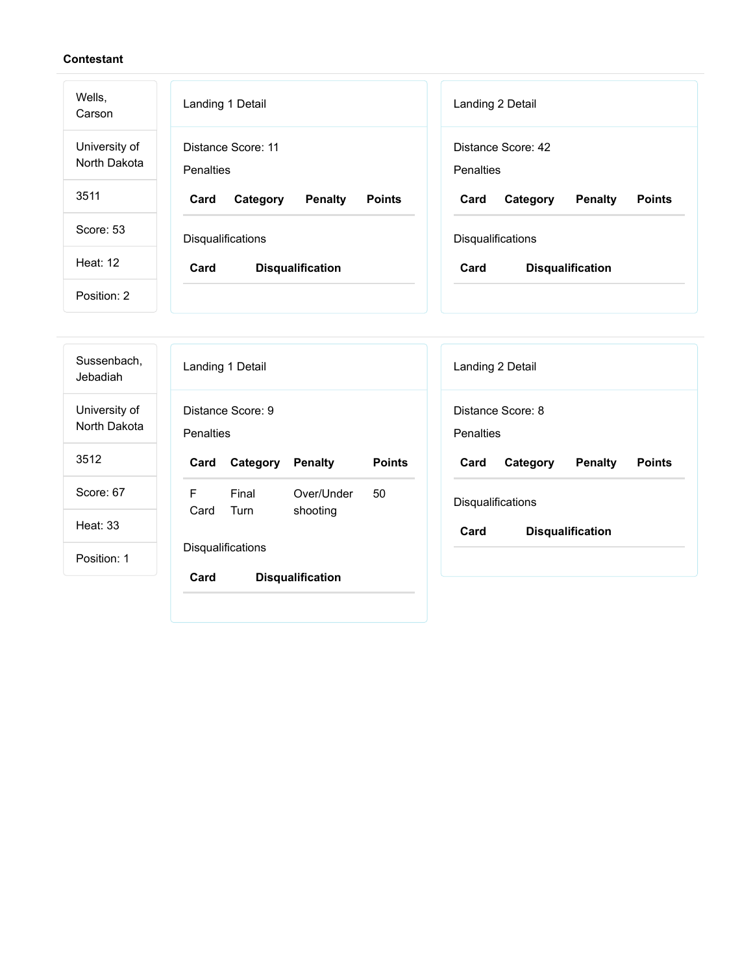| Wells,<br>Carson              | Landing 1 Detail                                    | Landing 2 Detail                                    |
|-------------------------------|-----------------------------------------------------|-----------------------------------------------------|
| University of<br>North Dakota | Distance Score: 11<br>Penalties                     | Distance Score: 42<br>Penalties                     |
| 3511                          | <b>Penalty</b><br><b>Points</b><br>Card<br>Category | <b>Penalty</b><br><b>Points</b><br>Card<br>Category |
| Score: 53                     | Disqualifications                                   | Disqualifications                                   |
| Heat: $12$                    | Card<br><b>Disqualification</b>                     | Card<br><b>Disqualification</b>                     |
| Position: 2                   |                                                     |                                                     |

| Sussenbach,<br>Jebadiah       | Landing 1 Detail<br>Landing 2 Detail                                                                       |
|-------------------------------|------------------------------------------------------------------------------------------------------------|
| University of<br>North Dakota | Distance Score: 9<br>Distance Score: 8<br><b>Penalties</b><br><b>Penalties</b>                             |
| 3512                          | <b>Points</b><br><b>Points</b><br>Card<br>Category<br><b>Penalty</b><br>Category<br>Card<br><b>Penalty</b> |
| Score: 67                     | F<br>Final<br>Over/Under<br>50<br>Disqualifications<br>Turn<br>Card<br>shooting                            |
| Heat: 33                      | Card<br><b>Disqualification</b>                                                                            |
| Position: 1                   | Disqualifications                                                                                          |
|                               | Card<br><b>Disqualification</b>                                                                            |
|                               |                                                                                                            |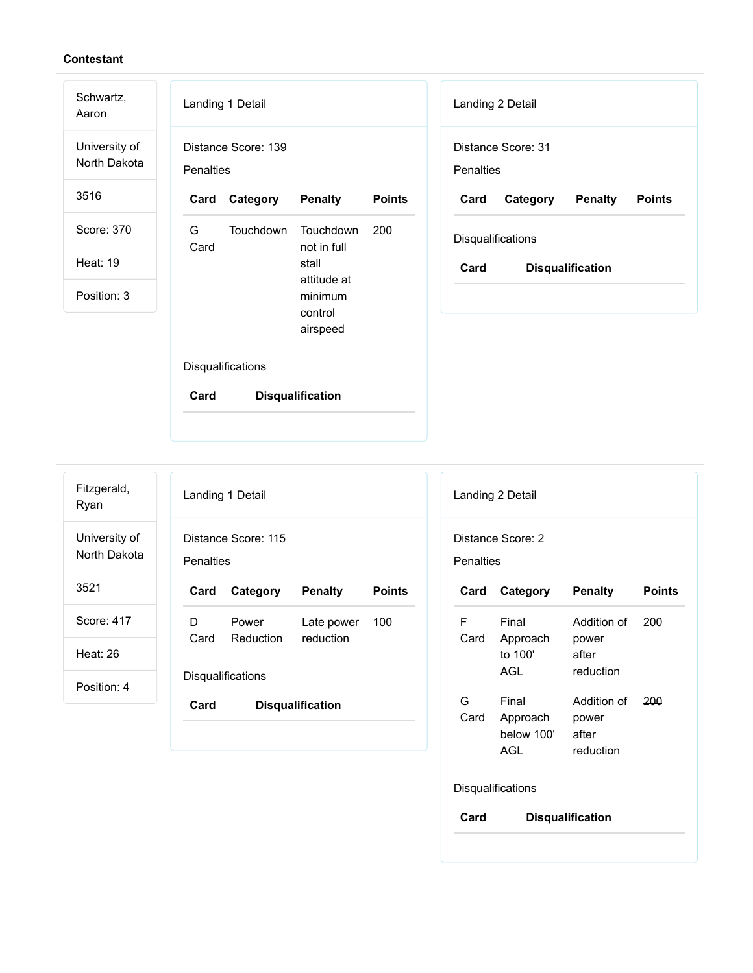Schwartz,

Aaron University of North Dakota

3516

- Score: 370
- Heat: 19
- Position: 3

| Landing 1 Detail                 |                  |                                                                                    |               |
|----------------------------------|------------------|------------------------------------------------------------------------------------|---------------|
| Distance Score: 139<br>Penalties |                  |                                                                                    |               |
| Card                             | Category Penalty |                                                                                    | <b>Points</b> |
| G a<br>Card                      | Touchdown        | Touchdown<br>not in full<br>stall<br>attitude at<br>minimum<br>control<br>airspeed | 200           |
| Disqualifications                |                  |                                                                                    |               |
| Card<br><b>Disqualification</b>  |                  |                                                                                    |               |

| Landing 2 Detail  |                    |                         |               |
|-------------------|--------------------|-------------------------|---------------|
| Penalties         | Distance Score: 31 |                         |               |
|                   |                    |                         |               |
| Card              | Category           | <b>Penalty</b>          | <b>Points</b> |
| Disqualifications |                    |                         |               |
| Card              |                    | <b>Disqualification</b> |               |

| Fitzgerald,<br>Ryan           |
|-------------------------------|
| University of<br>North Dakota |
| 3521                          |
| Score: 417                    |
| Heat: 26                      |

Position: 4

Landing 1 Detail Distance Score: 115 **Penalties Card Category Penalty Points** D Card Reduction Power Late power reduction 100 **Disqualifications Card Disqualification**

| Landing 2 Detail  |                                        |                                            |               |  |  |
|-------------------|----------------------------------------|--------------------------------------------|---------------|--|--|
|                   | Distance Score: 2                      |                                            |               |  |  |
|                   | Penalties                              |                                            |               |  |  |
| Card              | Category                               | <b>Penalty</b>                             | <b>Points</b> |  |  |
| F<br>Card         | Final<br>Approach<br>to 100'<br>AGL    | Addition of<br>power<br>after<br>reduction | 200           |  |  |
| G.<br>Card        | Final<br>Approach<br>below 100'<br>AGL | Addition of<br>power<br>after<br>reduction | 200           |  |  |
| Disqualifications |                                        |                                            |               |  |  |
| Card              | <b>Disqualification</b>                |                                            |               |  |  |
|                   |                                        |                                            |               |  |  |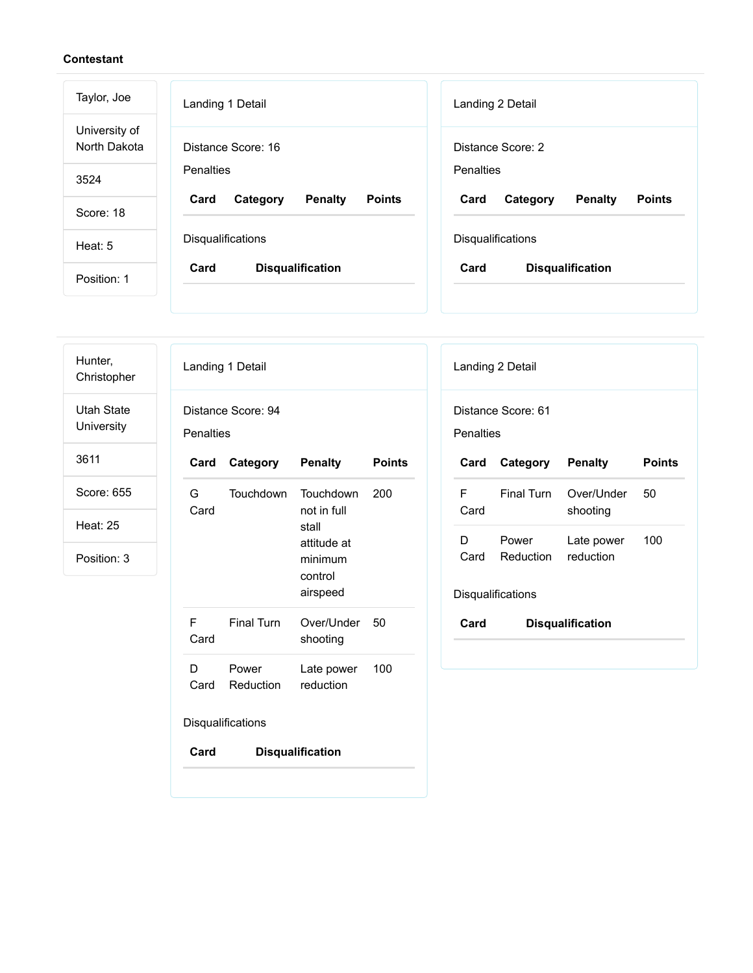| Taylor, Joe                   | Landing 1 Detail                                    | Landing 2 Detail                                    |
|-------------------------------|-----------------------------------------------------|-----------------------------------------------------|
| University of<br>North Dakota | Distance Score: 16                                  | Distance Score: 2                                   |
| 3524                          | Penalties                                           | Penalties                                           |
| Score: 18                     | <b>Penalty</b><br><b>Points</b><br>Card<br>Category | <b>Penalty</b><br><b>Points</b><br>Card<br>Category |
| Heat: 5                       | <b>Disqualifications</b>                            | Disqualifications                                   |
| Position: 1                   | Card<br><b>Disqualification</b>                     | Card<br><b>Disqualification</b>                     |

| Hunter,<br>Christopher          | Landing 1 Detail                                                         | Landing 2 Detail                                                                       |
|---------------------------------|--------------------------------------------------------------------------|----------------------------------------------------------------------------------------|
| <b>Utah State</b><br>University | Distance Score: 94<br>Penalties                                          | Distance Score: 61<br>Penalties                                                        |
| 3611                            | Category<br><b>Penalty</b><br><b>Points</b><br>Card                      | Category<br><b>Penalty</b><br><b>Points</b><br>Card                                    |
| Score: 655                      | G<br>Touchdown<br>Touchdown<br>200<br>Card<br>not in full                | F<br><b>Final Turn</b><br>Over/Under<br>50<br>Card<br>shooting                         |
| <b>Heat: 25</b><br>Position: 3  | stall<br>attitude at<br>minimum<br>control<br>airspeed                   | 100<br>D<br>Power<br>Late power<br>Reduction<br>reduction<br>Card<br>Disqualifications |
|                                 | $\mathsf F$<br><b>Final Turn</b><br>Over/Under<br>50<br>Card<br>shooting | Card<br><b>Disqualification</b>                                                        |
|                                 | D<br>Power<br>100<br>Late power<br>reduction<br>Reduction<br>Card        |                                                                                        |
|                                 | Disqualifications                                                        |                                                                                        |
|                                 | Card<br><b>Disqualification</b>                                          |                                                                                        |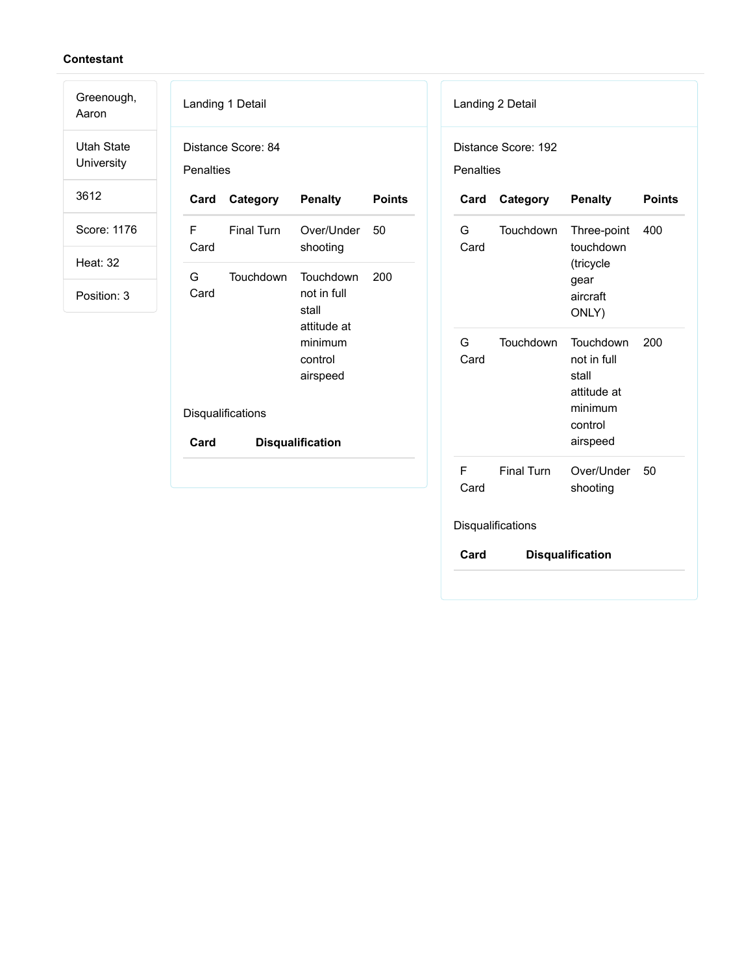Aaron Utah State University

Greenough,

3612

Score: 1176

Heat: 32

Position: 3

|                  | Landing 1 Detail   |                                                                                    |               | Lar        |
|------------------|--------------------|------------------------------------------------------------------------------------|---------------|------------|
| <b>Penalties</b> | Distance Score: 84 |                                                                                    |               | Dis<br>Per |
| Card             | Category           | <b>Penalty</b>                                                                     | <b>Points</b> | C          |
| F<br>Card        | <b>Final Turn</b>  | Over/Under<br>shooting                                                             | 50            | G<br>C     |
| G.<br>Card       | Touchdown          | Touchdown<br>not in full<br>stall<br>attitude at<br>minimum<br>control<br>airspeed | 200           | G<br>C     |
|                  | Disqualifications  |                                                                                    |               |            |
| Card             |                    | <b>Disqualification</b>                                                            |               |            |
|                  |                    |                                                                                    |               | F.<br>Ci   |

nding 2 Detail stance Score: 192 nalties **Card Category Penalty Points** ard Touchdown Three-point touchdown (tricycle gear aircraft ONLY) 400 ard Touchdown Touchdown not in full stall attitude at minimum control airspeed 200 ard Final Turn Over/Under 50 shooting Disqualifications **Card Disqualification**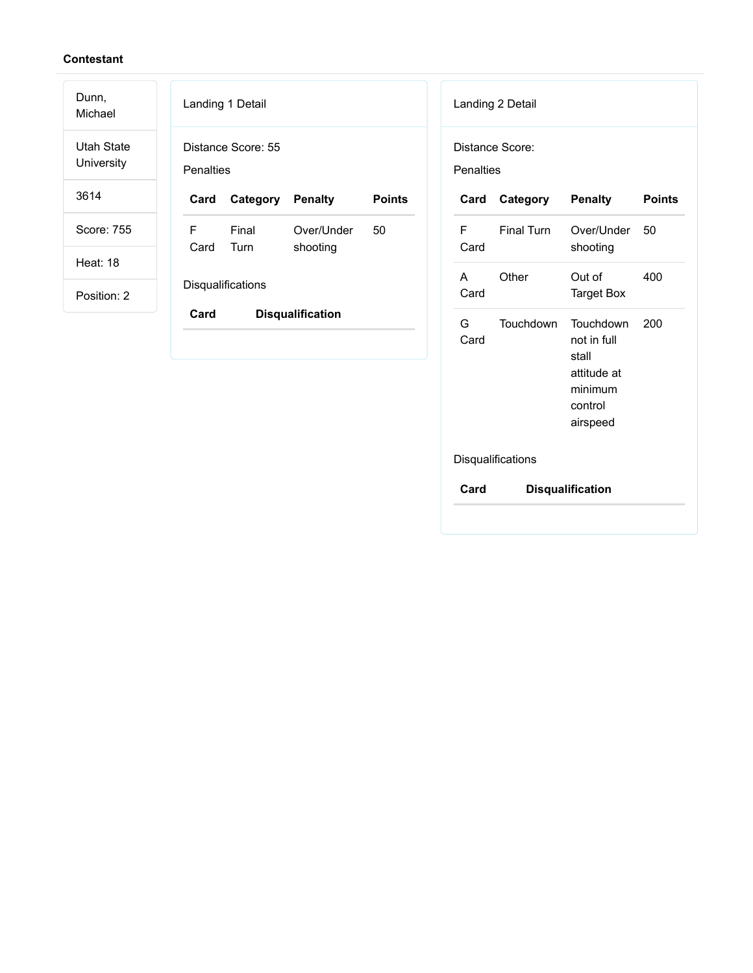| Dunn,<br>Michael                | Landing 1 Detail                                           | Landing 2 Detail                                                                                    |
|---------------------------------|------------------------------------------------------------|-----------------------------------------------------------------------------------------------------|
| <b>Utah State</b><br>University | Distance Score: 55<br><b>Penalties</b>                     | Distance Score:<br><b>Penalties</b>                                                                 |
| 3614                            | <b>Penalty</b><br><b>Points</b><br>Card<br>Category        | Category<br><b>Penalty</b><br><b>Points</b><br>Card                                                 |
| Score: 755                      | F<br>50<br>Final<br>Over/Under<br>Card<br>shooting<br>Turn | F<br>Final Turn<br>Over/Under<br>50<br>Card<br>shooting                                             |
| <b>Heat: 18</b><br>Position: 2  | Disqualifications                                          | Other<br>Out of<br>400<br>A<br><b>Target Box</b><br>Card                                            |
|                                 | Card<br><b>Disqualification</b>                            | G<br><b>Touchdown</b><br>Touchdown<br>200<br>not in full<br>Card<br>stall<br>attitude at<br>minimum |

control airspeed

Disqualifications

**Card Disqualification**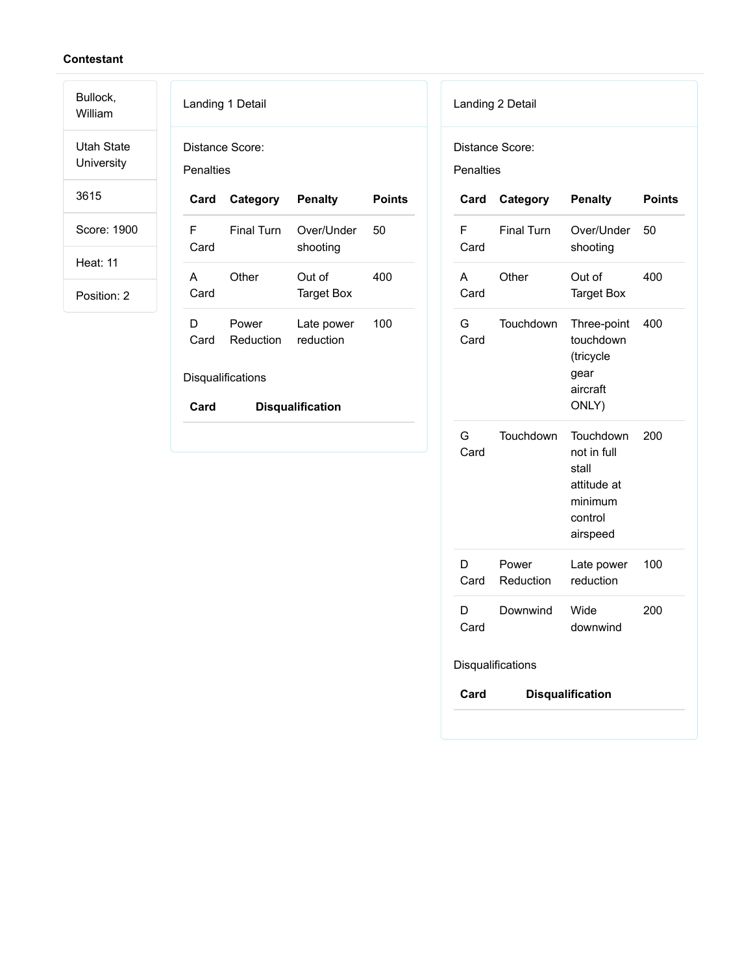Bullock, William

Utah State University

3615

Score: 1900

Heat: 11

|           | Landing 1 Detail             |                         |               |
|-----------|------------------------------|-------------------------|---------------|
|           | Distance Score:              |                         |               |
| Penalties |                              |                         |               |
| Card      | Category Penalty             |                         | <b>Points</b> |
| F<br>Card | <b>Final Turn</b>            | Over/Under<br>shooting  | 50            |
| A<br>Card | Other                        | Out of<br>Target Box    | 400           |
| D<br>Card | Power<br>Reduction reduction | Late power              | 100           |
|           | Disqualifications            |                         |               |
| Card      |                              | <b>Disqualification</b> |               |

| <b>Penalties</b> | Distance Score:    |                                                                                    |               |
|------------------|--------------------|------------------------------------------------------------------------------------|---------------|
| Card             | Category           | <b>Penalty</b>                                                                     | <b>Points</b> |
| F<br>Card        | <b>Final Turn</b>  | Over/Under<br>shooting                                                             | 50            |
| A<br>Card        | Other              | Out of<br><b>Target Box</b>                                                        | 400           |
| G<br>Card        | Touchdown          | Three-point<br>touchdown<br>(tricycle<br>gear<br>aircraft<br>ONLY)                 | 400           |
| G –<br>Card      | Touchdown          | Touchdown<br>not in full<br>stall<br>attitude at<br>minimum<br>control<br>airspeed | 200           |
| D.<br>Card       | Power<br>Reduction | Late power<br>reduction                                                            | 100           |
| D<br>Card        | Downwind           | Wide<br>downwind                                                                   | 200           |
|                  | Disqualifications  |                                                                                    |               |
| Card             |                    | <b>Disqualification</b>                                                            |               |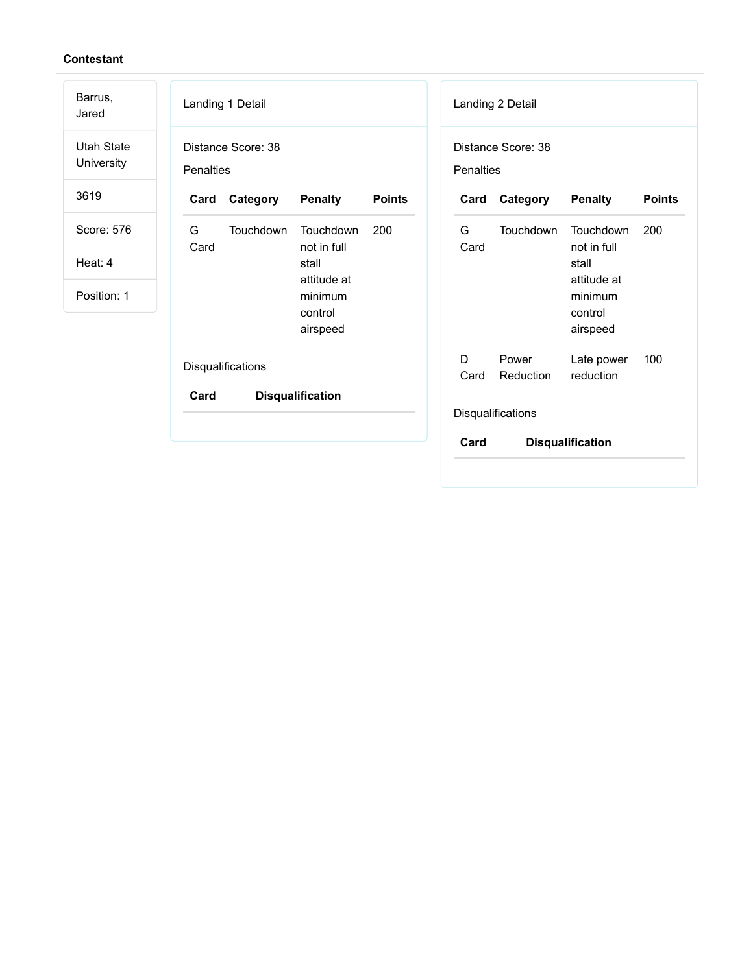| Barrus,<br>Jared                | Landing 1 Detail                                          | Landing 2 Detail                                                  |
|---------------------------------|-----------------------------------------------------------|-------------------------------------------------------------------|
| <b>Utah State</b><br>University | Distance Score: 38<br>Penalties                           | Distance Score: 38<br>Penalties                                   |
| 3619                            | Category<br><b>Penalty</b><br><b>Points</b><br>Card       | Category<br><b>Penalty</b><br><b>Points</b><br>Card               |
| Score: 576                      | G<br>Touchdown<br>Touchdown<br>200<br>Card<br>not in full | G<br>Touchdown<br>Touchdown<br>200<br>not in full<br>Card         |
| Heat: 4                         | stall<br>attitude at                                      | stall<br>attitude at                                              |
| Position: 1                     | minimum<br>control<br>airspeed                            | minimum<br>control<br>airspeed                                    |
|                                 | Disqualifications                                         | D<br>Power<br>Late power<br>100<br>Card<br>Reduction<br>reduction |
|                                 | Card<br><b>Disqualification</b>                           | Disqualifications                                                 |
|                                 |                                                           | Card<br><b>Disqualification</b>                                   |
|                                 |                                                           |                                                                   |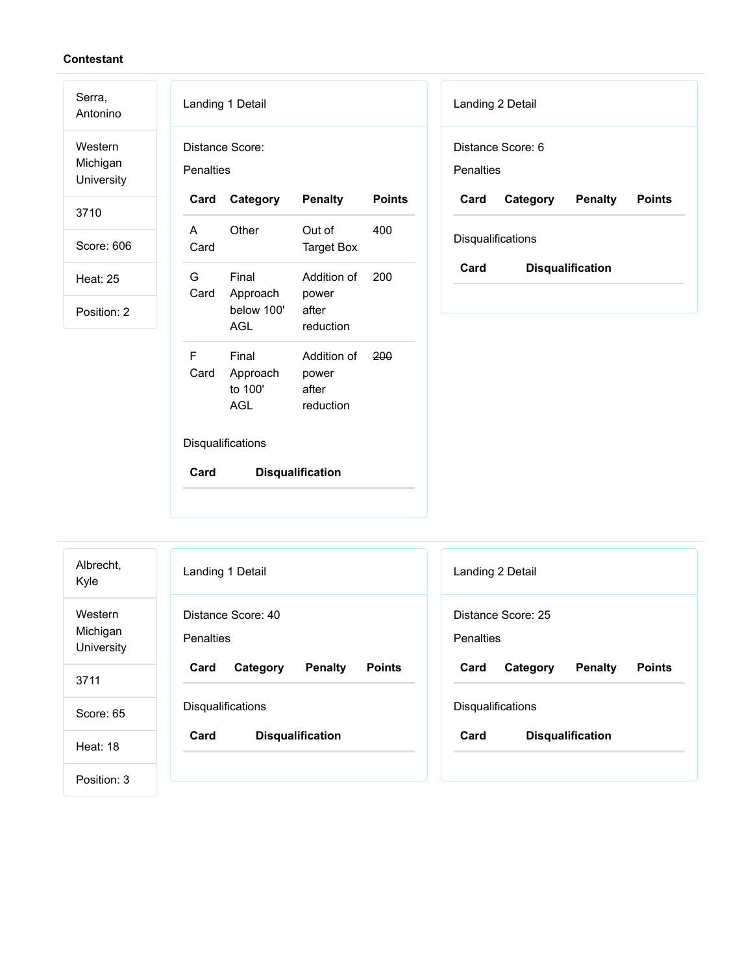Serra,

Antonino Western Michigan

University

3710

Score: 606

Heat: 25

| Landing 1 Detail                    |                                        |                                            |               |
|-------------------------------------|----------------------------------------|--------------------------------------------|---------------|
| Distance Score:<br><b>Penalties</b> |                                        |                                            |               |
| Card                                | Category                               | <b>Penalty</b>                             | <b>Points</b> |
| A<br>Card                           | Other                                  | Out of<br>Target Box                       | 400           |
| G.<br>Card                          | Final<br>Approach<br>below 100'<br>AGL | Addition of<br>power<br>after<br>reduction | 200           |
| F<br>Card                           | Final<br>Approach<br>to 100'<br>AGL    | Addition of<br>power<br>after<br>reduction | 200           |
| Disqualifications                   |                                        |                                            |               |
| Card                                |                                        | <b>Disqualification</b>                    |               |

| Landing 2 Detail  |                |               |  |
|-------------------|----------------|---------------|--|
| Distance Score: 6 |                |               |  |
| <b>Penalties</b>  |                |               |  |
| Card              | <b>Penalty</b> | <b>Points</b> |  |
|                   |                |               |  |
| Disqualifications |                |               |  |
|                   |                | Category      |  |

| Albrecht,<br>Kyle                 | Landing 1 Detail                                    | Landing 2 Detail                                    |
|-----------------------------------|-----------------------------------------------------|-----------------------------------------------------|
| Western<br>Michigan<br>University | Distance Score: 40<br><b>Penalties</b>              | Distance Score: 25<br>Penalties                     |
| 3711                              | <b>Points</b><br><b>Penalty</b><br>Card<br>Category | <b>Penalty</b><br><b>Points</b><br>Card<br>Category |
|                                   |                                                     |                                                     |
| Score: 65                         | Disqualifications                                   | Disqualifications                                   |
| <b>Heat: 18</b>                   | Card<br><b>Disqualification</b>                     | Card<br><b>Disqualification</b>                     |
|                                   |                                                     |                                                     |
| Position: 3                       |                                                     |                                                     |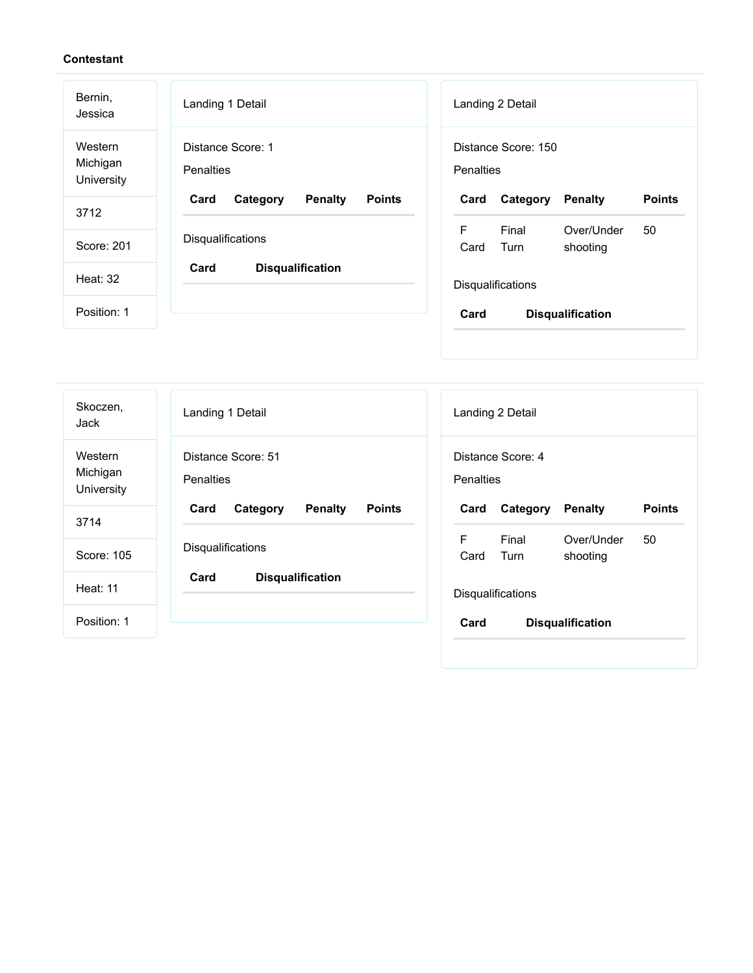| Bernin,<br>Jessica                | Landing 1 Detail                                    | Landing 2 Detail                                    |
|-----------------------------------|-----------------------------------------------------|-----------------------------------------------------|
| Western<br>Michigan<br>University | Distance Score: 1<br><b>Penalties</b>               | Distance Score: 150<br>Penalties                    |
| 3712                              | Card<br><b>Penalty</b><br><b>Points</b><br>Category | <b>Points</b><br>Card<br><b>Penalty</b><br>Category |
|                                   |                                                     | F<br>Final<br>50<br>Over/Under                      |
| Score: 201                        | Disqualifications                                   | Turn<br>Card<br>shooting                            |
| Heat: 32                          | Card<br><b>Disqualification</b>                     | <b>Disqualifications</b>                            |
| Position: 1                       |                                                     | Card<br><b>Disqualification</b>                     |
|                                   |                                                     |                                                     |

| Skoczen,<br>Jack                  | Landing 1 Detail                                    | Landing 2 Detail                                           |
|-----------------------------------|-----------------------------------------------------|------------------------------------------------------------|
| Western<br>Michigan<br>University | Distance Score: 51<br><b>Penalties</b>              | Distance Score: 4<br><b>Penalties</b>                      |
| 3714                              | Card<br><b>Penalty</b><br><b>Points</b><br>Category | <b>Points</b><br><b>Penalty</b><br>Card<br>Category        |
| Score: 105                        | Disqualifications                                   | F<br>Final<br>Over/Under<br>50<br>Turn<br>shooting<br>Card |
| <b>Heat: 11</b>                   | Card<br><b>Disqualification</b>                     | Disqualifications                                          |
| Position: 1                       |                                                     | Card<br><b>Disqualification</b>                            |